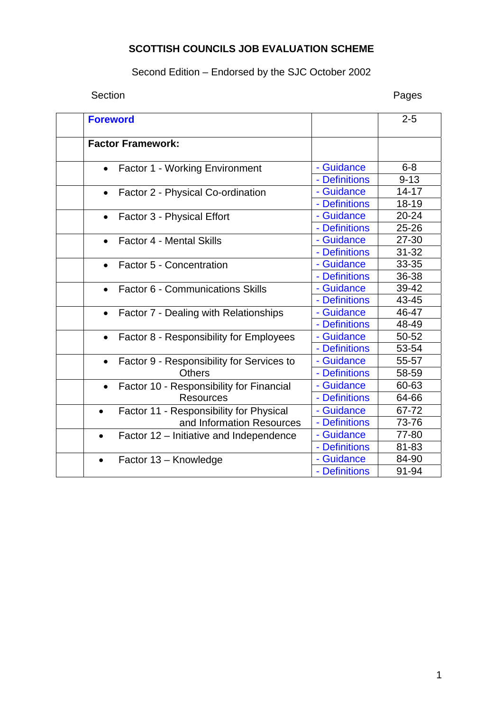# **SCOTTISH COUNCILS JOB EVALUATION SCHEME**

# Second Edition – Endorsed by the SJC October 2002

# Section **Pages**

| <b>Foreword</b>                                        |               | $2 - 5$   |
|--------------------------------------------------------|---------------|-----------|
| <b>Factor Framework:</b>                               |               |           |
| <b>Factor 1 - Working Environment</b><br>$\bullet$     | - Guidance    | $6 - 8$   |
|                                                        | - Definitions | $9 - 13$  |
| Factor 2 - Physical Co-ordination<br>$\bullet$         | - Guidance    | $14 - 17$ |
|                                                        | - Definitions | 18-19     |
| Factor 3 - Physical Effort<br>$\bullet$                | - Guidance    | 20-24     |
|                                                        | - Definitions | 25-26     |
| <b>Factor 4 - Mental Skills</b><br>$\bullet$           | - Guidance    | 27-30     |
|                                                        | - Definitions | $31 - 32$ |
| Factor 5 - Concentration<br>$\bullet$                  | - Guidance    | 33-35     |
|                                                        | - Definitions | 36-38     |
| <b>Factor 6 - Communications Skills</b><br>$\bullet$   | - Guidance    | 39-42     |
|                                                        | - Definitions | 43-45     |
| Factor 7 - Dealing with Relationships<br>$\bullet$     | - Guidance    | 46-47     |
|                                                        | - Definitions | 48-49     |
| Factor 8 - Responsibility for Employees<br>$\bullet$   | - Guidance    | 50-52     |
|                                                        | - Definitions | 53-54     |
| Factor 9 - Responsibility for Services to<br>$\bullet$ | - Guidance    | 55-57     |
| <b>Others</b>                                          | - Definitions | 58-59     |
| Factor 10 - Responsibility for Financial<br>$\bullet$  | - Guidance    | 60-63     |
| <b>Resources</b>                                       | - Definitions | 64-66     |
| Factor 11 - Responsibility for Physical<br>$\bullet$   | - Guidance    | 67-72     |
| and Information Resources                              | - Definitions | 73-76     |
| Factor 12 – Initiative and Independence<br>$\bullet$   | - Guidance    | 77-80     |
|                                                        | - Definitions | 81-83     |
| Factor 13 - Knowledge<br>$\bullet$                     | - Guidance    | 84-90     |
|                                                        | - Definitions | 91-94     |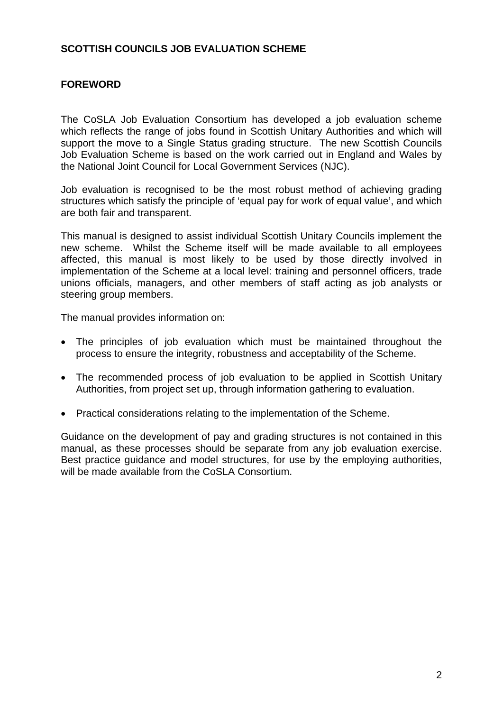# <span id="page-1-0"></span>**SCOTTISH COUNCILS JOB EVALUATION SCHEME**

# **FOREWORD**

The CoSLA Job Evaluation Consortium has developed a job evaluation scheme which reflects the range of jobs found in Scottish Unitary Authorities and which will support the move to a Single Status grading structure. The new Scottish Councils Job Evaluation Scheme is based on the work carried out in England and Wales by the National Joint Council for Local Government Services (NJC).

Job evaluation is recognised to be the most robust method of achieving grading structures which satisfy the principle of 'equal pay for work of equal value', and which are both fair and transparent.

This manual is designed to assist individual Scottish Unitary Councils implement the new scheme. Whilst the Scheme itself will be made available to all employees affected, this manual is most likely to be used by those directly involved in implementation of the Scheme at a local level: training and personnel officers, trade unions officials, managers, and other members of staff acting as job analysts or steering group members.

The manual provides information on:

- The principles of job evaluation which must be maintained throughout the process to ensure the integrity, robustness and acceptability of the Scheme.
- The recommended process of job evaluation to be applied in Scottish Unitary Authorities, from project set up, through information gathering to evaluation.
- Practical considerations relating to the implementation of the Scheme.

Guidance on the development of pay and grading structures is not contained in this manual, as these processes should be separate from any job evaluation exercise. Best practice guidance and model structures, for use by the employing authorities, will be made available from the CoSLA Consortium.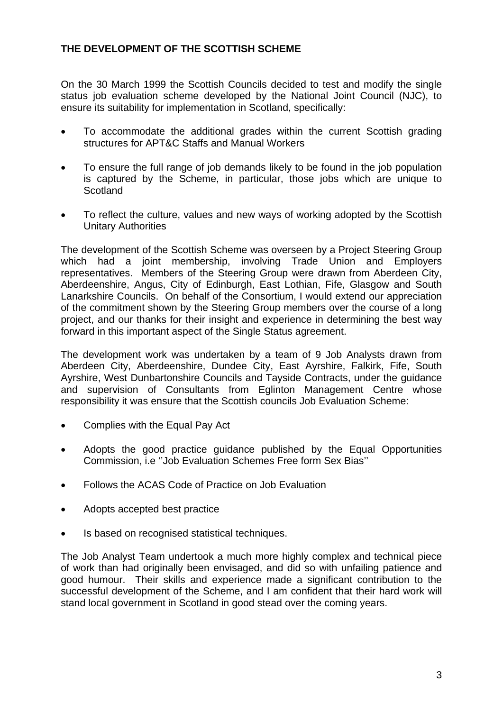# **THE DEVELOPMENT OF THE SCOTTISH SCHEME**

On the 30 March 1999 the Scottish Councils decided to test and modify the single status job evaluation scheme developed by the National Joint Council (NJC), to ensure its suitability for implementation in Scotland, specifically:

- To accommodate the additional grades within the current Scottish grading structures for APT&C Staffs and Manual Workers
- To ensure the full range of job demands likely to be found in the job population is captured by the Scheme, in particular, those jobs which are unique to **Scotland**
- To reflect the culture, values and new ways of working adopted by the Scottish Unitary Authorities

The development of the Scottish Scheme was overseen by a Project Steering Group which had a joint membership, involving Trade Union and Employers representatives. Members of the Steering Group were drawn from Aberdeen City, Aberdeenshire, Angus, City of Edinburgh, East Lothian, Fife, Glasgow and South Lanarkshire Councils. On behalf of the Consortium, I would extend our appreciation of the commitment shown by the Steering Group members over the course of a long project, and our thanks for their insight and experience in determining the best way forward in this important aspect of the Single Status agreement.

The development work was undertaken by a team of 9 Job Analysts drawn from Aberdeen City, Aberdeenshire, Dundee City, East Ayrshire, Falkirk, Fife, South Ayrshire, West Dunbartonshire Councils and Tayside Contracts, under the guidance and supervision of Consultants from Eglinton Management Centre whose responsibility it was ensure that the Scottish councils Job Evaluation Scheme:

- Complies with the Equal Pay Act
- Adopts the good practice guidance published by the Equal Opportunities Commission, i.e ''Job Evaluation Schemes Free form Sex Bias''
- Follows the ACAS Code of Practice on Job Evaluation
- Adopts accepted best practice
- Is based on recognised statistical techniques.

The Job Analyst Team undertook a much more highly complex and technical piece of work than had originally been envisaged, and did so with unfailing patience and good humour. Their skills and experience made a significant contribution to the successful development of the Scheme, and I am confident that their hard work will stand local government in Scotland in good stead over the coming years.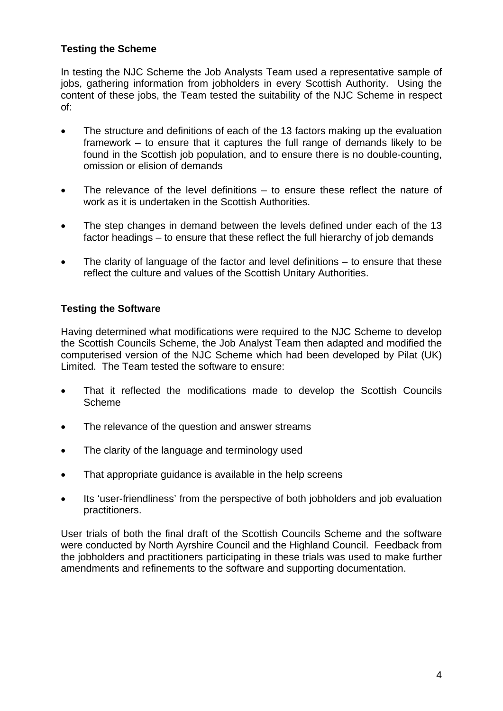# **Testing the Scheme**

In testing the NJC Scheme the Job Analysts Team used a representative sample of jobs, gathering information from jobholders in every Scottish Authority. Using the content of these jobs, the Team tested the suitability of the NJC Scheme in respect of:

- The structure and definitions of each of the 13 factors making up the evaluation framework – to ensure that it captures the full range of demands likely to be found in the Scottish job population, and to ensure there is no double-counting, omission or elision of demands
- The relevance of the level definitions to ensure these reflect the nature of work as it is undertaken in the Scottish Authorities.
- The step changes in demand between the levels defined under each of the 13 factor headings – to ensure that these reflect the full hierarchy of job demands
- The clarity of language of the factor and level definitions  $-$  to ensure that these reflect the culture and values of the Scottish Unitary Authorities.

# **Testing the Software**

Having determined what modifications were required to the NJC Scheme to develop the Scottish Councils Scheme, the Job Analyst Team then adapted and modified the computerised version of the NJC Scheme which had been developed by Pilat (UK) Limited. The Team tested the software to ensure:

- That it reflected the modifications made to develop the Scottish Councils Scheme
- The relevance of the question and answer streams
- The clarity of the language and terminology used
- That appropriate guidance is available in the help screens
- Its 'user-friendliness' from the perspective of both jobholders and job evaluation practitioners.

User trials of both the final draft of the Scottish Councils Scheme and the software were conducted by North Ayrshire Council and the Highland Council. Feedback from the jobholders and practitioners participating in these trials was used to make further amendments and refinements to the software and supporting documentation.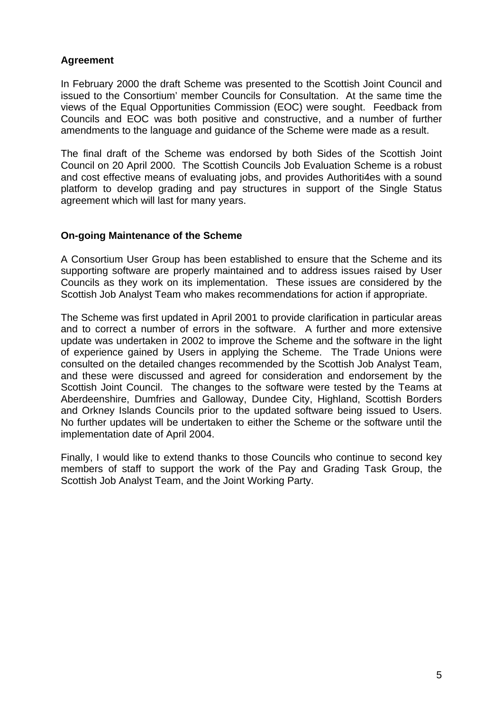# **Agreement**

In February 2000 the draft Scheme was presented to the Scottish Joint Council and issued to the Consortium' member Councils for Consultation. At the same time the views of the Equal Opportunities Commission (EOC) were sought. Feedback from Councils and EOC was both positive and constructive, and a number of further amendments to the language and guidance of the Scheme were made as a result.

The final draft of the Scheme was endorsed by both Sides of the Scottish Joint Council on 20 April 2000. The Scottish Councils Job Evaluation Scheme is a robust and cost effective means of evaluating jobs, and provides Authoriti4es with a sound platform to develop grading and pay structures in support of the Single Status agreement which will last for many years.

### **On-going Maintenance of the Scheme**

A Consortium User Group has been established to ensure that the Scheme and its supporting software are properly maintained and to address issues raised by User Councils as they work on its implementation. These issues are considered by the Scottish Job Analyst Team who makes recommendations for action if appropriate.

The Scheme was first updated in April 2001 to provide clarification in particular areas and to correct a number of errors in the software. A further and more extensive update was undertaken in 2002 to improve the Scheme and the software in the light of experience gained by Users in applying the Scheme. The Trade Unions were consulted on the detailed changes recommended by the Scottish Job Analyst Team, and these were discussed and agreed for consideration and endorsement by the Scottish Joint Council. The changes to the software were tested by the Teams at Aberdeenshire, Dumfries and Galloway, Dundee City, Highland, Scottish Borders and Orkney Islands Councils prior to the updated software being issued to Users. No further updates will be undertaken to either the Scheme or the software until the implementation date of April 2004.

Finally, I would like to extend thanks to those Councils who continue to second key members of staff to support the work of the Pay and Grading Task Group, the Scottish Job Analyst Team, and the Joint Working Party.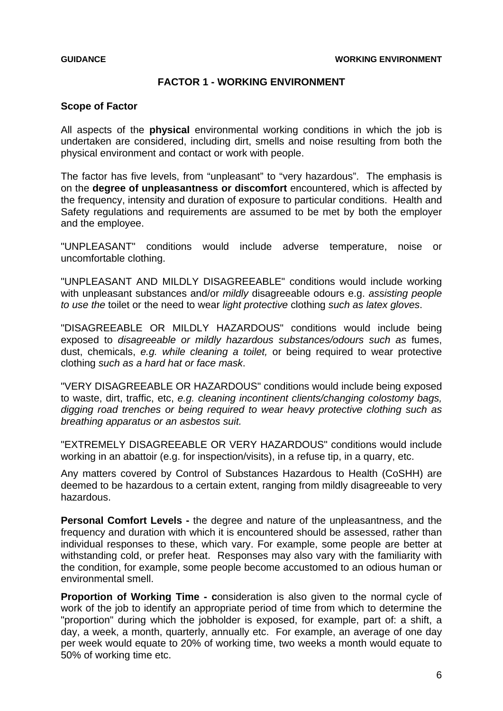### **FACTOR 1 - WORKING ENVIRONMENT**

### <span id="page-5-0"></span>**Scope of Factor**

All aspects of the **physical** environmental working conditions in which the job is undertaken are considered, including dirt, smells and noise resulting from both the physical environment and contact or work with people.

The factor has five levels, from "unpleasant" to "very hazardous". The emphasis is on the **degree of unpleasantness or discomfort** encountered, which is affected by the frequency, intensity and duration of exposure to particular conditions. Health and Safety regulations and requirements are assumed to be met by both the employer and the employee.

"UNPLEASANT" conditions would include adverse temperature, noise or uncomfortable clothing.

"UNPLEASANT AND MILDLY DISAGREEABLE" conditions would include working with unpleasant substances and/or *mildly* disagreeable odours e.g. *assisting people to use the* toilet or the need to wear *light protective* clothing *such as latex gloves*.

"DISAGREEABLE OR MILDLY HAZARDOUS" conditions would include being exposed to *disagreeable or mildly hazardous substances/odours such as* fumes, dust, chemicals, *e.g. while cleaning a toilet,* or being required to wear protective clothing *such as a hard hat or face mask*.

"VERY DISAGREEABLE OR HAZARDOUS" conditions would include being exposed to waste, dirt, traffic, etc, *e.g. cleaning incontinent clients/changing colostomy bags, digging road trenches or being required to wear heavy protective clothing such as breathing apparatus or an asbestos suit.*

"EXTREMELY DISAGREEABLE OR VERY HAZARDOUS" conditions would include working in an abattoir (e.g. for inspection/visits), in a refuse tip, in a quarry, etc.

Any matters covered by Control of Substances Hazardous to Health (CoSHH) are deemed to be hazardous to a certain extent, ranging from mildly disagreeable to very hazardous.

**Personal Comfort Levels -** the degree and nature of the unpleasantness, and the frequency and duration with which it is encountered should be assessed, rather than individual responses to these, which vary. For example, some people are better at withstanding cold, or prefer heat. Responses may also vary with the familiarity with the condition, for example, some people become accustomed to an odious human or environmental smell.

**Proportion of Working Time - c**onsideration is also given to the normal cycle of work of the job to identify an appropriate period of time from which to determine the "proportion" during which the jobholder is exposed, for example, part of: a shift, a day, a week, a month, quarterly, annually etc. For example, an average of one day per week would equate to 20% of working time, two weeks a month would equate to 50% of working time etc.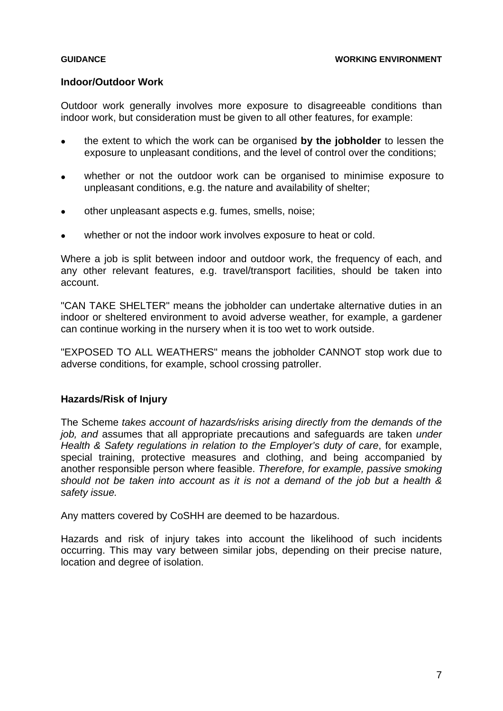### **Indoor/Outdoor Work**

Outdoor work generally involves more exposure to disagreeable conditions than indoor work, but consideration must be given to all other features, for example:

- the extent to which the work can be organised **by the jobholder** to lessen the exposure to unpleasant conditions, and the level of control over the conditions;
- whether or not the outdoor work can be organised to minimise exposure to unpleasant conditions, e.g. the nature and availability of shelter;
- other unpleasant aspects e.g. fumes, smells, noise;
- whether or not the indoor work involves exposure to heat or cold.

Where a job is split between indoor and outdoor work, the frequency of each, and any other relevant features, e.g. travel/transport facilities, should be taken into account.

"CAN TAKE SHELTER" means the jobholder can undertake alternative duties in an indoor or sheltered environment to avoid adverse weather, for example, a gardener can continue working in the nursery when it is too wet to work outside.

"EXPOSED TO ALL WEATHERS" means the jobholder CANNOT stop work due to adverse conditions, for example, school crossing patroller.

### **Hazards/Risk of Injury**

The Scheme *takes account of hazards/risks arising directly from the demands of the job, and* assumes that all appropriate precautions and safeguards are taken *under Health & Safety regulations in relation to the Employer's duty of care*, for example, special training, protective measures and clothing, and being accompanied by another responsible person where feasible. *Therefore, for example, passive smoking should not be taken into account as it is not a demand of the job but a health & safety issue.* 

Any matters covered by CoSHH are deemed to be hazardous.

Hazards and risk of injury takes into account the likelihood of such incidents occurring. This may vary between similar jobs, depending on their precise nature, location and degree of isolation.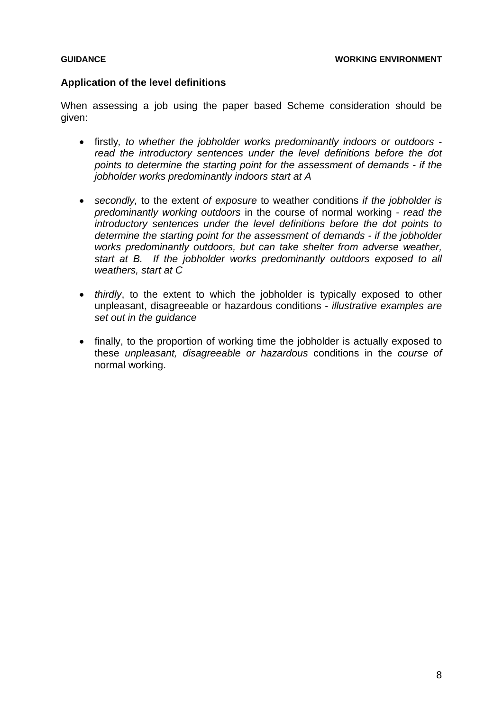### **Application of the level definitions**

When assessing a job using the paper based Scheme consideration should be given:

- firstly*, to whether the jobholder works predominantly indoors or outdoors read the introductory sentences under the level definitions before the dot points to determine the starting point for the assessment of demands - if the jobholder works predominantly indoors start at A*
- *secondly,* to the extent *of exposure* to weather conditions *if the jobholder is predominantly working outdoors* in the course of normal working - *read the introductory sentences under the level definitions before the dot points to determine the starting point for the assessment of demands - if the jobholder works predominantly outdoors, but can take shelter from adverse weather, start at B. If the jobholder works predominantly outdoors exposed to all weathers, start at C*
- *thirdly*, to the extent to which the jobholder is typically exposed to other unpleasant, disagreeable or hazardous conditions - *illustrative examples are set out in the guidance*
- finally, to the proportion of working time the jobholder is actually exposed to these *unpleasant, disagreeable or hazardous* conditions in the *course of*  normal working.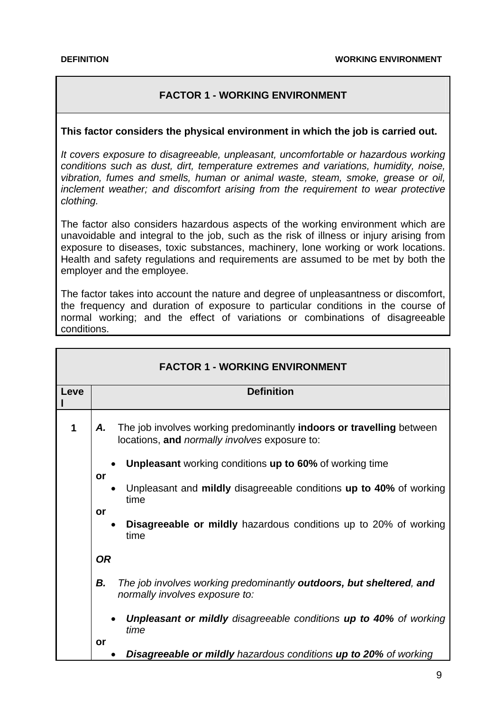# **FACTOR 1 - WORKING ENVIRONMENT**

### <span id="page-8-0"></span>**This factor considers the physical environment in which the job is carried out.**

*It covers exposure to disagreeable, unpleasant, uncomfortable or hazardous working conditions such as dust, dirt, temperature extremes and variations, humidity, noise, vibration, fumes and smells, human or animal waste, steam, smoke, grease or oil, inclement weather; and discomfort arising from the requirement to wear protective clothing.* 

The factor also considers hazardous aspects of the working environment which are unavoidable and integral to the job, such as the risk of illness or injury arising from exposure to diseases, toxic substances, machinery, lone working or work locations. Health and safety regulations and requirements are assumed to be met by both the employer and the employee.

The factor takes into account the nature and degree of unpleasantness or discomfort, the frequency and duration of exposure to particular conditions in the course of normal working; and the effect of variations or combinations of disagreeable conditions.

| <b>FACTOR 1 - WORKING ENVIRONMENT</b> |                                                                                                                                           |  |
|---------------------------------------|-------------------------------------------------------------------------------------------------------------------------------------------|--|
| Leve                                  | <b>Definition</b>                                                                                                                         |  |
| 1                                     | The job involves working predominantly <b>indoors or travelling</b> between<br>Α.<br>locations, and <i>normally involves</i> exposure to: |  |
|                                       | <b>Unpleasant</b> working conditions up to 60% of working time<br>or                                                                      |  |
|                                       | Unpleasant and mildly disagreeable conditions up to 40% of working<br>time                                                                |  |
|                                       | or<br><b>Disagreeable or mildly hazardous conditions up to 20% of working</b><br>time                                                     |  |
|                                       | <b>OR</b>                                                                                                                                 |  |
|                                       | В.<br>The job involves working predominantly <b>outdoors, but sheltered, and</b><br>normally involves exposure to:                        |  |
|                                       | <b>Unpleasant or mildly disagreeable conditions up to 40% of working</b><br>time                                                          |  |
|                                       | or<br><b>Disagreeable or mildly hazardous conditions up to 20% of working</b>                                                             |  |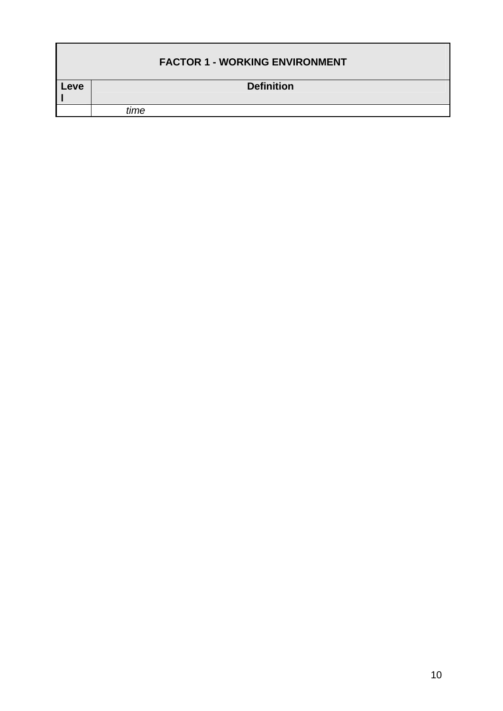|      |      | <b>FACTOR 1 - WORKING ENVIRONMENT</b> |
|------|------|---------------------------------------|
| Leve |      | <b>Definition</b>                     |
|      | time |                                       |
|      |      |                                       |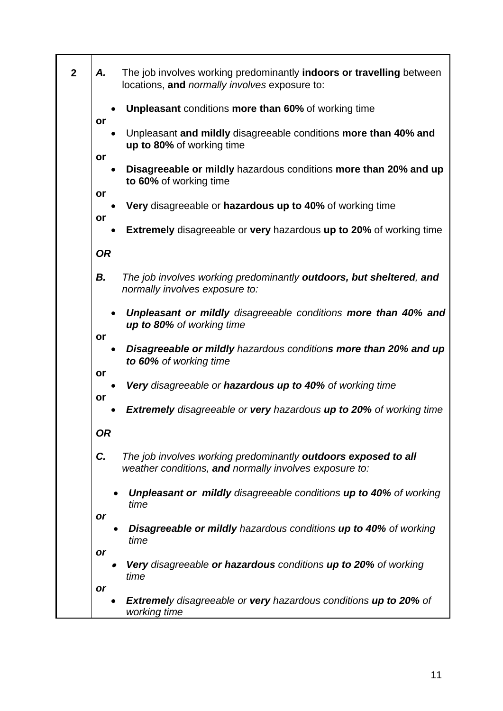| $\overline{2}$ | А.        | The job involves working predominantly indoors or travelling between<br>locations, and normally involves exposure to:    |
|----------------|-----------|--------------------------------------------------------------------------------------------------------------------------|
|                | or        | <b>Unpleasant conditions more than 60% of working time</b>                                                               |
|                |           | Unpleasant and mildly disagreeable conditions more than 40% and<br>up to 80% of working time                             |
|                | or        | Disagreeable or mildly hazardous conditions more than 20% and up<br>to 60% of working time                               |
|                | or        | Very disagreeable or hazardous up to 40% of working time                                                                 |
|                | or        | <b>Extremely</b> disagreeable or very hazardous up to 20% of working time                                                |
|                | <b>OR</b> |                                                                                                                          |
|                | В.        | The job involves working predominantly <b>outdoors, but sheltered, and</b><br>normally involves exposure to:             |
|                |           | Unpleasant or mildly disagreeable conditions more than 40% and<br>up to 80% of working time                              |
|                | or        | Disagreeable or mildly hazardous conditions more than 20% and up<br>to 60% of working time                               |
|                | or        | <b>Very</b> disagreeable or <b>hazardous up to 40%</b> of working time                                                   |
|                | or        | <b>Extremely</b> disagreeable or very hazardous up to 20% of working time                                                |
|                | OR        |                                                                                                                          |
|                | C.        | The job involves working predominantly outdoors exposed to all<br>weather conditions, and normally involves exposure to: |
|                |           | <b>Unpleasant or mildly disagreeable conditions up to 40% of working</b><br>time                                         |
|                | or        | <b>Disagreeable or mildly hazardous conditions up to 40% of working</b><br>time                                          |
|                | or        | Very disagreeable or hazardous conditions up to 20% of working<br>time                                                   |
|                | or        |                                                                                                                          |
|                |           | <b>Extremely disagreeable or very hazardous conditions up to 20% of</b><br>working time                                  |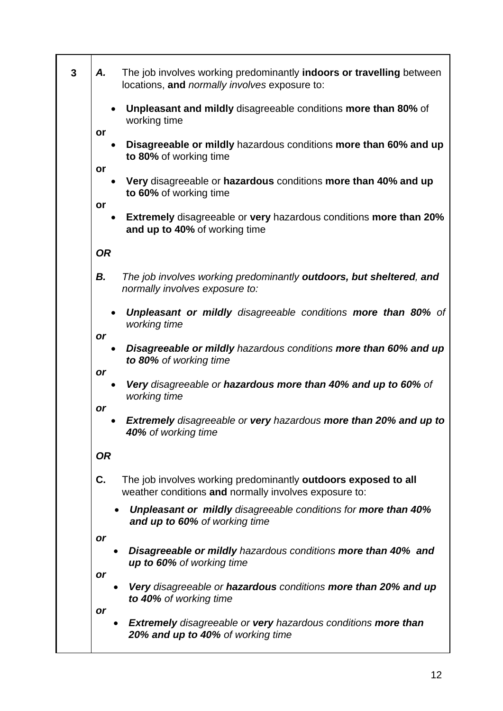| $\overline{\mathbf{3}}$<br>А. | The job involves working predominantly indoors or travelling between<br>locations, and <i>normally involves</i> exposure to: |
|-------------------------------|------------------------------------------------------------------------------------------------------------------------------|
| or                            | <b>Unpleasant and mildly disagreeable conditions more than 80% of</b><br>working time                                        |
|                               | Disagreeable or mildly hazardous conditions more than 60% and up<br>to 80% of working time                                   |
| or                            | Very disagreeable or hazardous conditions more than 40% and up<br>to 60% of working time                                     |
| or                            | <b>Extremely</b> disagreeable or very hazardous conditions more than 20%<br>٠<br>and up to 40% of working time               |
| <b>OR</b>                     |                                                                                                                              |
| В.                            | The job involves working predominantly outdoors, but sheltered, and<br>normally involves exposure to:                        |
|                               | <b>Unpleasant or mildly disagreeable conditions more than 80% of</b><br>working time                                         |
| <b>or</b>                     | Disagreeable or mildly hazardous conditions more than 60% and up<br>to 80% of working time                                   |
| or                            | Very disagreeable or hazardous more than 40% and up to 60% of                                                                |
| <b>or</b>                     | working time<br><b>Extremely disagreeable or very hazardous more than 20% and up to</b><br>40% of working time               |
| <b>OR</b>                     |                                                                                                                              |
| C.                            | The job involves working predominantly outdoors exposed to all<br>weather conditions and normally involves exposure to:      |
|                               | <b>Unpleasant or mildly disagreeable conditions for more than 40%</b><br>and up to 60% of working time                       |
| or                            | Disagreeable or mildly hazardous conditions more than 40% and<br>up to 60% of working time                                   |
| or                            | Very disagreeable or hazardous conditions more than 20% and up<br>to 40% of working time                                     |
| <b>or</b>                     | <b>Extremely</b> disagreeable or very hazardous conditions more than<br>20% and up to 40% of working time                    |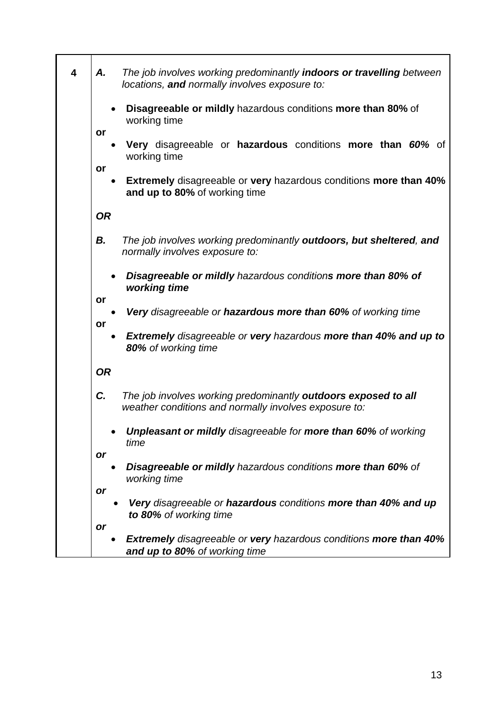| А.        | The job involves working predominantly <b>indoors or travelling</b> between<br>locations, and normally involves exposure to: |
|-----------|------------------------------------------------------------------------------------------------------------------------------|
|           | Disagreeable or mildly hazardous conditions more than 80% of<br>working time                                                 |
| or        | Very disagreeable or hazardous conditions more than 60% of<br>working time                                                   |
| or        | <b>Extremely</b> disagreeable or very hazardous conditions more than 40%<br>and up to 80% of working time                    |
| <b>OR</b> |                                                                                                                              |
| В.        | The job involves working predominantly outdoors, but sheltered, and<br>normally involves exposure to:                        |
|           | Disagreeable or mildly hazardous conditions more than 80% of<br>working time                                                 |
| or<br>or  | Very disagreeable or hazardous more than 60% of working time                                                                 |
|           | <b>Extremely</b> disagreeable or very hazardous more than 40% and up to<br>80% of working time                               |
| <b>OR</b> |                                                                                                                              |
| C.        | The job involves working predominantly outdoors exposed to all<br>weather conditions and normally involves exposure to:      |
|           | <b>Unpleasant or mildly</b> disagreeable for more than 60% of working<br>time                                                |
| or        | <b>Disagreeable or mildly hazardous conditions more than 60% of</b><br>working time                                          |
| or        |                                                                                                                              |
|           | Very disagreeable or hazardous conditions more than 40% and up<br>to 80% of working time                                     |
| <b>or</b> |                                                                                                                              |
|           | <b>Extremely</b> disagreeable or very hazardous conditions more than 40%<br>and up to 80% of working time                    |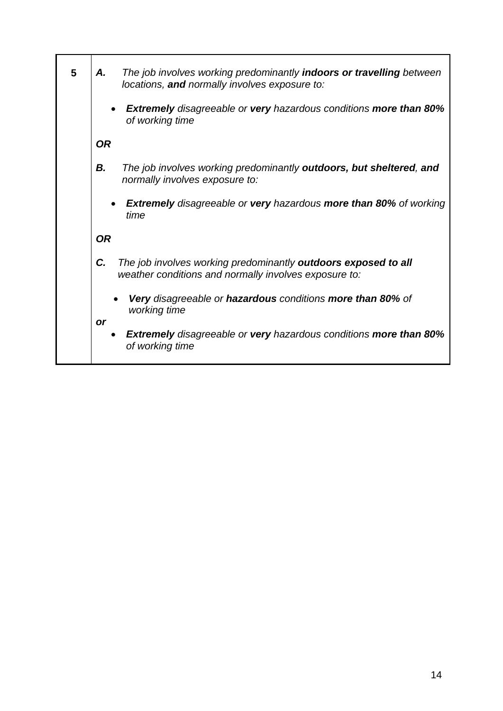| 5 | The job involves working predominantly indoors or travelling between<br>Α.<br>locations, and normally involves exposure to:   |
|---|-------------------------------------------------------------------------------------------------------------------------------|
|   | <b>Extremely</b> disagreeable or very hazardous conditions more than 80%<br>$\bullet$<br>of working time                      |
|   | <b>OR</b>                                                                                                                     |
|   | В.<br>The job involves working predominantly outdoors, but sheltered, and<br>normally involves exposure to:                   |
|   | <b>Extremely</b> disagreeable or very hazardous more than 80% of working<br>time                                              |
|   | <b>OR</b>                                                                                                                     |
|   | C.<br>The job involves working predominantly outdoors exposed to all<br>weather conditions and normally involves exposure to: |
|   | <b>Very disagreeable or hazardous conditions more than 80% of</b><br>working time<br><b>or</b>                                |
|   | <b>Extremely</b> disagreeable or very hazardous conditions more than 80%<br>of working time                                   |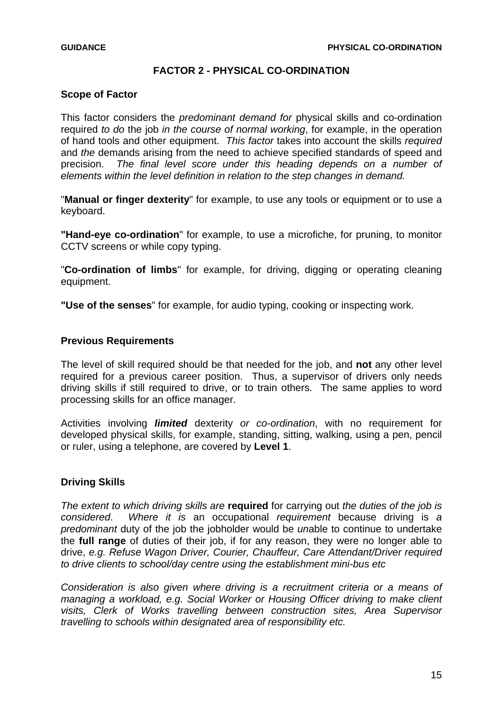### **FACTOR 2 - PHYSICAL CO-ORDINATION**

### <span id="page-14-0"></span>**Scope of Factor**

This factor considers the *predominant demand for* physical skills and co-ordination required *to do* the job *in the course of normal working*, for example, in the operation of hand tools and other equipment. *This factor* takes into account the skills *required*  and *the* demands arising from the need to achieve specified standards of speed and precision. *The final level score under this heading depends on a number of elements within the level definition in relation to the step changes in demand.* 

"**Manual or finger dexterity**" for example, to use any tools or equipment or to use a keyboard.

**"Hand-eye co-ordination**" for example, to use a microfiche, for pruning, to monitor CCTV screens or while copy typing.

"**Co-ordination of limbs**" for example, for driving, digging or operating cleaning equipment.

**"Use of the senses**" for example, for audio typing, cooking or inspecting work.

### **Previous Requirements**

The level of skill required should be that needed for the job, and **not** any other level required for a previous career position. Thus, a supervisor of drivers only needs driving skills if still required to drive, or to train others. The same applies to word processing skills for an office manager.

Activities involving *limited* dexterity *or co-ordination*, with no requirement for developed physical skills, for example, standing, sitting, walking, using a pen, pencil or ruler, using a telephone, are covered by **Level 1**.

### **Driving Skills**

*The extent to which driving skills are* **required** for carrying out *the duties of the job is considered*. *Where it is* an occupational *requirement* because driving is *a predominant* duty of the job the jobholder would be *un*able to continue to undertake the **full range** of duties of their job, if for any reason, they were no longer able to drive, *e.g. Refuse Wagon Driver, Courier, Chauffeur, Care Attendant/Driver required to drive clients to school/day centre using the establishment mini-bus etc* 

*Consideration is also given where driving is a recruitment criteria or a means of managing a workload, e.g. Social Worker or Housing Officer driving to make client visits, Clerk of Works travelling between construction sites, Area Supervisor travelling to schools within designated area of responsibility etc.*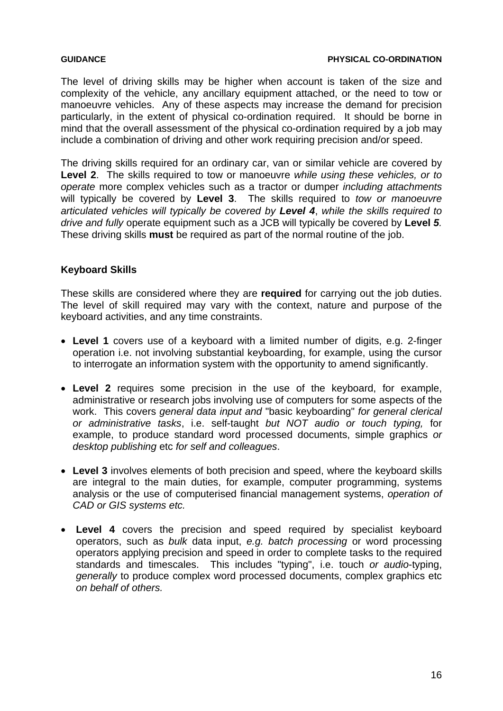The level of driving skills may be higher when account is taken of the size and complexity of the vehicle, any ancillary equipment attached, or the need to tow or manoeuvre vehicles. Any of these aspects may increase the demand for precision particularly, in the extent of physical co-ordination required. It should be borne in mind that the overall assessment of the physical co-ordination required by a job may include a combination of driving and other work requiring precision and/or speed.

The driving skills required for an ordinary car, van or similar vehicle are covered by **Level 2**. The skills required to tow or manoeuvre *while using these vehicles, or to operate* more complex vehicles such as a tractor or dumper *including attachments*  will typically be covered by **Level 3**. The skills required to *tow or manoeuvre articulated vehicles will typically be covered by Level 4*, *while the skills required to drive and fully* operate equipment such as a JCB will typically be covered by **Level** *5.* These driving skills **must** be required as part of the normal routine of the job.

# **Keyboard Skills**

These skills are considered where they are **required** for carrying out the job duties. The level of skill required may vary with the context, nature and purpose of the keyboard activities, and any time constraints.

- **Level 1** covers use of a keyboard with a limited number of digits, e.g. 2-finger operation i.e. not involving substantial keyboarding, for example, using the cursor to interrogate an information system with the opportunity to amend significantly.
- **Level 2** requires some precision in the use of the keyboard, for example, administrative or research jobs involving use of computers for some aspects of the work. This covers *general data input and* "basic keyboarding" *for general clerical or administrative tasks*, i.e. self-taught *but NOT audio or touch typing,* for example, to produce standard word processed documents, simple graphics *or desktop publishing* etc *for self and colleagues*.
- **Level 3** involves elements of both precision and speed, where the keyboard skills are integral to the main duties, for example, computer programming, systems analysis or the use of computerised financial management systems, *operation of CAD or GIS systems etc.*
- **Level 4** covers the precision and speed required by specialist keyboard operators, such as *bulk* data input, *e.g. batch processing* or word processing operators applying precision and speed in order to complete tasks to the required standards and timescales. This includes "typing", i.e. touch *or audio*-typing, *generally* to produce complex word processed documents, complex graphics etc *on behalf of others.*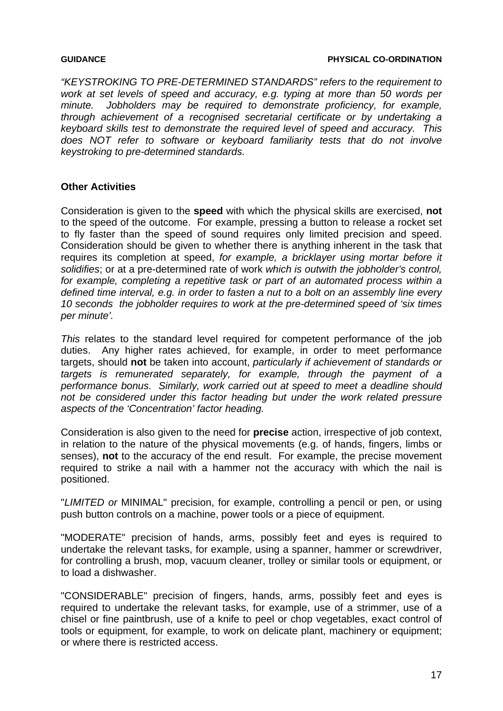*"KEYSTROKING TO PRE-DETERMINED STANDARDS" refers to the requirement to work at set levels of speed and accuracy, e.g. typing at more than 50 words per minute. Jobholders may be required to demonstrate proficiency, for example, through achievement of a recognised secretarial certificate or by undertaking a keyboard skills test to demonstrate the required level of speed and accuracy. This does NOT refer to software or keyboard familiarity tests that do not involve keystroking to pre-determined standards.* 

# **Other Activities**

Consideration is given to the **speed** with which the physical skills are exercised, **not**  to the speed of the outcome. For example, pressing a button to release a rocket set to fly faster than the speed of sound requires only limited precision and speed. Consideration should be given to whether there is anything inherent in the task that requires its completion at speed, *for example, a bricklayer using mortar before it solidifies*; or at a pre-determined rate of work *which is outwith the jobholder's control,*  for example, completing a repetitive task or part of an automated process within a *defined time interval, e.g. in order to fasten a nut to a bolt on an assembly line every 10 seconds the jobholder requires to work at the pre-determined speed of 'six times per minute'.* 

*This* relates to the standard level required for competent performance of the job duties. Any higher rates achieved, for example, in order to meet performance targets, should **not** be taken into account, *particularly if achievement of standards or targets is remunerated separately, for example, through the payment of a performance bonus. Similarly, work carried out at speed to meet a deadline should not be considered under this factor heading but under the work related pressure aspects of the 'Concentration' factor heading.* 

Consideration is also given to the need for **precise** action, irrespective of job context, in relation to the nature of the physical movements (e.g. of hands, fingers, limbs or senses), **not** to the accuracy of the end result. For example, the precise movement required to strike a nail with a hammer not the accuracy with which the nail is positioned.

"*LIMITED or* MINIMAL" precision, for example, controlling a pencil or pen, or using push button controls on a machine, power tools or a piece of equipment.

"MODERATE" precision of hands, arms, possibly feet and eyes is required to undertake the relevant tasks, for example, using a spanner, hammer or screwdriver, for controlling a brush, mop, vacuum cleaner, trolley or similar tools or equipment, or to load a dishwasher.

"CONSIDERABLE" precision of fingers, hands, arms, possibly feet and eyes is required to undertake the relevant tasks, for example, use of a strimmer, use of a chisel or fine paintbrush, use of a knife to peel or chop vegetables, exact control of tools or equipment, for example, to work on delicate plant, machinery or equipment; or where there is restricted access.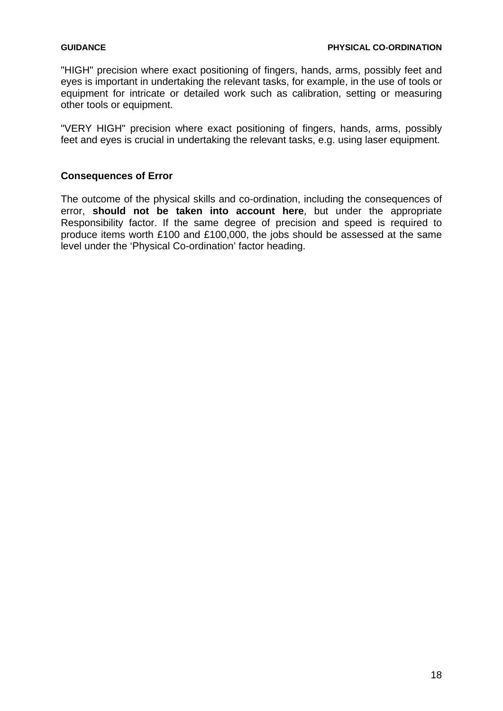"HIGH" precision where exact positioning of fingers, hands, arms, possibly feet and eyes is important in undertaking the relevant tasks, for example, in the use of tools or equipment for intricate or detailed work such as calibration, setting or measuring other tools or equipment.

"VERY HIGH" precision where exact positioning of fingers, hands, arms, possibly feet and eyes is crucial in undertaking the relevant tasks, e.g. using laser equipment.

# **Consequences of Error**

The outcome of the physical skills and co-ordination, including the consequences of error, **should not be taken into account here**, but under the appropriate Responsibility factor. If the same degree of precision and speed is required to produce items worth £100 and £100,000, the jobs should be assessed at the same level under the 'Physical Co-ordination' factor heading.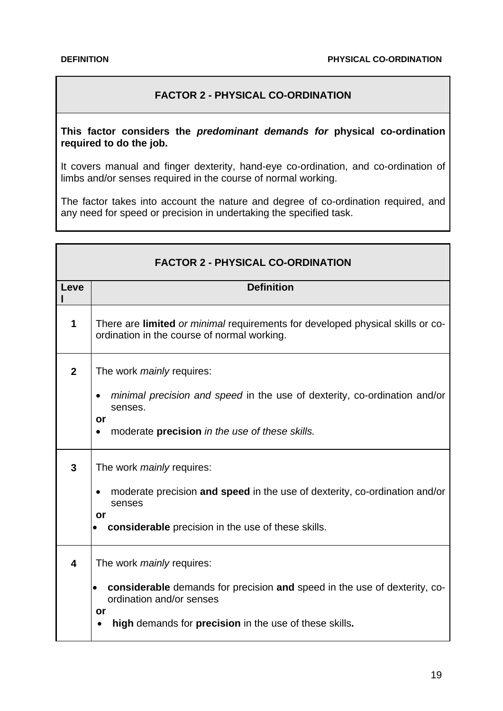# **FACTOR 2 - PHYSICAL CO-ORDINATION**

### <span id="page-18-0"></span>**This factor considers the** *predominant demands for* **physical co-ordination required to do the job.**

It covers manual and finger dexterity, hand-eye co-ordination, and co-ordination of limbs and/or senses required in the course of normal working.

The factor takes into account the nature and degree of co-ordination required, and any need for speed or precision in undertaking the specified task.

|                         | <b>FACTOR 2 - PHYSICAL CO-ORDINATION</b>                                                                                                                                                                  |
|-------------------------|-----------------------------------------------------------------------------------------------------------------------------------------------------------------------------------------------------------|
| Leve                    | <b>Definition</b>                                                                                                                                                                                         |
| 1                       | There are limited or minimal requirements for developed physical skills or co-<br>ordination in the course of normal working.                                                                             |
| $\mathbf{2}$            | The work <i>mainly</i> requires:<br><i>minimal precision and speed in the use of dexterity, co-ordination and/or</i><br>senses.<br>or<br>moderate precision in the use of these skills.                   |
| 3                       | The work <i>mainly</i> requires:<br>moderate precision and speed in the use of dexterity, co-ordination and/or<br>$\bullet$<br>senses<br>or<br>considerable precision in the use of these skills.         |
| $\overline{\mathbf{4}}$ | The work <i>mainly</i> requires:<br>considerable demands for precision and speed in the use of dexterity, co-<br>ordination and/or senses<br>or<br>high demands for precision in the use of these skills. |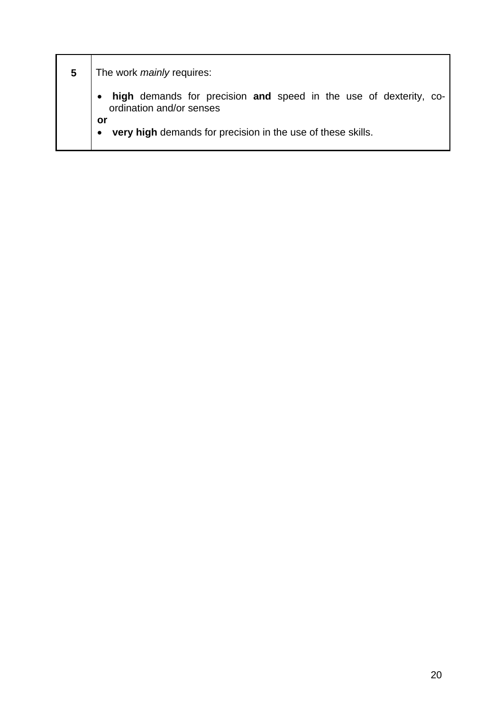| 5 | The work <i>mainly</i> requires:                                                                                                                                   |
|---|--------------------------------------------------------------------------------------------------------------------------------------------------------------------|
|   | high demands for precision and speed in the use of dexterity, co-<br>ordination and/or senses<br>or<br>very high demands for precision in the use of these skills. |
|   |                                                                                                                                                                    |

ń

ı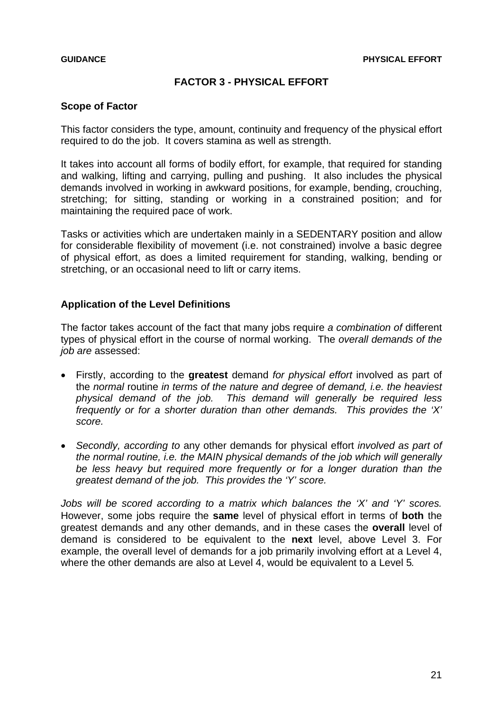### **FACTOR 3 - PHYSICAL EFFORT**

### <span id="page-20-0"></span>**Scope of Factor**

This factor considers the type, amount, continuity and frequency of the physical effort required to do the job. It covers stamina as well as strength.

It takes into account all forms of bodily effort, for example, that required for standing and walking, lifting and carrying, pulling and pushing. It also includes the physical demands involved in working in awkward positions, for example, bending, crouching, stretching; for sitting, standing or working in a constrained position; and for maintaining the required pace of work.

Tasks or activities which are undertaken mainly in a SEDENTARY position and allow for considerable flexibility of movement (i.e. not constrained) involve a basic degree of physical effort, as does a limited requirement for standing, walking, bending or stretching, or an occasional need to lift or carry items.

### **Application of the Level Definitions**

The factor takes account of the fact that many jobs require *a combination of* different types of physical effort in the course of normal working. The *overall demands of the job are* assessed:

- Firstly, according to the **greatest** demand *for physical effort* involved as part of the *normal* routine *in terms of the nature and degree of demand, i.e. the heaviest physical demand of the job. This demand will generally be required less frequently or for a shorter duration than other demands. This provides the 'X' score.*
- *Secondly, according to* any other demands for physical effort *involved as part of the normal routine, i.e. the MAIN physical demands of the job which will generally be less heavy but required more frequently or for a longer duration than the greatest demand of the job. This provides the 'Y' score.*

*Jobs will be scored according to a matrix which balances the 'X' and 'Y' scores.*  However, some jobs require the **same** level of physical effort in terms of **both** the greatest demands and any other demands, and in these cases the **overall** level of demand is considered to be equivalent to the **next** level, above Level 3. For example, the overall level of demands for a job primarily involving effort at a Level 4, where the other demands are also at Level 4, would be equivalent to a Level 5*.*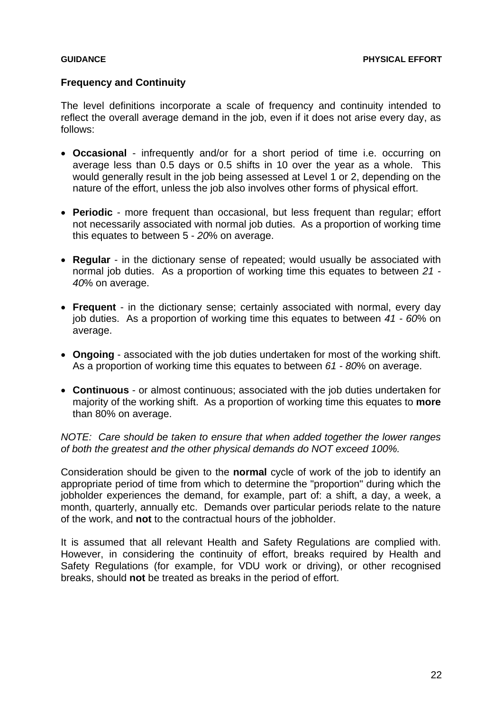### **Frequency and Continuity**

The level definitions incorporate a scale of frequency and continuity intended to reflect the overall average demand in the job, even if it does not arise every day, as follows:

- **Occasional** infrequently and/or for a short period of time i.e. occurring on average less than 0.5 days or 0.5 shifts in 10 over the year as a whole. This would generally result in the job being assessed at Level 1 or 2, depending on the nature of the effort, unless the job also involves other forms of physical effort.
- **Periodic** more frequent than occasional, but less frequent than regular; effort not necessarily associated with normal job duties. As a proportion of working time this equates to between 5 - *20*% on average.
- **Regular** in the dictionary sense of repeated; would usually be associated with normal job duties. As a proportion of working time this equates to between *21 - 40*% on average.
- **Frequent** in the dictionary sense; certainly associated with normal, every day job duties. As a proportion of working time this equates to between *41 - 60*% on average.
- **Ongoing** associated with the job duties undertaken for most of the working shift. As a proportion of working time this equates to between *61 - 80*% on average.
- **Continuous** or almost continuous; associated with the job duties undertaken for majority of the working shift. As a proportion of working time this equates to **more** than 80% on average.

*NOTE: Care should be taken to ensure that when added together the lower ranges of both the greatest and the other physical demands do NOT exceed 100%.* 

Consideration should be given to the **normal** cycle of work of the job to identify an appropriate period of time from which to determine the "proportion" during which the jobholder experiences the demand, for example, part of: a shift, a day, a week, a month, quarterly, annually etc. Demands over particular periods relate to the nature of the work, and **not** to the contractual hours of the jobholder.

It is assumed that all relevant Health and Safety Regulations are complied with. However, in considering the continuity of effort, breaks required by Health and Safety Regulations (for example, for VDU work or driving), or other recognised breaks, should **not** be treated as breaks in the period of effort.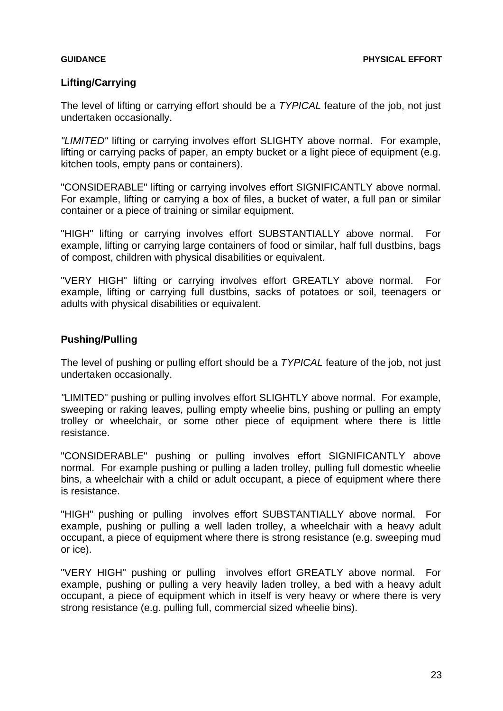### **Lifting/Carrying**

The level of lifting or carrying effort should be a *TYPICAL* feature of the job, not just undertaken occasionally.

*"LIMITED"* lifting or carrying involves effort SLIGHTY above normal. For example, lifting or carrying packs of paper, an empty bucket or a light piece of equipment (e.g. kitchen tools, empty pans or containers).

"CONSIDERABLE" lifting or carrying involves effort SIGNIFICANTLY above normal. For example, lifting or carrying a box of files, a bucket of water, a full pan or similar container or a piece of training or similar equipment.

"HIGH" lifting or carrying involves effort SUBSTANTIALLY above normal. For example, lifting or carrying large containers of food or similar, half full dustbins, bags of compost, children with physical disabilities or equivalent.

"VERY HIGH" lifting or carrying involves effort GREATLY above normal. For example, lifting or carrying full dustbins, sacks of potatoes or soil, teenagers or adults with physical disabilities or equivalent.

### **Pushing/Pulling**

The level of pushing or pulling effort should be a *TYPICAL* feature of the job, not just undertaken occasionally.

*"*LIMITED" pushing or pulling involves effort SLIGHTLY above normal. For example, sweeping or raking leaves, pulling empty wheelie bins, pushing or pulling an empty trolley or wheelchair, or some other piece of equipment where there is little resistance.

"CONSIDERABLE" pushing or pulling involves effort SIGNIFICANTLY above normal. For example pushing or pulling a laden trolley, pulling full domestic wheelie bins, a wheelchair with a child or adult occupant, a piece of equipment where there is resistance.

"HIGH" pushing or pulling involves effort SUBSTANTIALLY above normal. For example, pushing or pulling a well laden trolley, a wheelchair with a heavy adult occupant, a piece of equipment where there is strong resistance (e.g. sweeping mud or ice).

"VERY HIGH" pushing or pulling involves effort GREATLY above normal. For example, pushing or pulling a very heavily laden trolley, a bed with a heavy adult occupant, a piece of equipment which in itself is very heavy or where there is very strong resistance (e.g. pulling full, commercial sized wheelie bins).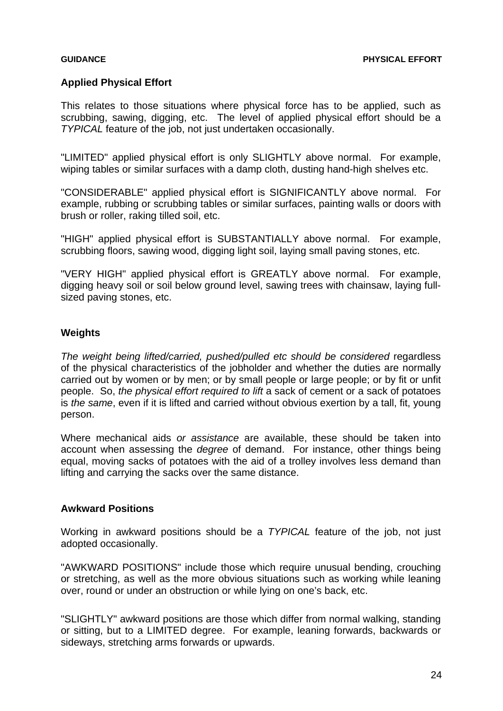### **Applied Physical Effort**

This relates to those situations where physical force has to be applied, such as scrubbing, sawing, digging, etc. The level of applied physical effort should be a *TYPICAL* feature of the job, not just undertaken occasionally.

"LIMITED" applied physical effort is only SLIGHTLY above normal. For example, wiping tables or similar surfaces with a damp cloth, dusting hand-high shelves etc.

"CONSIDERABLE" applied physical effort is SIGNIFICANTLY above normal. For example, rubbing or scrubbing tables or similar surfaces, painting walls or doors with brush or roller, raking tilled soil, etc.

"HIGH" applied physical effort is SUBSTANTIALLY above normal. For example, scrubbing floors, sawing wood, digging light soil, laying small paving stones, etc.

"VERY HIGH" applied physical effort is GREATLY above normal. For example, digging heavy soil or soil below ground level, sawing trees with chainsaw, laying fullsized paving stones, etc.

### **Weights**

*The weight being lifted/carried, pushed/pulled etc should be considered* regardless of the physical characteristics of the jobholder and whether the duties are normally carried out by women or by men; or by small people or large people; or by fit or unfit people. So, *the physical effort required to lift* a sack of cement or a sack of potatoes is *the same*, even if it is lifted and carried without obvious exertion by a tall, fit, young person.

Where mechanical aids *or assistance* are available, these should be taken into account when assessing the *degree* of demand. For instance, other things being equal, moving sacks of potatoes with the aid of a trolley involves less demand than lifting and carrying the sacks over the same distance.

### **Awkward Positions**

Working in awkward positions should be a *TYPICAL* feature of the job, not just adopted occasionally.

"AWKWARD POSITIONS" include those which require unusual bending, crouching or stretching, as well as the more obvious situations such as working while leaning over, round or under an obstruction or while lying on one's back, etc.

"SLIGHTLY" awkward positions are those which differ from normal walking, standing or sitting, but to a LIMITED degree. For example, leaning forwards, backwards or sideways, stretching arms forwards or upwards.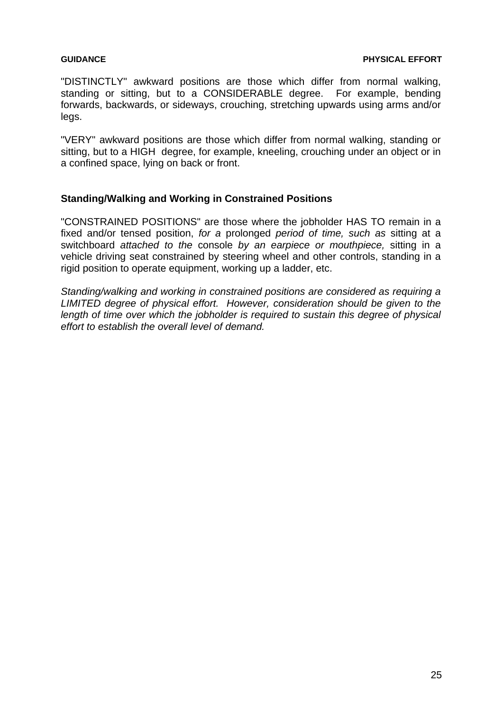"DISTINCTLY" awkward positions are those which differ from normal walking, standing or sitting, but to a CONSIDERABLE degree. For example, bending forwards, backwards, or sideways, crouching, stretching upwards using arms and/or legs.

"VERY" awkward positions are those which differ from normal walking, standing or sitting, but to a HIGH degree, for example, kneeling, crouching under an object or in a confined space, lying on back or front.

### **Standing/Walking and Working in Constrained Positions**

"CONSTRAINED POSITIONS" are those where the jobholder HAS TO remain in a fixed and/or tensed position, *for a* prolonged *period of time, such as* sitting at a switchboard *attached to the* console *by an earpiece or mouthpiece,* sitting in a vehicle driving seat constrained by steering wheel and other controls, standing in a rigid position to operate equipment, working up a ladder, etc.

*Standing/walking and working in constrained positions are considered as requiring a LIMITED degree of physical effort. However, consideration should be given to the length of time over which the jobholder is required to sustain this degree of physical effort to establish the overall level of demand.*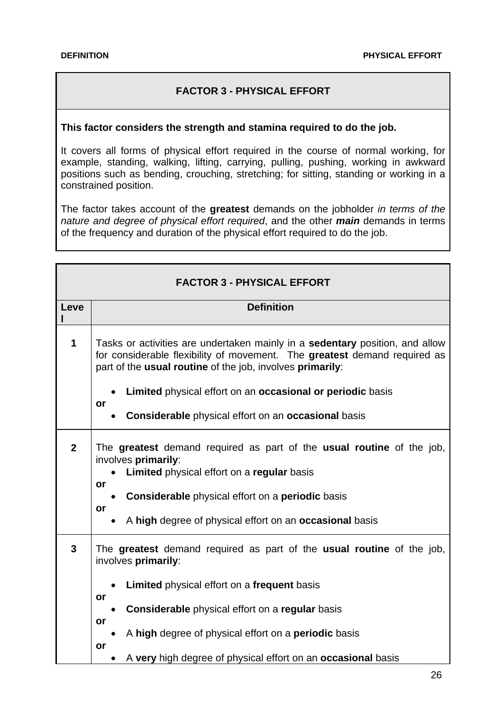# **FACTOR 3 - PHYSICAL EFFORT**

### <span id="page-25-0"></span>**This factor considers the strength and stamina required to do the job.**

It covers all forms of physical effort required in the course of normal working, for example, standing, walking, lifting, carrying, pulling, pushing, working in awkward positions such as bending, crouching, stretching; for sitting, standing or working in a constrained position.

The factor takes account of the **greatest** demands on the jobholder *in terms of the nature and degree of physical effort required*, and the other *main* demands in terms of the frequency and duration of the physical effort required to do the job.

| <b>FACTOR 3 - PHYSICAL EFFORT</b> |                                                                                                                                                                                                                        |  |
|-----------------------------------|------------------------------------------------------------------------------------------------------------------------------------------------------------------------------------------------------------------------|--|
| Leve                              | <b>Definition</b>                                                                                                                                                                                                      |  |
| 1                                 | Tasks or activities are undertaken mainly in a sedentary position, and allow<br>for considerable flexibility of movement. The greatest demand required as<br>part of the usual routine of the job, involves primarily: |  |
|                                   | Limited physical effort on an occasional or periodic basis<br>or                                                                                                                                                       |  |
|                                   | <b>Considerable</b> physical effort on an <b>occasional</b> basis                                                                                                                                                      |  |
| $\mathbf{2}$                      | The greatest demand required as part of the usual routine of the job,<br>involves primarily:<br>Limited physical effort on a regular basis<br>or<br><b>Considerable</b> physical effort on a <b>periodic</b> basis     |  |
|                                   | or<br>A high degree of physical effort on an occasional basis                                                                                                                                                          |  |
| 3                                 | The greatest demand required as part of the usual routine of the job,<br>involves primarily:                                                                                                                           |  |
|                                   | Limited physical effort on a frequent basis<br>or                                                                                                                                                                      |  |
|                                   | <b>Considerable</b> physical effort on a regular basis                                                                                                                                                                 |  |
|                                   | or<br>A high degree of physical effort on a periodic basis<br>or                                                                                                                                                       |  |
|                                   | A very high degree of physical effort on an occasional basis                                                                                                                                                           |  |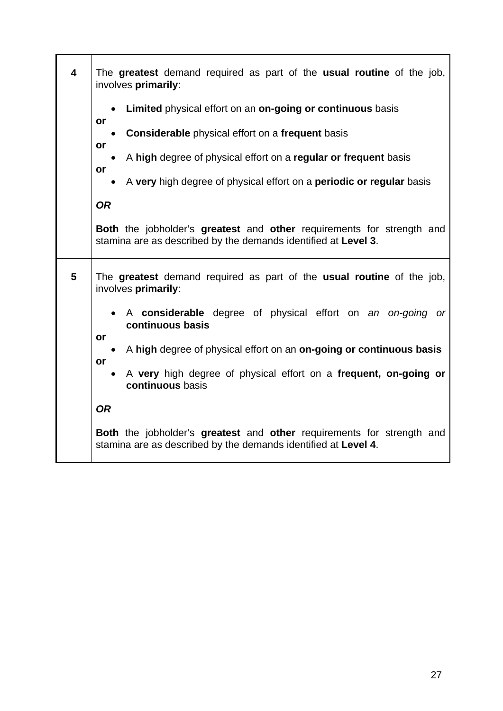| $\overline{\mathbf{4}}$ | The greatest demand required as part of the usual routine of the job,<br>involves primarily:                                                   |
|-------------------------|------------------------------------------------------------------------------------------------------------------------------------------------|
|                         | Limited physical effort on an on-going or continuous basis<br>or                                                                               |
|                         | <b>Considerable</b> physical effort on a frequent basis<br>or                                                                                  |
|                         | A high degree of physical effort on a regular or frequent basis<br>or                                                                          |
|                         | A very high degree of physical effort on a periodic or regular basis                                                                           |
|                         | <b>OR</b>                                                                                                                                      |
|                         | <b>Both</b> the jobholder's greatest and other requirements for strength and<br>stamina are as described by the demands identified at Level 3. |
| 5                       | The greatest demand required as part of the usual routine of the job,<br>involves primarily:                                                   |
|                         | A considerable degree of physical effort on an on-going<br><b>or</b><br>continuous basis                                                       |
|                         | or<br>A high degree of physical effort on an on-going or continuous basis                                                                      |
|                         | or<br>A very high degree of physical effort on a frequent, on-going or<br>$\bullet$<br>continuous basis                                        |
|                         | <b>OR</b>                                                                                                                                      |
|                         | <b>Both</b> the jobholder's greatest and other requirements for strength and<br>stamina are as described by the demands identified at Level 4. |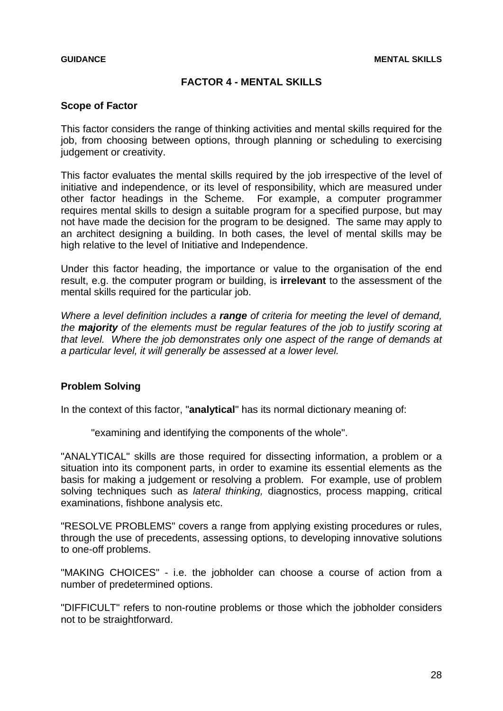### **FACTOR 4 - MENTAL SKILLS**

### <span id="page-27-0"></span>**Scope of Factor**

This factor considers the range of thinking activities and mental skills required for the job, from choosing between options, through planning or scheduling to exercising judgement or creativity.

This factor evaluates the mental skills required by the job irrespective of the level of initiative and independence, or its level of responsibility, which are measured under other factor headings in the Scheme. For example, a computer programmer requires mental skills to design a suitable program for a specified purpose, but may not have made the decision for the program to be designed. The same may apply to an architect designing a building. In both cases, the level of mental skills may be high relative to the level of Initiative and Independence.

Under this factor heading, the importance or value to the organisation of the end result, e.g. the computer program or building, is **irrelevant** to the assessment of the mental skills required for the particular job.

*Where a level definition includes a range of criteria for meeting the level of demand, the majority of the elements must be regular features of the job to justify scoring at that level. Where the job demonstrates only one aspect of the range of demands at a particular level, it will generally be assessed at a lower level.* 

### **Problem Solving**

In the context of this factor, "**analytical**" has its normal dictionary meaning of:

"examining and identifying the components of the whole".

"ANALYTICAL" skills are those required for dissecting information, a problem or a situation into its component parts, in order to examine its essential elements as the basis for making a judgement or resolving a problem. For example, use of problem solving techniques such as *lateral thinking,* diagnostics, process mapping, critical examinations, fishbone analysis etc.

"RESOLVE PROBLEMS" covers a range from applying existing procedures or rules, through the use of precedents, assessing options, to developing innovative solutions to one-off problems.

"MAKING CHOICES" - i.e. the jobholder can choose a course of action from a number of predetermined options.

"DIFFICULT" refers to non-routine problems or those which the jobholder considers not to be straightforward.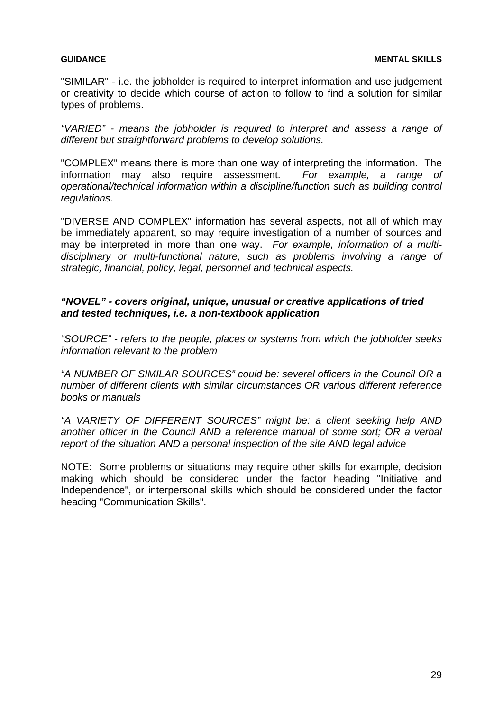"SIMILAR" - i.e. the jobholder is required to interpret information and use judgement or creativity to decide which course of action to follow to find a solution for similar types of problems.

*"VARIED" - means the jobholder is required to interpret and assess a range of different but straightforward problems to develop solutions.* 

"COMPLEX" means there is more than one way of interpreting the information. The information may also require assessment. *For example, a range of operational/technical information within a discipline/function such as building control regulations.* 

"DIVERSE AND COMPLEX" information has several aspects, not all of which may be immediately apparent, so may require investigation of a number of sources and may be interpreted in more than one way. *For example, information of a multidisciplinary or multi-functional nature, such as problems involving a range of strategic, financial, policy, legal, personnel and technical aspects.* 

### *"NOVEL" - covers original, unique, unusual or creative applications of tried and tested techniques, i.e. a non-textbook application*

*"SOURCE" - refers to the people, places or systems from which the jobholder seeks information relevant to the problem* 

*"A NUMBER OF SIMILAR SOURCES" could be: several officers in the Council OR a number of different clients with similar circumstances OR various different reference books or manuals* 

*"A VARIETY OF DIFFERENT SOURCES" might be: a client seeking help AND another officer in the Council AND a reference manual of some sort; OR a verbal report of the situation AND a personal inspection of the site AND legal advice* 

NOTE: Some problems or situations may require other skills for example, decision making which should be considered under the factor heading "Initiative and Independence", or interpersonal skills which should be considered under the factor heading "Communication Skills".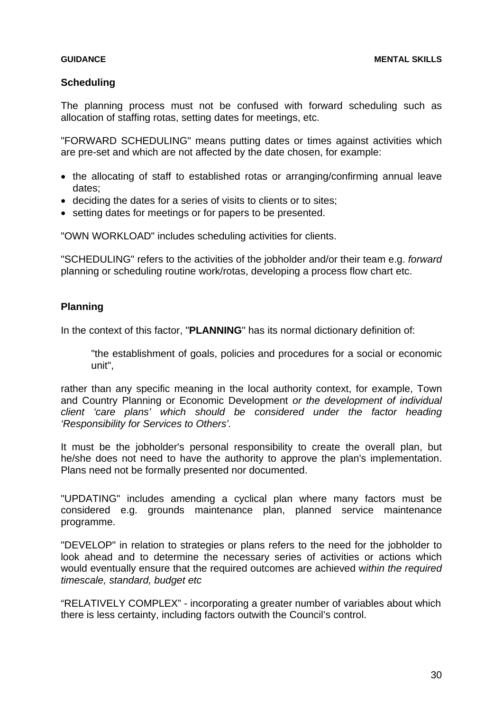### **Scheduling**

The planning process must not be confused with forward scheduling such as allocation of staffing rotas, setting dates for meetings, etc.

"FORWARD SCHEDULING" means putting dates or times against activities which are pre-set and which are not affected by the date chosen, for example:

- the allocating of staff to established rotas or arranging/confirming annual leave dates;
- deciding the dates for a series of visits to clients or to sites;
- setting dates for meetings or for papers to be presented.

"OWN WORKLOAD" includes scheduling activities for clients.

"SCHEDULING" refers to the activities of the jobholder and/or their team e.g. *forward* planning or scheduling routine work/rotas, developing a process flow chart etc.

# **Planning**

In the context of this factor, "**PLANNING**" has its normal dictionary definition of:

"the establishment of goals, policies and procedures for a social or economic unit",

rather than any specific meaning in the local authority context, for example, Town and Country Planning or Economic Development *or the development of individual client 'care plans' which should be considered under the factor heading 'Responsibility for Services to Others'.*

It must be the jobholder's personal responsibility to create the overall plan, but he/she does not need to have the authority to approve the plan's implementation. Plans need not be formally presented nor documented.

"UPDATING" includes amending a cyclical plan where many factors must be considered e.g. grounds maintenance plan, planned service maintenance programme.

"DEVELOP" in relation to strategies or plans refers to the need for the jobholder to look ahead and to determine the necessary series of activities or actions which would eventually ensure that the required outcomes are achieved w*ithin the required timescale, standard, budget etc* 

"RELATIVELY COMPLEX" - incorporating a greater number of variables about which there is less certainty, including factors outwith the Council's control.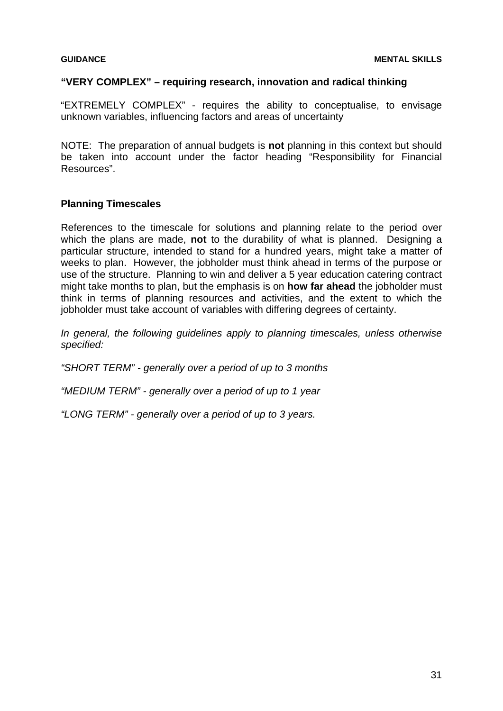### **"VERY COMPLEX" – requiring research, innovation and radical thinking**

"EXTREMELY COMPLEX" - requires the ability to conceptualise, to envisage unknown variables, influencing factors and areas of uncertainty

NOTE: The preparation of annual budgets is **not** planning in this context but should be taken into account under the factor heading "Responsibility for Financial Resources".

### **Planning Timescales**

References to the timescale for solutions and planning relate to the period over which the plans are made, **not** to the durability of what is planned. Designing a particular structure, intended to stand for a hundred years, might take a matter of weeks to plan. However, the jobholder must think ahead in terms of the purpose or use of the structure. Planning to win and deliver a 5 year education catering contract might take months to plan, but the emphasis is on **how far ahead** the jobholder must think in terms of planning resources and activities, and the extent to which the jobholder must take account of variables with differing degrees of certainty.

*In general, the following guidelines apply to planning timescales, unless otherwise specified:* 

*"SHORT TERM" - generally over a period of up to 3 months* 

*"MEDIUM TERM" - generally over a period of up to 1 year* 

*"LONG TERM" - generally over a period of up to 3 years.*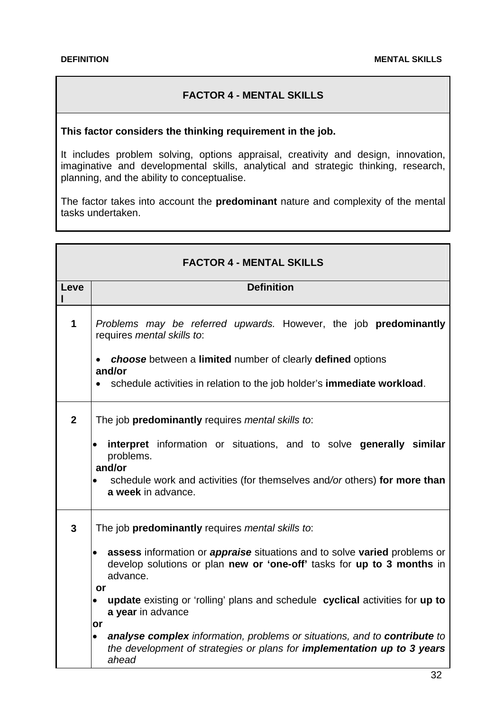### **FACTOR 4 - MENTAL SKILLS**

# <span id="page-31-0"></span>**This factor considers the thinking requirement in the job.**

It includes problem solving, options appraisal, creativity and design, innovation, imaginative and developmental skills, analytical and strategic thinking, research, planning, and the ability to conceptualise.

The factor takes into account the **predominant** nature and complexity of the mental tasks undertaken.

| <b>FACTOR 4 - MENTAL SKILLS</b> |                                                                                                                                                                                                                         |  |
|---------------------------------|-------------------------------------------------------------------------------------------------------------------------------------------------------------------------------------------------------------------------|--|
| Leve                            | <b>Definition</b>                                                                                                                                                                                                       |  |
| 1                               | Problems may be referred upwards. However, the job predominantly<br>requires mental skills to:                                                                                                                          |  |
|                                 | <b>choose</b> between a <b>limited</b> number of clearly <b>defined</b> options<br>and/or<br>schedule activities in relation to the job holder's <b>immediate workload</b> .<br>$\bullet$                               |  |
| $\overline{2}$                  | The job predominantly requires mental skills to:                                                                                                                                                                        |  |
|                                 | interpret information or situations, and to solve generally similar<br>$\bullet$<br>problems.<br>and/or<br>schedule work and activities (for themselves and/or others) for more than<br>$\bullet$<br>a week in advance. |  |
| $\mathbf{3}$                    | The job predominantly requires mental skills to:                                                                                                                                                                        |  |
|                                 | assess information or <i>appraise</i> situations and to solve varied problems or<br>develop solutions or plan new or 'one-off' tasks for up to 3 months in<br>advance.                                                  |  |
|                                 | or<br>update existing or 'rolling' plans and schedule cyclical activities for up to<br>a year in advance<br>or                                                                                                          |  |
|                                 | analyse complex information, problems or situations, and to contribute to<br>$\bullet$<br>the development of strategies or plans for <i>implementation up to 3 years</i><br>ahead                                       |  |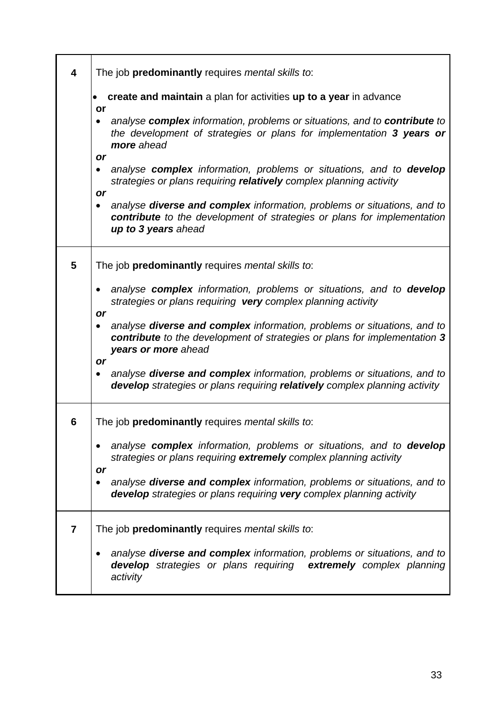| 4              | The job predominantly requires mental skills to:                                                                                                                                              |
|----------------|-----------------------------------------------------------------------------------------------------------------------------------------------------------------------------------------------|
|                | create and maintain a plan for activities up to a year in advance<br>or                                                                                                                       |
|                | analyse complex information, problems or situations, and to contribute to<br>the development of strategies or plans for implementation 3 years or<br>more ahead                               |
|                | or<br>analyse complex information, problems or situations, and to develop<br>$\bullet$<br>strategies or plans requiring relatively complex planning activity<br>or                            |
|                | analyse <b>diverse and complex</b> information, problems or situations, and to<br>$\bullet$<br>contribute to the development of strategies or plans for implementation<br>up to 3 years ahead |
| 5              | The job predominantly requires mental skills to:                                                                                                                                              |
|                | • analyse complex information, problems or situations, and to develop<br>strategies or plans requiring very complex planning activity<br>or                                                   |
|                | analyse diverse and complex information, problems or situations, and to<br>$\bullet$<br>contribute to the development of strategies or plans for implementation 3<br>years or more ahead      |
|                | or<br>analyse <b>diverse and complex</b> information, problems or situations, and to<br>٠<br>develop strategies or plans requiring relatively complex planning activity                       |
| 6              | The job <b>predominantly</b> requires <i>mental skills to</i> :                                                                                                                               |
|                | analyse complex information, problems or situations, and to develop<br>strategies or plans requiring extremely complex planning activity<br>or                                                |
|                | analyse diverse and complex information, problems or situations, and to<br>develop strategies or plans requiring very complex planning activity                                               |
| $\overline{7}$ | The job predominantly requires mental skills to:                                                                                                                                              |
|                | analyse diverse and complex information, problems or situations, and to<br><b>develop</b> strategies or plans requiring extremely complex planning<br>activity                                |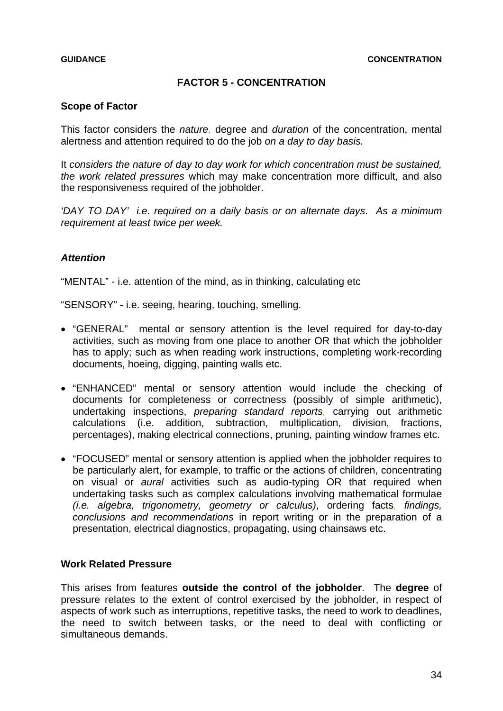# **FACTOR 5 - CONCENTRATION**

### <span id="page-33-0"></span>**Scope of Factor**

This factor considers the *nature,* degree and *duration* of the concentration, mental alertness and attention required to do the job *on a day to day basis.* 

It *considers the nature of day to day work for which concentration must be sustained, the work related pressures* which may make concentration more difficult, and also the responsiveness required of the jobholder.

*'DAY TO DAY' i.e. required on a daily basis or on alternate days*. *As a minimum requirement at least twice per week.*

### *Attention*

"MENTAL" - i.e. attention of the mind, as in thinking, calculating etc

"SENSORY" - i.e. seeing, hearing, touching, smelling.

- "GENERAL" mental or sensory attention is the level required for day-to-day activities, such as moving from one place to another OR that which the jobholder has to apply; such as when reading work instructions, completing work-recording documents, hoeing, digging, painting walls etc.
- "ENHANCED" mental or sensory attention would include the checking of documents for completeness or correctness (possibly of simple arithmetic), undertaking inspections, *preparing standard reports,* carrying out arithmetic calculations (i.e. addition, subtraction, multiplication, division, fractions, percentages), making electrical connections, pruning, painting window frames etc.
- "FOCUSED" mental or sensory attention is applied when the jobholder requires to be particularly alert, for example, to traffic or the actions of children, concentrating on visual or *aural* activities such as audio-typing OR that required when undertaking tasks such as complex calculations involving mathematical formulae *(i.e. algebra, trigonometry, geometry or calculus)*, ordering facts*, findings, conclusions and recommendations* in report writing or in the preparation of a presentation, electrical diagnostics, propagating, using chainsaws etc.

### **Work Related Pressure**

This arises from features **outside the control of the jobholder**. The **degree** of pressure relates to the extent of control exercised by the jobholder, in respect of aspects of work such as interruptions, repetitive tasks, the need to work to deadlines, the need to switch between tasks, or the need to deal with conflicting or simultaneous demands.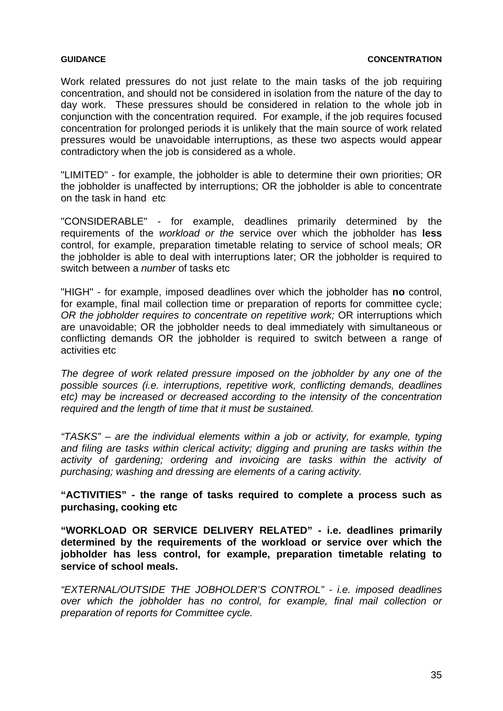Work related pressures do not just relate to the main tasks of the job requiring concentration, and should not be considered in isolation from the nature of the day to day work. These pressures should be considered in relation to the whole job in conjunction with the concentration required. For example, if the job requires focused concentration for prolonged periods it is unlikely that the main source of work related pressures would be unavoidable interruptions, as these two aspects would appear contradictory when the job is considered as a whole.

"LIMITED" - for example, the jobholder is able to determine their own priorities; OR the jobholder is unaffected by interruptions; OR the jobholder is able to concentrate on the task in hand etc

"CONSIDERABLE" - for example, deadlines primarily determined by the requirements of the *workload or the* service over which the jobholder has **less** control, for example, preparation timetable relating to service of school meals; OR the jobholder is able to deal with interruptions later; OR the jobholder is required to switch between a *number* of tasks etc

"HIGH" - for example, imposed deadlines over which the jobholder has **no** control, for example, final mail collection time or preparation of reports for committee cycle; *OR the jobholder requires to concentrate on repetitive work;* OR interruptions which are unavoidable; OR the jobholder needs to deal immediately with simultaneous or conflicting demands OR the jobholder is required to switch between a range of activities etc

*The degree of work related pressure imposed on the jobholder by any one of the possible sources (i.e. interruptions, repetitive work, conflicting demands, deadlines etc) may be increased or decreased according to the intensity of the concentration required and the length of time that it must be sustained.* 

*"TASKS" – are the individual elements within a job or activity, for example, typing and filing are tasks within clerical activity; digging and pruning are tasks within the activity of gardening; ordering and invoicing are tasks within the activity of purchasing; washing and dressing are elements of a caring activity.* 

**"ACTIVITIES" - the range of tasks required to complete a process such as purchasing, cooking etc** 

**"WORKLOAD OR SERVICE DELIVERY RELATED" - i.e. deadlines primarily determined by the requirements of the workload or service over which the jobholder has less control, for example, preparation timetable relating to service of school meals.** 

*"EXTERNAL/OUTSIDE THE JOBHOLDER'S CONTROL" - i.e. imposed deadlines over which the jobholder has no control, for example, final mail collection or preparation of reports for Committee cycle.*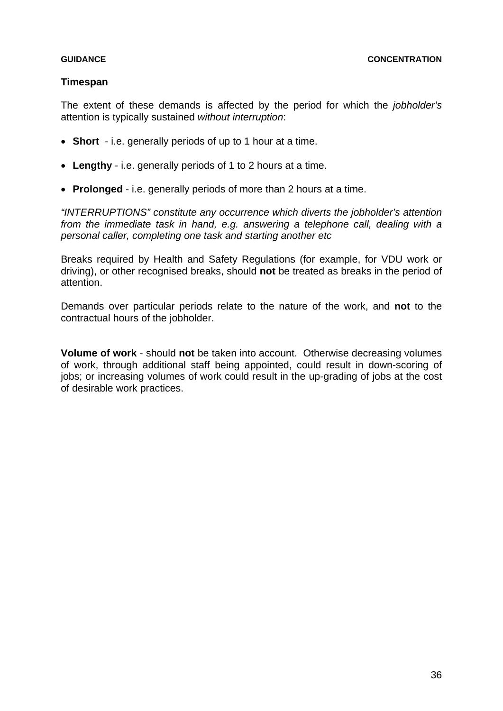### **Timespan**

The extent of these demands is affected by the period for which the *jobholder's* attention is typically sustained *without interruption*:

- **Short**  i.e. generally periods of up to 1 hour at a time.
- **Lengthy**  i.e. generally periods of 1 to 2 hours at a time.
- **Prolonged**  i.e. generally periods of more than 2 hours at a time.

*"INTERRUPTIONS" constitute any occurrence which diverts the jobholder's attention from the immediate task in hand, e.g. answering a telephone call, dealing with a personal caller, completing one task and starting another etc* 

Breaks required by Health and Safety Regulations (for example, for VDU work or driving), or other recognised breaks, should **not** be treated as breaks in the period of attention.

Demands over particular periods relate to the nature of the work, and **not** to the contractual hours of the jobholder.

**Volume of work** - should **not** be taken into account. Otherwise decreasing volumes of work, through additional staff being appointed, could result in down-scoring of jobs; or increasing volumes of work could result in the up-grading of jobs at the cost of desirable work practices.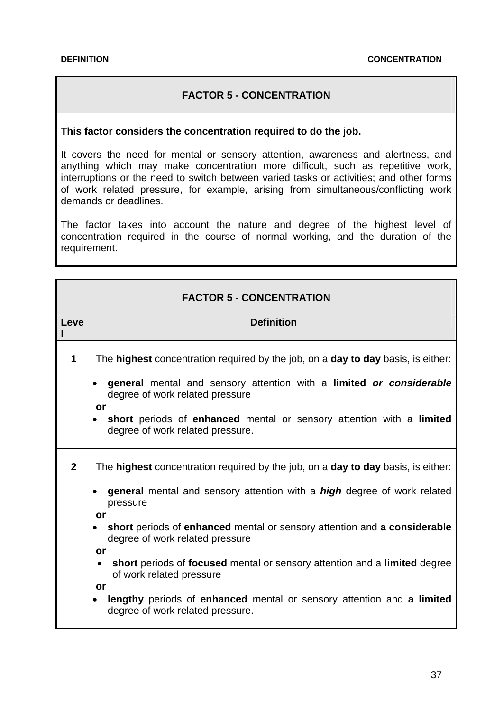# **FACTOR 5 - CONCENTRATION**

### **This factor considers the concentration required to do the job.**

It covers the need for mental or sensory attention, awareness and alertness, and anything which may make concentration more difficult, such as repetitive work, interruptions or the need to switch between varied tasks or activities; and other forms of work related pressure, for example, arising from simultaneous/conflicting work demands or deadlines.

The factor takes into account the nature and degree of the highest level of concentration required in the course of normal working, and the duration of the requirement.

|              | FAUTUN J - CUNCLIVINATION                                                                                                                                                                                                                                                                                                                                                                                                                                                                                                                                            |  |
|--------------|----------------------------------------------------------------------------------------------------------------------------------------------------------------------------------------------------------------------------------------------------------------------------------------------------------------------------------------------------------------------------------------------------------------------------------------------------------------------------------------------------------------------------------------------------------------------|--|
| Leve         | <b>Definition</b>                                                                                                                                                                                                                                                                                                                                                                                                                                                                                                                                                    |  |
| 1            | The <b>highest</b> concentration required by the job, on a <b>day to day</b> basis, is either:<br>general mental and sensory attention with a limited or considerable<br>degree of work related pressure<br>or<br>short periods of enhanced mental or sensory attention with a limited<br>degree of work related pressure.                                                                                                                                                                                                                                           |  |
| $\mathbf{2}$ | The highest concentration required by the job, on a day to day basis, is either:<br>general mental and sensory attention with a <i>high</i> degree of work related<br>٠<br>pressure<br>or<br>short periods of enhanced mental or sensory attention and a considerable<br>$\bullet$<br>degree of work related pressure<br>or<br>short periods of focused mental or sensory attention and a limited degree<br>$\bullet$<br>of work related pressure<br>or<br>lengthy periods of enhanced mental or sensory attention and a limited<br>degree of work related pressure. |  |

# **FACTOR 5 - CONCENTRATION**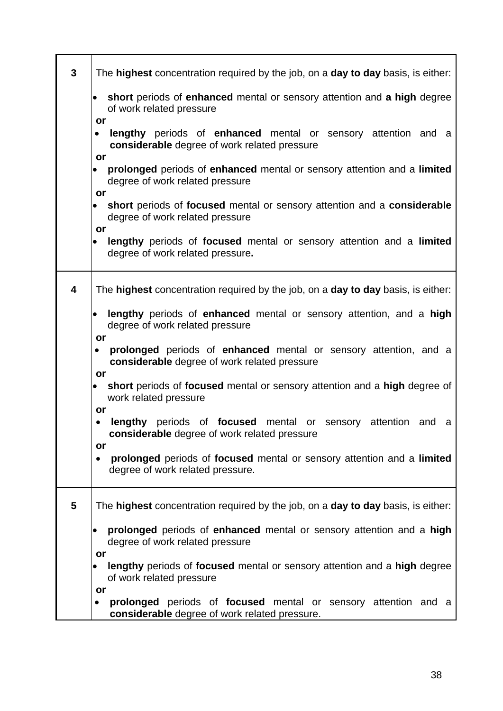| $\mathbf{3}$            | The highest concentration required by the job, on a day to day basis, is either:                                                        |
|-------------------------|-----------------------------------------------------------------------------------------------------------------------------------------|
|                         | short periods of enhanced mental or sensory attention and a high degree<br>of work related pressure                                     |
|                         | or<br>lengthy periods of enhanced mental or sensory attention and a<br>٠<br>considerable degree of work related pressure                |
|                         | or<br>prolonged periods of enhanced mental or sensory attention and a limited<br>degree of work related pressure                        |
|                         | or<br>short periods of focused mental or sensory attention and a considerable<br>degree of work related pressure                        |
|                         | or<br>lengthy periods of focused mental or sensory attention and a limited<br>$\bullet$<br>degree of work related pressure.             |
| $\overline{\mathbf{4}}$ | The highest concentration required by the job, on a day to day basis, is either:                                                        |
|                         | lengthy periods of enhanced mental or sensory attention, and a high<br>degree of work related pressure                                  |
|                         | or<br>prolonged periods of enhanced mental or sensory attention, and a<br>$\bullet$<br>considerable degree of work related pressure     |
|                         | or<br>short periods of focused mental or sensory attention and a high degree of<br>$\bullet$<br>work related pressure                   |
|                         | or<br>periods of <b>focused</b> mental or sensory attention<br>lengthy<br>and<br>a<br>٠<br>considerable degree of work related pressure |
|                         | or<br>prolonged periods of focused mental or sensory attention and a limited<br>٠<br>degree of work related pressure.                   |
| 5                       | The <b>highest</b> concentration required by the job, on a <b>day to day</b> basis, is either:                                          |
|                         | prolonged periods of enhanced mental or sensory attention and a high<br>degree of work related pressure                                 |
|                         | or<br>lengthy periods of focused mental or sensory attention and a high degree<br>$\bullet$<br>of work related pressure                 |
|                         | or<br>prolonged periods of focused mental or sensory attention and a<br>$\bullet$<br>considerable degree of work related pressure.      |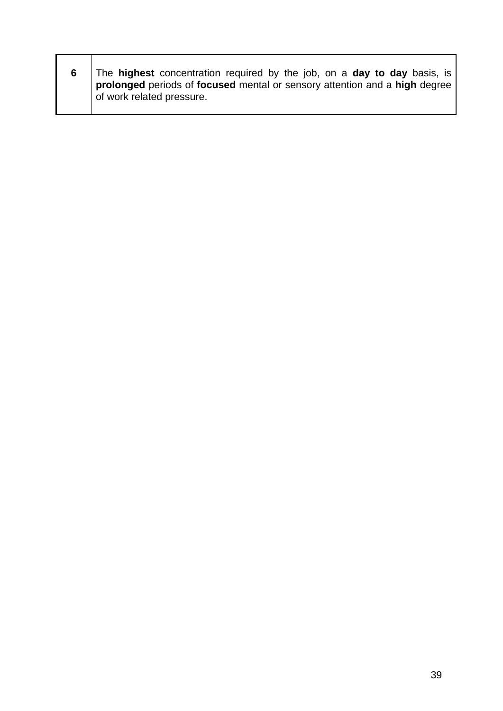|  | The highest concentration required by the job, on a day to day basis, is<br>prolonged periods of focused mental or sensory attention and a high degree<br>of work related pressure. |
|--|-------------------------------------------------------------------------------------------------------------------------------------------------------------------------------------|
|--|-------------------------------------------------------------------------------------------------------------------------------------------------------------------------------------|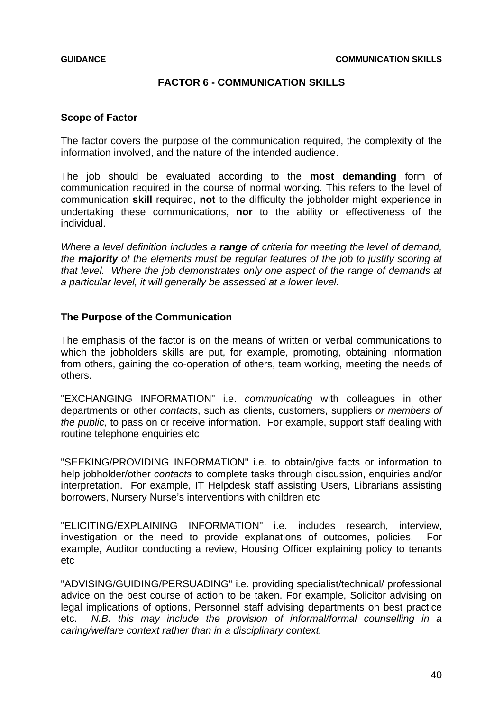### **FACTOR 6 - COMMUNICATION SKILLS**

### **Scope of Factor**

The factor covers the purpose of the communication required, the complexity of the information involved, and the nature of the intended audience.

The job should be evaluated according to the **most demanding** form of communication required in the course of normal working. This refers to the level of communication **skill** required, **not** to the difficulty the jobholder might experience in undertaking these communications, **nor** to the ability or effectiveness of the individual.

*Where a level definition includes a range of criteria for meeting the level of demand, the majority of the elements must be regular features of the job to justify scoring at that level. Where the job demonstrates only one aspect of the range of demands at a particular level, it will generally be assessed at a lower level.* 

### **The Purpose of the Communication**

The emphasis of the factor is on the means of written or verbal communications to which the jobholders skills are put, for example, promoting, obtaining information from others, gaining the co-operation of others, team working, meeting the needs of others.

"EXCHANGING INFORMATION" i.e. *communicating* with colleagues in other departments or other *contacts*, such as clients, customers, suppliers *or members of the public,* to pass on or receive information. For example, support staff dealing with routine telephone enquiries etc

"SEEKING/PROVIDING INFORMATION" i.e. to obtain/give facts or information to help jobholder/other *contacts* to complete tasks through discussion, enquiries and/or interpretation. For example, IT Helpdesk staff assisting Users, Librarians assisting borrowers, Nursery Nurse's interventions with children etc

"ELICITING/EXPLAINING INFORMATION" i.e. includes research, interview, investigation or the need to provide explanations of outcomes, policies. For example, Auditor conducting a review, Housing Officer explaining policy to tenants etc

"ADVISING/GUIDING/PERSUADING" i.e. providing specialist/technical/ professional advice on the best course of action to be taken. For example, Solicitor advising on legal implications of options, Personnel staff advising departments on best practice etc. *N.B. this may include the provision of informal/formal counselling in a caring/welfare context rather than in a disciplinary context.*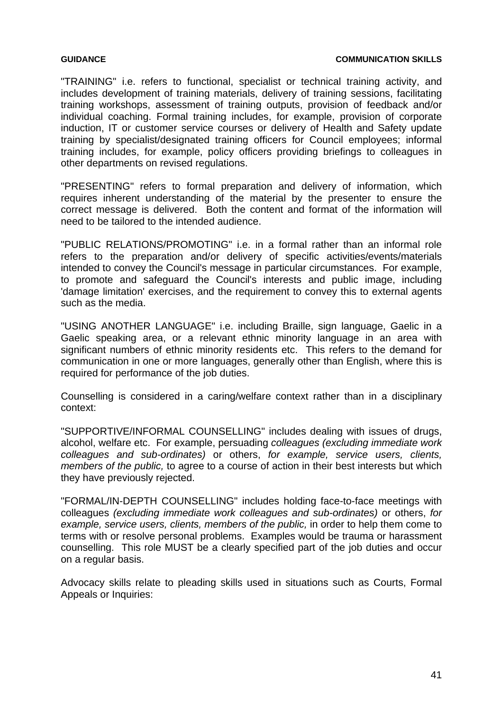"TRAINING" i.e. refers to functional, specialist or technical training activity, and includes development of training materials, delivery of training sessions, facilitating training workshops, assessment of training outputs, provision of feedback and/or individual coaching. Formal training includes, for example, provision of corporate induction, IT or customer service courses or delivery of Health and Safety update training by specialist/designated training officers for Council employees; informal training includes, for example, policy officers providing briefings to colleagues in other departments on revised regulations.

"PRESENTING" refers to formal preparation and delivery of information, which requires inherent understanding of the material by the presenter to ensure the correct message is delivered. Both the content and format of the information will need to be tailored to the intended audience.

"PUBLIC RELATIONS/PROMOTING" i.e. in a formal rather than an informal role refers to the preparation and/or delivery of specific activities/events/materials intended to convey the Council's message in particular circumstances. For example, to promote and safeguard the Council's interests and public image, including 'damage limitation' exercises, and the requirement to convey this to external agents such as the media.

"USING ANOTHER LANGUAGE" i.e. including Braille, sign language, Gaelic in a Gaelic speaking area, or a relevant ethnic minority language in an area with significant numbers of ethnic minority residents etc. This refers to the demand for communication in one or more languages, generally other than English, where this is required for performance of the job duties.

Counselling is considered in a caring/welfare context rather than in a disciplinary context:

"SUPPORTIVE/INFORMAL COUNSELLING" includes dealing with issues of drugs, alcohol, welfare etc. For example, persuading *colleagues (excluding immediate work colleagues and sub-ordinates)* or others, *for example, service users, clients, members of the public,* to agree to a course of action in their best interests but which they have previously rejected.

"FORMAL/IN-DEPTH COUNSELLING" includes holding face-to-face meetings with colleagues *(excluding immediate work colleagues and sub-ordinates)* or others, *for example, service users, clients, members of the public,* in order to help them come to terms with or resolve personal problems. Examples would be trauma or harassment counselling. This role MUST be a clearly specified part of the job duties and occur on a regular basis.

Advocacy skills relate to pleading skills used in situations such as Courts, Formal Appeals or Inquiries: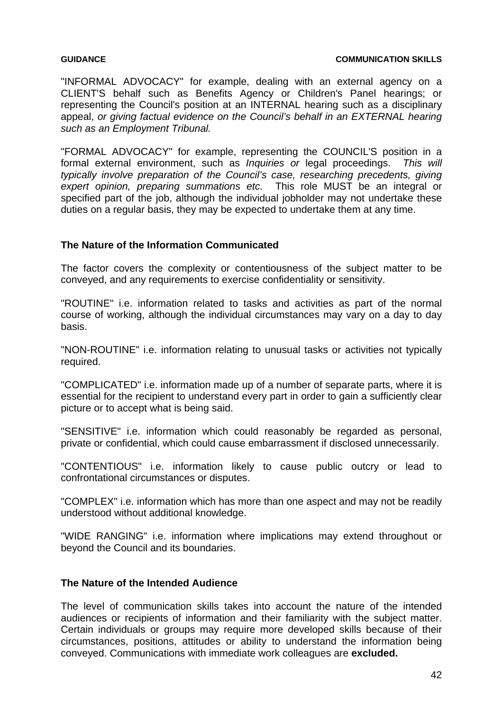"INFORMAL ADVOCACY" for example, dealing with an external agency on a CLIENT'S behalf such as Benefits Agency or Children's Panel hearings; or representing the Council's position at an INTERNAL hearing such as a disciplinary appeal, *or giving factual evidence on the Council's behalf in an EXTERNAL hearing such as an Employment Tribunal.* 

"FORMAL ADVOCACY" for example, representing the COUNCIL'S position in a formal external environment, such as *Inquiries or* legal proceedings. *This will typically involve preparation of the Council's case, researching precedents, giving expert opinion, preparing summations etc.* This role MUST be an integral or specified part of the job, although the individual jobholder may not undertake these duties on a regular basis, they may be expected to undertake them at any time.

## **The Nature of the Information Communicated**

The factor covers the complexity or contentiousness of the subject matter to be conveyed, and any requirements to exercise confidentiality or sensitivity.

"ROUTINE" i.e. information related to tasks and activities as part of the normal course of working, although the individual circumstances may vary on a day to day basis.

"NON-ROUTINE" i.e. information relating to unusual tasks or activities not typically required.

"COMPLICATED" i.e. information made up of a number of separate parts, where it is essential for the recipient to understand every part in order to gain a sufficiently clear picture or to accept what is being said.

"SENSITIVE" i.e. information which could reasonably be regarded as personal, private or confidential, which could cause embarrassment if disclosed unnecessarily.

"CONTENTIOUS" i.e. information likely to cause public outcry or lead to confrontational circumstances or disputes.

"COMPLEX" i.e. information which has more than one aspect and may not be readily understood without additional knowledge.

"WIDE RANGING" i.e. information where implications may extend throughout or beyond the Council and its boundaries.

### **The Nature of the Intended Audience**

The level of communication skills takes into account the nature of the intended audiences or recipients of information and their familiarity with the subject matter. Certain individuals or groups may require more developed skills because of their circumstances, positions, attitudes or ability to understand the information being conveyed. Communications with immediate work colleagues are **excluded.**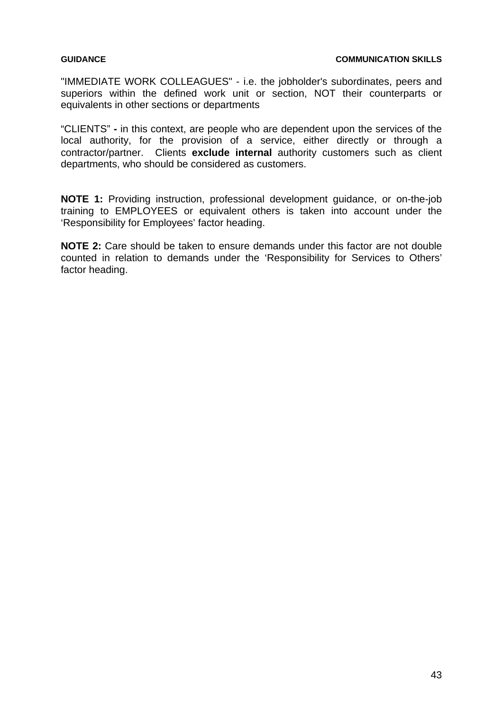"IMMEDIATE WORK COLLEAGUES" - i.e. the jobholder's subordinates, peers and superiors within the defined work unit or section, NOT their counterparts or equivalents in other sections or departments

"CLIENTS" **-** in this context, are people who are dependent upon the services of the local authority, for the provision of a service, either directly or through a contractor/partner. Clients **exclude internal** authority customers such as client departments, who should be considered as customers.

**NOTE 1:** Providing instruction, professional development guidance, or on-the-job training to EMPLOYEES or equivalent others is taken into account under the 'Responsibility for Employees' factor heading.

**NOTE 2:** Care should be taken to ensure demands under this factor are not double counted in relation to demands under the 'Responsibility for Services to Others' factor heading.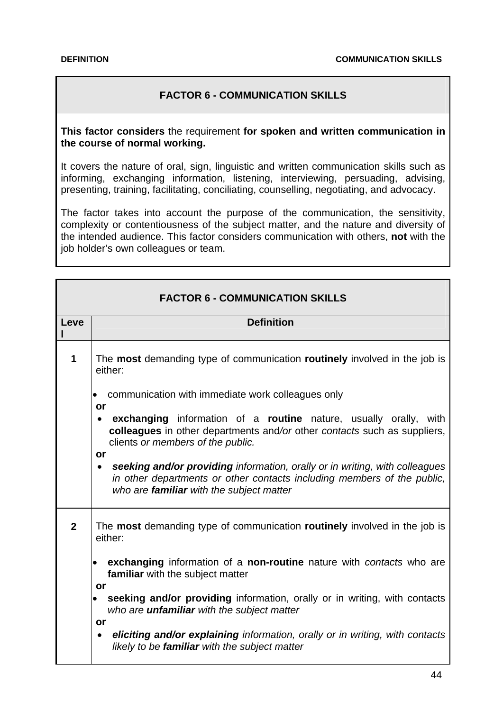# **FACTOR 6 - COMMUNICATION SKILLS**

### **This factor considers** the requirement **for spoken and written communication in the course of normal working.**

It covers the nature of oral, sign, linguistic and written communication skills such as informing, exchanging information, listening, interviewing, persuading, advising, presenting, training, facilitating, conciliating, counselling, negotiating, and advocacy.

The factor takes into account the purpose of the communication, the sensitivity, complexity or contentiousness of the subject matter, and the nature and diversity of the intended audience. This factor considers communication with others, **not** with the job holder's own colleagues or team.

|                | <b>FACTOR 6 - COMMUNICATION SKILLS</b>                                                                                                                                                                                |
|----------------|-----------------------------------------------------------------------------------------------------------------------------------------------------------------------------------------------------------------------|
| Leve           | <b>Definition</b>                                                                                                                                                                                                     |
| 1              | The most demanding type of communication routinely involved in the job is<br>either:                                                                                                                                  |
|                | communication with immediate work colleagues only<br>$\bullet$<br>or                                                                                                                                                  |
|                | exchanging information of a routine nature, usually orally, with<br>colleagues in other departments and/or other contacts such as suppliers,<br>clients or members of the public.                                     |
|                | or<br>seeking and/or providing information, orally or in writing, with colleagues<br>$\bullet$<br>in other departments or other contacts including members of the public,<br>who are familiar with the subject matter |
| $\overline{2}$ | The most demanding type of communication routinely involved in the job is<br>either:                                                                                                                                  |
|                | exchanging information of a non-routine nature with contacts who are<br>familiar with the subject matter<br>or                                                                                                        |
|                | seeking and/or providing information, orally or in writing, with contacts<br>who are <i>unfamiliar</i> with the subject matter                                                                                        |
|                | or<br>eliciting and/or explaining information, orally or in writing, with contacts<br>$\bullet$<br>likely to be familiar with the subject matter                                                                      |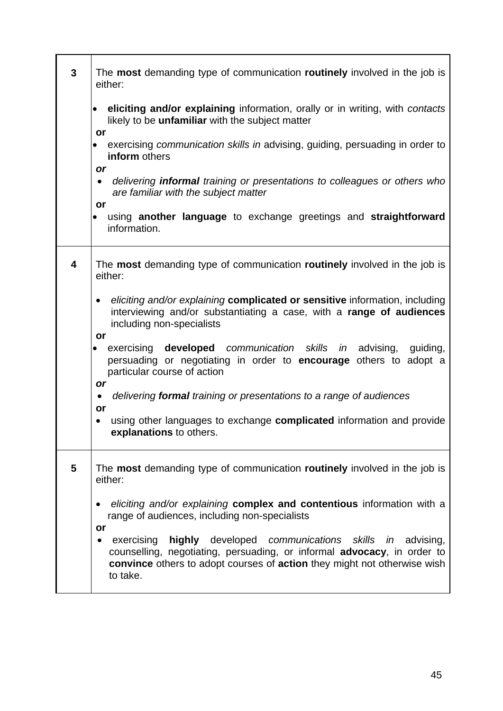| 3                       | The most demanding type of communication routinely involved in the job is<br>either:                                                                                                                                                                 |
|-------------------------|------------------------------------------------------------------------------------------------------------------------------------------------------------------------------------------------------------------------------------------------------|
|                         | eliciting and/or explaining information, orally or in writing, with contacts<br>$\bullet$<br>likely to be <i>unfamiliar</i> with the subject matter<br>or                                                                                            |
|                         | exercising communication skills in advising, guiding, persuading in order to<br>inform others<br>or                                                                                                                                                  |
|                         | delivering <b>informal</b> training or presentations to colleagues or others who<br>$\bullet$<br>are familiar with the subject matter<br>or                                                                                                          |
|                         | using another language to exchange greetings and straightforward<br>information.                                                                                                                                                                     |
| $\overline{\mathbf{4}}$ | The most demanding type of communication routinely involved in the job is<br>either:                                                                                                                                                                 |
|                         | eliciting and/or explaining complicated or sensitive information, including<br>$\bullet$<br>interviewing and/or substantiating a case, with a range of audiences<br>including non-specialists                                                        |
|                         | or<br>exercising <b>developed</b> communication skills in advising, guiding,<br>$\bullet$<br>persuading or negotiating in order to <b>encourage</b> others to adopt a<br>particular course of action<br>or                                           |
|                         | delivering formal training or presentations to a range of audiences<br>$\bullet$<br>or                                                                                                                                                               |
|                         | using other languages to exchange <b>complicated</b> information and provide<br>$\bullet$<br>explanations to others.                                                                                                                                 |
| 5                       | The most demanding type of communication routinely involved in the job is<br>either:                                                                                                                                                                 |
|                         | eliciting and/or explaining complex and contentious information with a<br>range of audiences, including non-specialists<br>or                                                                                                                        |
|                         | exercising<br>highly developed<br>communications skills in advising,<br>$\bullet$<br>counselling, negotiating, persuading, or informal advocacy, in order to<br>convince others to adopt courses of action they might not otherwise wish<br>to take. |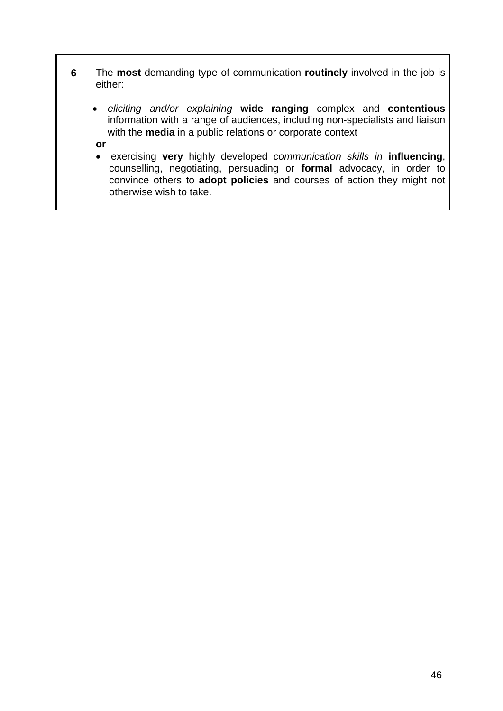| 6 | The <b>most</b> demanding type of communication <b>routinely</b> involved in the job is<br>either:                                                                                                                                                                           |
|---|------------------------------------------------------------------------------------------------------------------------------------------------------------------------------------------------------------------------------------------------------------------------------|
|   | eliciting and/or explaining wide ranging complex and contentious<br>information with a range of audiences, including non-specialists and liaison<br>with the media in a public relations or corporate context                                                                |
|   | or<br>exercising very highly developed communication skills in influencing,<br>$\bullet$<br>counselling, negotiating, persuading or <b>formal</b> advocacy, in order to<br>convince others to adopt policies and courses of action they might not<br>otherwise wish to take. |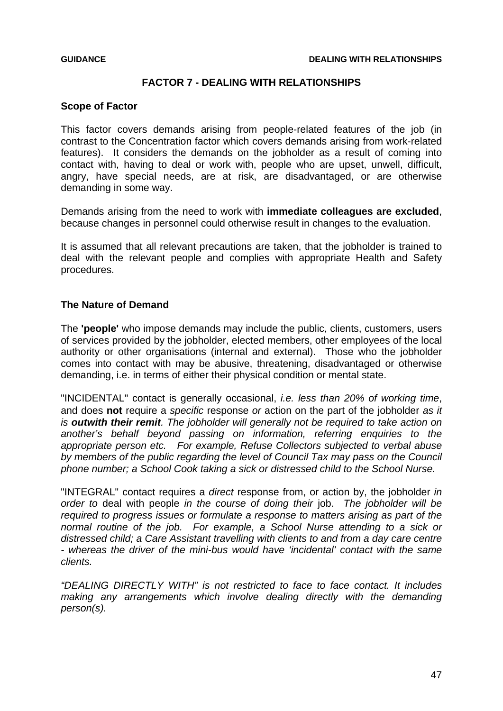## **FACTOR 7 - DEALING WITH RELATIONSHIPS**

### **Scope of Factor**

This factor covers demands arising from people-related features of the job (in contrast to the Concentration factor which covers demands arising from work-related features). It considers the demands on the jobholder as a result of coming into contact with, having to deal or work with, people who are upset, unwell, difficult, angry, have special needs, are at risk, are disadvantaged, or are otherwise demanding in some way.

Demands arising from the need to work with **immediate colleagues are excluded**, because changes in personnel could otherwise result in changes to the evaluation.

It is assumed that all relevant precautions are taken, that the jobholder is trained to deal with the relevant people and complies with appropriate Health and Safety procedures.

### **The Nature of Demand**

The **'people'** who impose demands may include the public, clients, customers, users of services provided by the jobholder, elected members, other employees of the local authority or other organisations (internal and external). Those who the jobholder comes into contact with may be abusive, threatening, disadvantaged or otherwise demanding, i.e. in terms of either their physical condition or mental state.

"INCIDENTAL" contact is generally occasional, *i.e. less than 20% of working time*, and does **not** require a *specific* response *or* action on the part of the jobholder *as it is outwith their remit. The jobholder will generally not be required to take action on another's behalf beyond passing on information, referring enquiries to the appropriate person etc. For example, Refuse Collectors subjected to verbal abuse by members of the public regarding the level of Council Tax may pass on the Council phone number; a School Cook taking a sick or distressed child to the School Nurse.* 

"INTEGRAL" contact requires a *direct* response from, or action by, the jobholder *in order to* deal with people *in the course of doing their* job. *The jobholder will be required to progress issues or formulate a response to matters arising as part of the normal routine of the job. For example, a School Nurse attending to a sick or distressed child; a Care Assistant travelling with clients to and from a day care centre - whereas the driver of the mini-bus would have 'incidental' contact with the same clients.* 

*"DEALING DIRECTLY WITH" is not restricted to face to face contact. It includes*  making any arrangements which involve dealing directly with the demanding *person(s).*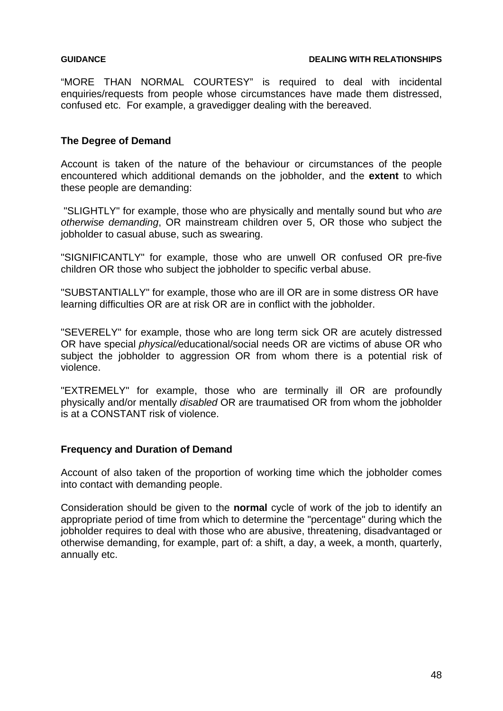"MORE THAN NORMAL COURTESY" is required to deal with incidental enquiries/requests from people whose circumstances have made them distressed, confused etc. For example, a gravedigger dealing with the bereaved.

### **The Degree of Demand**

Account is taken of the nature of the behaviour or circumstances of the people encountered which additional demands on the jobholder, and the **extent** to which these people are demanding:

 "SLIGHTLY" for example, those who are physically and mentally sound but who *are otherwise demanding*, OR mainstream children over 5, OR those who subject the jobholder to casual abuse, such as swearing.

"SIGNIFICANTLY" for example, those who are unwell OR confused OR pre-five children OR those who subject the jobholder to specific verbal abuse.

"SUBSTANTIALLY" for example, those who are ill OR are in some distress OR have learning difficulties OR are at risk OR are in conflict with the jobholder.

"SEVERELY" for example, those who are long term sick OR are acutely distressed OR have special *physical/*educational/social needs OR are victims of abuse OR who subject the jobholder to aggression OR from whom there is a potential risk of violence.

"EXTREMELY" for example, those who are terminally ill OR are profoundly physically and/or mentally *disabled* OR are traumatised OR from whom the jobholder is at a CONSTANT risk of violence.

### **Frequency and Duration of Demand**

Account of also taken of the proportion of working time which the jobholder comes into contact with demanding people.

Consideration should be given to the **normal** cycle of work of the job to identify an appropriate period of time from which to determine the "percentage" during which the jobholder requires to deal with those who are abusive, threatening, disadvantaged or otherwise demanding, for example, part of: a shift, a day, a week, a month, quarterly, annually etc.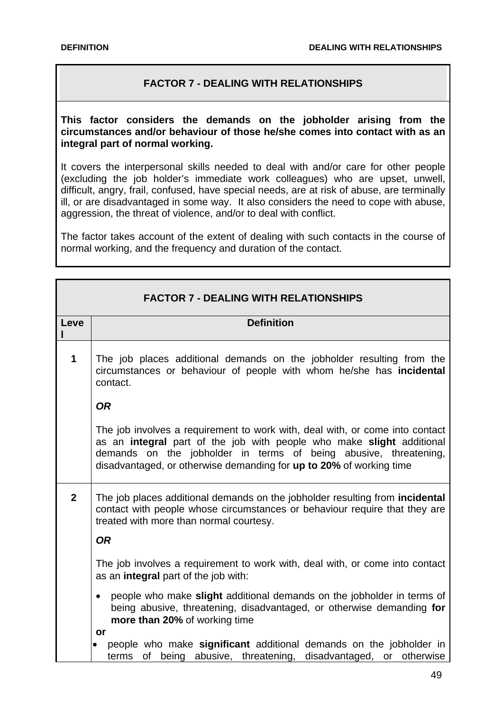# **FACTOR 7 - DEALING WITH RELATIONSHIPS**

**This factor considers the demands on the jobholder arising from the circumstances and/or behaviour of those he/she comes into contact with as an integral part of normal working.**

It covers the interpersonal skills needed to deal with and/or care for other people (excluding the job holder's immediate work colleagues) who are upset, unwell, difficult, angry, frail, confused, have special needs, are at risk of abuse, are terminally ill, or are disadvantaged in some way. It also considers the need to cope with abuse, aggression, the threat of violence, and/or to deal with conflict.

The factor takes account of the extent of dealing with such contacts in the course of normal working, and the frequency and duration of the contact.

|                | <b>FACTOR 7 - DEALING WITH RELATIONSHIPS</b>                                                                                                                                                                                                                                                     |
|----------------|--------------------------------------------------------------------------------------------------------------------------------------------------------------------------------------------------------------------------------------------------------------------------------------------------|
| Leve           | <b>Definition</b>                                                                                                                                                                                                                                                                                |
| 1              | The job places additional demands on the jobholder resulting from the<br>circumstances or behaviour of people with whom he/she has incidental<br>contact.                                                                                                                                        |
|                | <b>OR</b>                                                                                                                                                                                                                                                                                        |
|                | The job involves a requirement to work with, deal with, or come into contact<br>as an integral part of the job with people who make slight additional<br>demands on the jobholder in terms of being abusive, threatening,<br>disadvantaged, or otherwise demanding for up to 20% of working time |
| $\overline{2}$ | The job places additional demands on the jobholder resulting from incidental<br>contact with people whose circumstances or behaviour require that they are<br>treated with more than normal courtesy.                                                                                            |
|                | <b>OR</b>                                                                                                                                                                                                                                                                                        |
|                | The job involves a requirement to work with, deal with, or come into contact<br>as an integral part of the job with:                                                                                                                                                                             |
|                | people who make slight additional demands on the jobholder in terms of<br>$\bullet$<br>being abusive, threatening, disadvantaged, or otherwise demanding for<br>more than 20% of working time                                                                                                    |
|                | or<br>people who make significant additional demands on the jobholder in                                                                                                                                                                                                                         |
|                | of being abusive, threatening, disadvantaged, or otherwise<br>terms                                                                                                                                                                                                                              |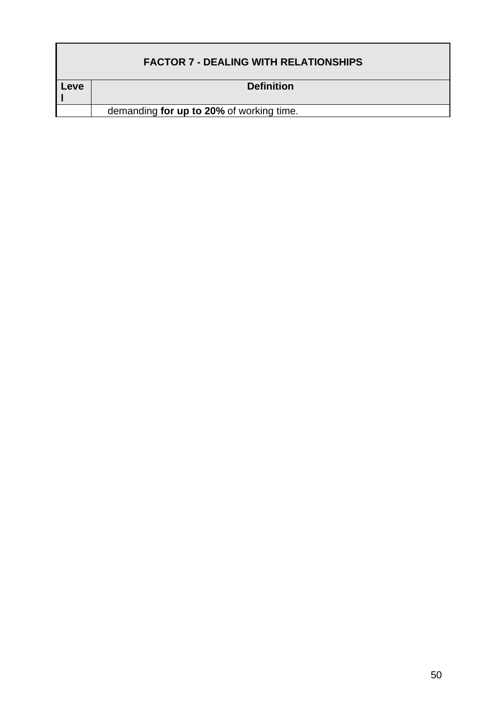|      | <b>FACTOR 7 - DEALING WITH RELATIONSHIPS</b> |
|------|----------------------------------------------|
| Leve | <b>Definition</b>                            |
|      |                                              |
|      | demanding for up to 20% of working time.     |
|      |                                              |

ī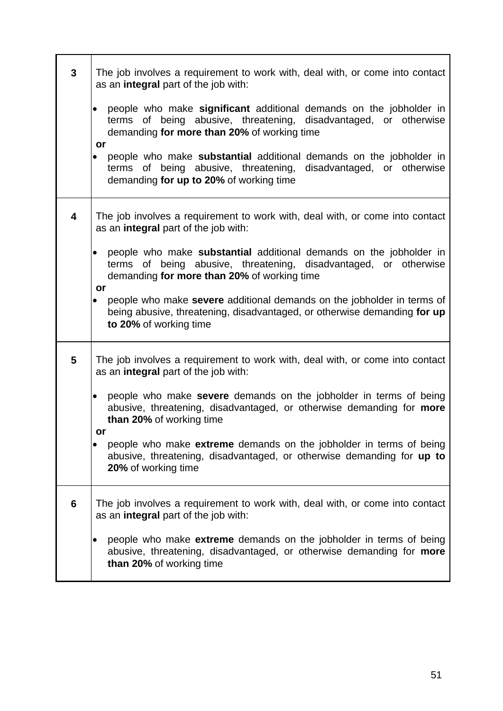| $\mathbf{3}$   | The job involves a requirement to work with, deal with, or come into contact<br>as an integral part of the job with:                                                                                        |
|----------------|-------------------------------------------------------------------------------------------------------------------------------------------------------------------------------------------------------------|
|                | people who make significant additional demands on the jobholder in<br>of being abusive, threatening, disadvantaged, or otherwise<br>terms<br>demanding for more than 20% of working time                    |
|                | or<br>people who make <b>substantial</b> additional demands on the jobholder in<br>$\bullet$<br>terms of being abusive, threatening, disadvantaged, or otherwise<br>demanding for up to 20% of working time |
| 4              | The job involves a requirement to work with, deal with, or come into contact<br>as an integral part of the job with:                                                                                        |
|                | people who make substantial additional demands on the jobholder in<br>$\bullet$<br>terms of being abusive, threatening, disadvantaged, or otherwise<br>demanding for more than 20% of working time<br>or    |
|                | people who make severe additional demands on the jobholder in terms of<br>$\bullet$<br>being abusive, threatening, disadvantaged, or otherwise demanding for up<br>to 20% of working time                   |
| 5              | The job involves a requirement to work with, deal with, or come into contact<br>as an <b>integral</b> part of the job with:                                                                                 |
|                | people who make severe demands on the jobholder in terms of being<br>$\bullet$<br>abusive, threatening, disadvantaged, or otherwise demanding for more<br>than 20% of working time<br>or                    |
|                | people who make extreme demands on the jobholder in terms of being<br>$\bullet$<br>abusive, threatening, disadvantaged, or otherwise demanding for up to<br>20% of working time                             |
| $6\phantom{1}$ | The job involves a requirement to work with, deal with, or come into contact<br>as an integral part of the job with:                                                                                        |
|                | people who make extreme demands on the jobholder in terms of being<br>abusive, threatening, disadvantaged, or otherwise demanding for more<br>than 20% of working time                                      |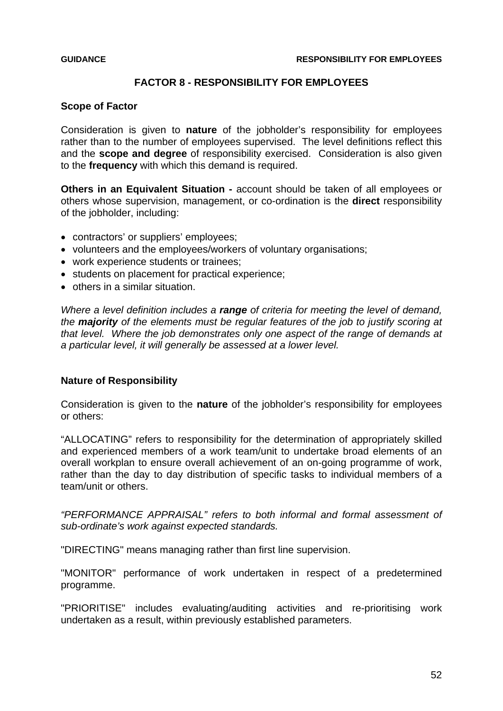## **FACTOR 8 - RESPONSIBILITY FOR EMPLOYEES**

### **Scope of Factor**

Consideration is given to **nature** of the jobholder's responsibility for employees rather than to the number of employees supervised. The level definitions reflect this and the **scope and degree** of responsibility exercised. Consideration is also given to the **frequency** with which this demand is required.

**Others in an Equivalent Situation -** account should be taken of all employees or others whose supervision, management, or co-ordination is the **direct** responsibility of the jobholder, including:

- contractors' or suppliers' employees;
- volunteers and the employees/workers of voluntary organisations;
- work experience students or trainees;
- students on placement for practical experience;
- others in a similar situation.

*Where a level definition includes a range of criteria for meeting the level of demand, the majority of the elements must be regular features of the job to justify scoring at that level. Where the job demonstrates only one aspect of the range of demands at a particular level, it will generally be assessed at a lower level.* 

## **Nature of Responsibility**

Consideration is given to the **nature** of the jobholder's responsibility for employees or others:

"ALLOCATING" refers to responsibility for the determination of appropriately skilled and experienced members of a work team/unit to undertake broad elements of an overall workplan to ensure overall achievement of an on-going programme of work, rather than the day to day distribution of specific tasks to individual members of a team/unit or others.

*"PERFORMANCE APPRAISAL" refers to both informal and formal assessment of sub-ordinate's work against expected standards.* 

"DIRECTING" means managing rather than first line supervision.

"MONITOR" performance of work undertaken in respect of a predetermined programme.

"PRIORITISE" includes evaluating/auditing activities and re-prioritising work undertaken as a result, within previously established parameters.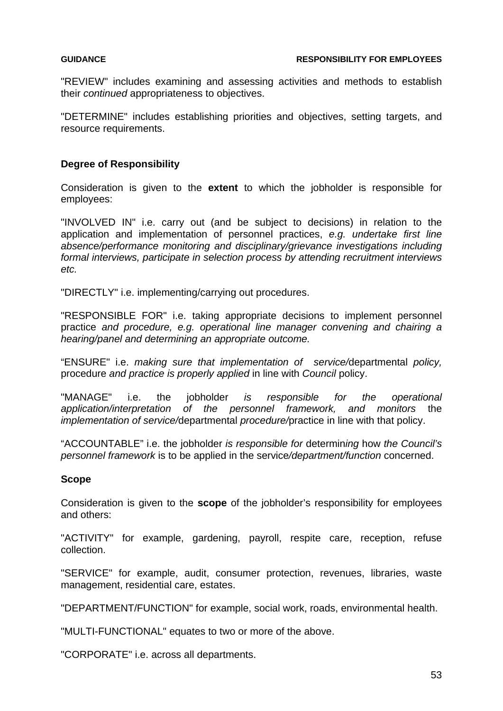"REVIEW" includes examining and assessing activities and methods to establish their *continued* appropriateness to objectives.

"DETERMINE" includes establishing priorities and objectives, setting targets, and resource requirements.

### **Degree of Responsibility**

Consideration is given to the **extent** to which the jobholder is responsible for employees:

"INVOLVED IN" i.e. carry out (and be subject to decisions) in relation to the application and implementation of personnel practices, *e.g. undertake first line absence/performance monitoring and disciplinary/grievance investigations including formal interviews, participate in selection process by attending recruitment interviews etc.* 

"DIRECTLY" i.e. implementing/carrying out procedures.

"RESPONSIBLE FOR" i.e. taking appropriate decisions to implement personnel practice *and procedure, e.g. operational line manager convening and chairing a hearing/panel and determining an appropriate outcome.* 

"ENSURE" i.e. *making sure that implementation of service/*departmental *policy,*  procedure *and practice is properly applied* in line with *Council* policy.

"MANAGE" i.e. the jobholder *is responsible for the operational application/interpretation of the personnel framework, and monitors* the *implementation of service/*departmental *procedure/*practice in line with that policy.

"ACCOUNTABLE" i.e. the jobholder *is responsible for* determin*ing* how *the Council's personnel framework* is to be applied in the service*/department/function* concerned.

### **Scope**

Consideration is given to the **scope** of the jobholder's responsibility for employees and others:

"ACTIVITY" for example, gardening, payroll, respite care, reception, refuse collection.

"SERVICE" for example, audit, consumer protection, revenues, libraries, waste management, residential care, estates.

"DEPARTMENT/FUNCTION" for example, social work, roads, environmental health.

"MULTI-FUNCTIONAL" equates to two or more of the above.

"CORPORATE" i.e. across all departments.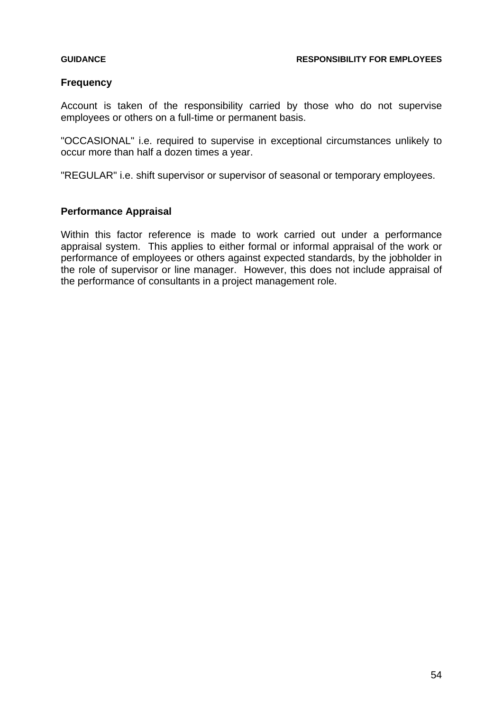## **Frequency**

Account is taken of the responsibility carried by those who do not supervise employees or others on a full-time or permanent basis.

"OCCASIONAL" i.e. required to supervise in exceptional circumstances unlikely to occur more than half a dozen times a year.

"REGULAR" i.e. shift supervisor or supervisor of seasonal or temporary employees.

## **Performance Appraisal**

Within this factor reference is made to work carried out under a performance appraisal system. This applies to either formal or informal appraisal of the work or performance of employees or others against expected standards, by the jobholder in the role of supervisor or line manager. However, this does not include appraisal of the performance of consultants in a project management role.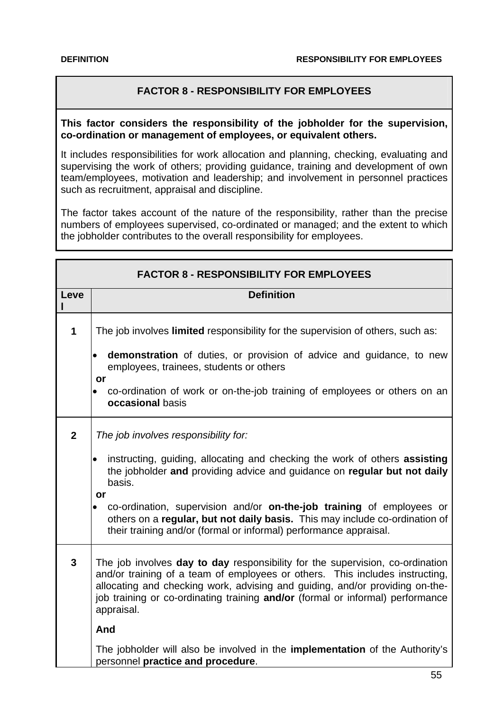# **FACTOR 8 - RESPONSIBILITY FOR EMPLOYEES**

**This factor considers the responsibility of the jobholder for the supervision, co-ordination or management of employees, or equivalent others.**

It includes responsibilities for work allocation and planning, checking, evaluating and supervising the work of others; providing guidance, training and development of own team/employees, motivation and leadership; and involvement in personnel practices such as recruitment, appraisal and discipline.

The factor takes account of the nature of the responsibility, rather than the precise numbers of employees supervised, co-ordinated or managed; and the extent to which the jobholder contributes to the overall responsibility for employees.

|                | <b>FACTOR 8 - RESPONSIBILITY FOR EMPLOYEES</b>                                                                                                                                                                                                                                                                                                |
|----------------|-----------------------------------------------------------------------------------------------------------------------------------------------------------------------------------------------------------------------------------------------------------------------------------------------------------------------------------------------|
| Leve           | <b>Definition</b>                                                                                                                                                                                                                                                                                                                             |
| $\mathbf 1$    | The job involves <b>limited</b> responsibility for the supervision of others, such as:<br>demonstration of duties, or provision of advice and guidance, to new<br>$\bullet$<br>employees, trainees, students or others                                                                                                                        |
|                | or<br>co-ordination of work or on-the-job training of employees or others on an<br>$\bullet$<br>occasional basis                                                                                                                                                                                                                              |
| $\overline{2}$ | The job involves responsibility for:                                                                                                                                                                                                                                                                                                          |
|                | instructing, guiding, allocating and checking the work of others assisting<br>$\bullet$<br>the jobholder and providing advice and guidance on regular but not daily<br>basis.<br>or                                                                                                                                                           |
|                | co-ordination, supervision and/or on-the-job training of employees or<br>$\bullet$<br>others on a regular, but not daily basis. This may include co-ordination of<br>their training and/or (formal or informal) performance appraisal.                                                                                                        |
| $\overline{3}$ | The job involves day to day responsibility for the supervision, co-ordination<br>and/or training of a team of employees or others. This includes instructing,<br>allocating and checking work, advising and guiding, and/or providing on-the-<br>job training or co-ordinating training and/or (formal or informal) performance<br>appraisal. |
|                | And                                                                                                                                                                                                                                                                                                                                           |
|                | The jobholder will also be involved in the <b>implementation</b> of the Authority's<br>personnel practice and procedure.                                                                                                                                                                                                                      |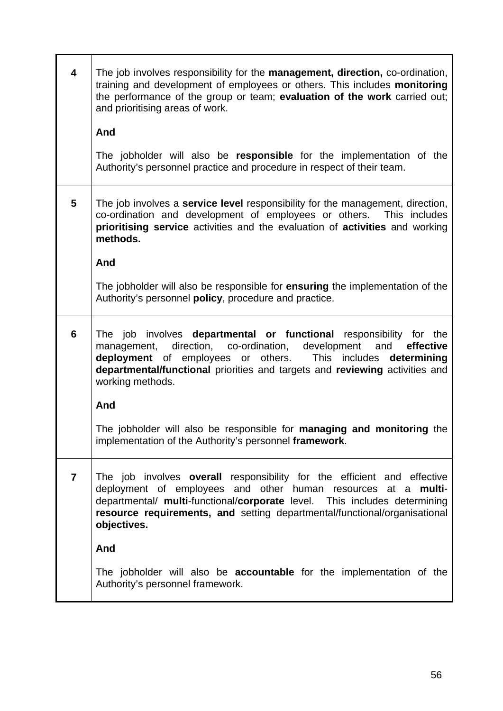| $\overline{\mathbf{4}}$ | The job involves responsibility for the <b>management, direction</b> , co-ordination,<br>training and development of employees or others. This includes monitoring<br>the performance of the group or team; evaluation of the work carried out;<br>and prioritising areas of work.                                   |
|-------------------------|----------------------------------------------------------------------------------------------------------------------------------------------------------------------------------------------------------------------------------------------------------------------------------------------------------------------|
|                         | And                                                                                                                                                                                                                                                                                                                  |
|                         | The jobholder will also be responsible for the implementation of the<br>Authority's personnel practice and procedure in respect of their team.                                                                                                                                                                       |
| $5\phantom{1}$          | The job involves a <b>service level</b> responsibility for the management, direction,<br>co-ordination and development of employees or others. This includes<br>prioritising service activities and the evaluation of activities and working<br>methods.                                                             |
|                         | And                                                                                                                                                                                                                                                                                                                  |
|                         | The jobholder will also be responsible for <b>ensuring</b> the implementation of the<br>Authority's personnel policy, procedure and practice.                                                                                                                                                                        |
| $6\phantom{a}$          | The job involves departmental or functional responsibility for the<br>direction, co-ordination, development and<br>management,<br>effective<br>deployment of employees or others. This includes<br>determining<br>departmental/functional priorities and targets and reviewing activities and<br>working methods.    |
|                         | And                                                                                                                                                                                                                                                                                                                  |
|                         | The jobholder will also be responsible for managing and monitoring the<br>implementation of the Authority's personnel framework.                                                                                                                                                                                     |
| $\overline{7}$          | The job involves overall responsibility for the efficient and effective<br>deployment of employees and other human resources at a<br>multi-<br>departmental/ multi-functional/corporate level. This includes determining<br>resource requirements, and setting departmental/functional/organisational<br>objectives. |
|                         | And                                                                                                                                                                                                                                                                                                                  |
|                         | The jobholder will also be <b>accountable</b> for the implementation of the<br>Authority's personnel framework.                                                                                                                                                                                                      |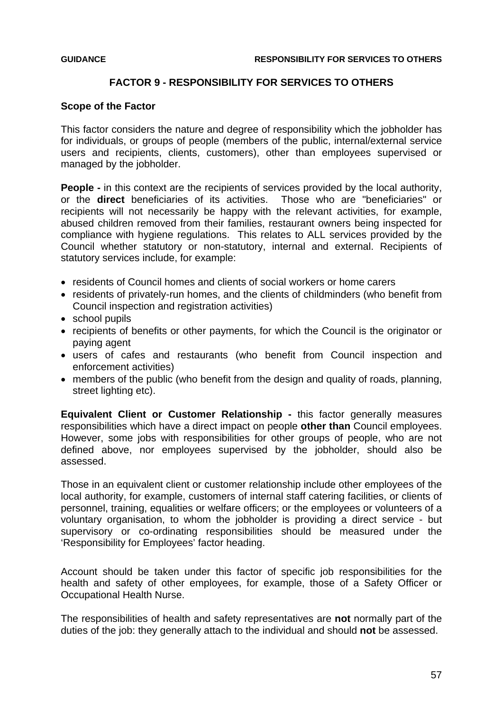### **FACTOR 9 - RESPONSIBILITY FOR SERVICES TO OTHERS**

### **Scope of the Factor**

This factor considers the nature and degree of responsibility which the jobholder has for individuals, or groups of people (members of the public, internal/external service users and recipients, clients, customers), other than employees supervised or managed by the jobholder.

**People -** in this context are the recipients of services provided by the local authority, or the **direct** beneficiaries of its activities. Those who are "beneficiaries" or recipients will not necessarily be happy with the relevant activities, for example, abused children removed from their families, restaurant owners being inspected for compliance with hygiene regulations. This relates to ALL services provided by the Council whether statutory or non-statutory, internal and external. Recipients of statutory services include, for example:

- residents of Council homes and clients of social workers or home carers
- residents of privately-run homes, and the clients of childminders (who benefit from Council inspection and registration activities)
- school pupils
- recipients of benefits or other payments, for which the Council is the originator or paying agent
- users of cafes and restaurants (who benefit from Council inspection and enforcement activities)
- members of the public (who benefit from the design and quality of roads, planning, street lighting etc).

**Equivalent Client or Customer Relationship -** this factor generally measures responsibilities which have a direct impact on people **other than** Council employees. However, some jobs with responsibilities for other groups of people, who are not defined above, nor employees supervised by the jobholder, should also be assessed.

Those in an equivalent client or customer relationship include other employees of the local authority, for example, customers of internal staff catering facilities, or clients of personnel, training, equalities or welfare officers; or the employees or volunteers of a voluntary organisation, to whom the jobholder is providing a direct service - but supervisory or co-ordinating responsibilities should be measured under the 'Responsibility for Employees' factor heading.

Account should be taken under this factor of specific job responsibilities for the health and safety of other employees, for example, those of a Safety Officer or Occupational Health Nurse.

The responsibilities of health and safety representatives are **not** normally part of the duties of the job: they generally attach to the individual and should **not** be assessed.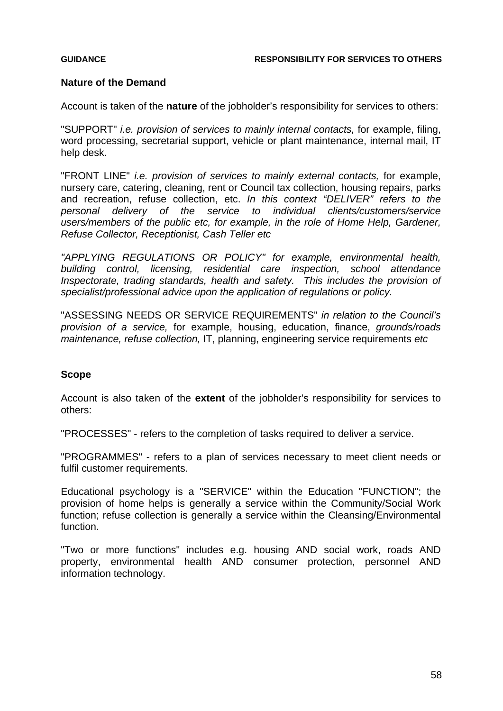## **Nature of the Demand**

Account is taken of the **nature** of the jobholder's responsibility for services to others:

"SUPPORT" *i.e. provision of services to mainly internal contacts,* for example, filing, word processing, secretarial support, vehicle or plant maintenance, internal mail, IT help desk.

"FRONT LINE" *i.e. provision of services to mainly external contacts,* for example, nursery care, catering, cleaning, rent or Council tax collection, housing repairs, parks and recreation, refuse collection, etc. *In this context "DELIVER" refers to the personal delivery of the service to individual clients/customers/service users/members of the public etc, for example, in the role of Home Help, Gardener, Refuse Collector, Receptionist, Cash Teller etc*

*"APPLYING REGULATIONS OR POLICY" for example, environmental health, building control, licensing, residential care inspection, school attendance Inspectorate, trading standards, health and safety. This includes the provision of specialist/professional advice upon the application of regulations or policy.* 

"ASSESSING NEEDS OR SERVICE REQUIREMENTS" *in relation to the Council's provision of a service,* for example, housing, education, finance, *grounds/roads maintenance, refuse collection,* IT, planning, engineering service requirements *etc*

## **Scope**

Account is also taken of the **extent** of the jobholder's responsibility for services to others:

"PROCESSES" - refers to the completion of tasks required to deliver a service.

"PROGRAMMES" - refers to a plan of services necessary to meet client needs or fulfil customer requirements.

Educational psychology is a "SERVICE" within the Education "FUNCTION"; the provision of home helps is generally a service within the Community/Social Work function; refuse collection is generally a service within the Cleansing/Environmental function.

"Two or more functions" includes e.g. housing AND social work, roads AND property, environmental health AND consumer protection, personnel AND information technology.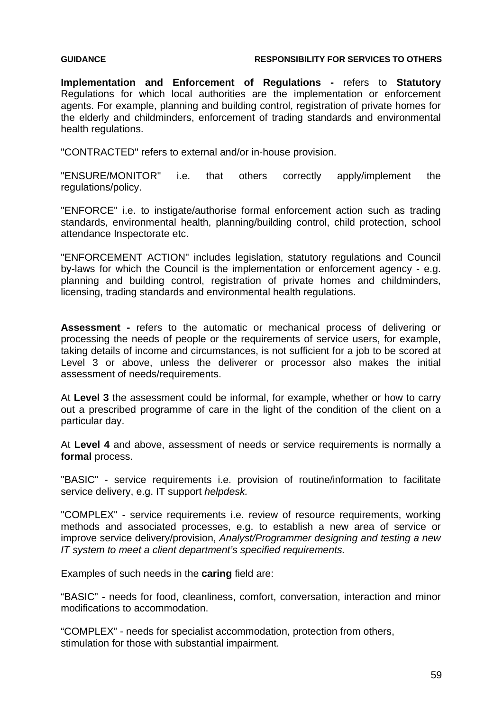### **GUIDANCE RESPONSIBILITY FOR SERVICES TO OTHERS**

**Implementation and Enforcement of Regulations -** refers to **Statutory** Regulations for which local authorities are the implementation or enforcement agents. For example, planning and building control, registration of private homes for the elderly and childminders, enforcement of trading standards and environmental health regulations.

"CONTRACTED" refers to external and/or in-house provision.

"ENSURE/MONITOR" i.e. that others correctly apply/implement the regulations/policy.

"ENFORCE" i.e. to instigate/authorise formal enforcement action such as trading standards, environmental health, planning/building control, child protection, school attendance Inspectorate etc.

"ENFORCEMENT ACTION" includes legislation, statutory regulations and Council by-laws for which the Council is the implementation or enforcement agency - e.g. planning and building control, registration of private homes and childminders, licensing, trading standards and environmental health regulations.

**Assessment -** refers to the automatic or mechanical process of delivering or processing the needs of people or the requirements of service users, for example, taking details of income and circumstances, is not sufficient for a job to be scored at Level 3 or above, unless the deliverer or processor also makes the initial assessment of needs/requirements.

At **Level 3** the assessment could be informal, for example, whether or how to carry out a prescribed programme of care in the light of the condition of the client on a particular day.

At **Level 4** and above, assessment of needs or service requirements is normally a **formal** process.

"BASIC" - service requirements i.e. provision of routine/information to facilitate service delivery, e.g. IT support *helpdesk.*

"COMPLEX" - service requirements i.e. review of resource requirements, working methods and associated processes, e.g. to establish a new area of service or improve service delivery/provision, *Analyst/Programmer designing and testing a new IT system to meet a client department's specified requirements.* 

Examples of such needs in the **caring** field are:

"BASIC" - needs for food, cleanliness, comfort, conversation, interaction and minor modifications to accommodation.

"COMPLEX" - needs for specialist accommodation, protection from others, stimulation for those with substantial impairment.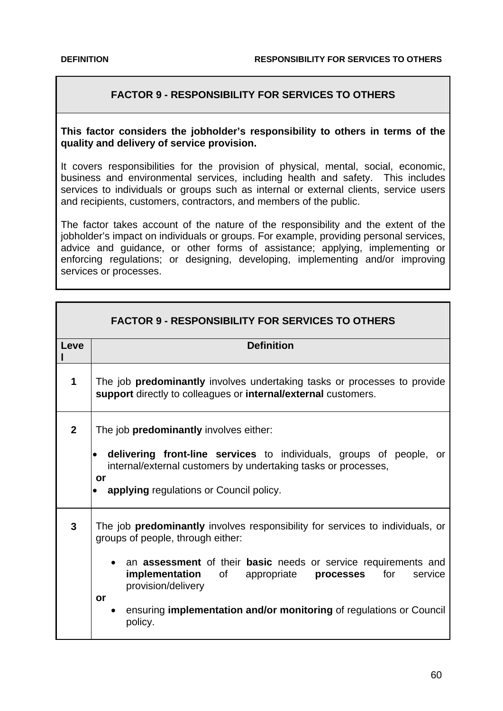# **FACTOR 9 - RESPONSIBILITY FOR SERVICES TO OTHERS**

## **This factor considers the jobholder's responsibility to others in terms of the quality and delivery of service provision.**

It covers responsibilities for the provision of physical, mental, social, economic, business and environmental services, including health and safety. This includes services to individuals or groups such as internal or external clients, service users and recipients, customers, contractors, and members of the public.

The factor takes account of the nature of the responsibility and the extent of the jobholder's impact on individuals or groups. For example, providing personal services, advice and guidance, or other forms of assistance; applying, implementing or enforcing regulations; or designing, developing, implementing and/or improving services or processes.

|                | <b>FACTOR 9 - RESPONSIBILITY FOR SERVICES TO OTHERS</b>                                                                                                                                                                                                                                                                                                                                    |
|----------------|--------------------------------------------------------------------------------------------------------------------------------------------------------------------------------------------------------------------------------------------------------------------------------------------------------------------------------------------------------------------------------------------|
| Leve           | <b>Definition</b>                                                                                                                                                                                                                                                                                                                                                                          |
| 1              | The job <b>predominantly</b> involves undertaking tasks or processes to provide<br>support directly to colleagues or internal/external customers.                                                                                                                                                                                                                                          |
| $\overline{2}$ | The job <b>predominantly</b> involves either:<br>delivering front-line services to individuals, groups of people, or<br>internal/external customers by undertaking tasks or processes,<br>or<br>applying regulations or Council policy.<br>$\bullet$                                                                                                                                       |
| 3              | The job <b>predominantly</b> involves responsibility for services to individuals, or<br>groups of people, through either:<br>an assessment of their basic needs or service requirements and<br>implementation<br>of<br>for<br>appropriate <b>processes</b><br>service<br>provision/delivery<br>or<br>ensuring <b>implementation and/or monitoring</b> of regulations or Council<br>policy. |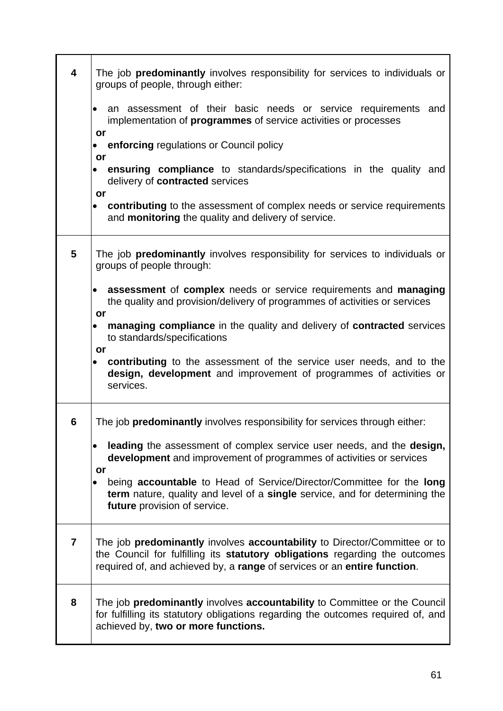| $\overline{\mathbf{4}}$ | The job predominantly involves responsibility for services to individuals or<br>groups of people, through either:                                                                                                                    |
|-------------------------|--------------------------------------------------------------------------------------------------------------------------------------------------------------------------------------------------------------------------------------|
|                         | an assessment of their basic needs or service requirements and<br>implementation of <b>programmes</b> of service activities or processes<br>or                                                                                       |
|                         | enforcing regulations or Council policy<br>$\bullet$                                                                                                                                                                                 |
|                         | or<br><b>ensuring compliance</b> to standards/specifications in the quality and<br>delivery of contracted services<br>or                                                                                                             |
|                         | contributing to the assessment of complex needs or service requirements<br>and <b>monitoring</b> the quality and delivery of service.                                                                                                |
| 5                       | The job <b>predominantly</b> involves responsibility for services to individuals or<br>groups of people through:                                                                                                                     |
|                         | assessment of complex needs or service requirements and managing<br>$\bullet$<br>the quality and provision/delivery of programmes of activities or services<br>or                                                                    |
|                         | managing compliance in the quality and delivery of contracted services<br>to standards/specifications<br>or                                                                                                                          |
|                         | contributing to the assessment of the service user needs, and to the<br>design, development and improvement of programmes of activities or<br>services.                                                                              |
| 6                       | The job <b>predominantly</b> involves responsibility for services through either:                                                                                                                                                    |
|                         | leading the assessment of complex service user needs, and the design,<br>development and improvement of programmes of activities or services<br>or                                                                                   |
|                         | being accountable to Head of Service/Director/Committee for the long<br>term nature, quality and level of a single service, and for determining the<br>future provision of service.                                                  |
| $\overline{7}$          | The job predominantly involves accountability to Director/Committee or to<br>the Council for fulfilling its statutory obligations regarding the outcomes<br>required of, and achieved by, a range of services or an entire function. |
| 8                       | The job predominantly involves accountability to Committee or the Council<br>for fulfilling its statutory obligations regarding the outcomes required of, and<br>achieved by, two or more functions.                                 |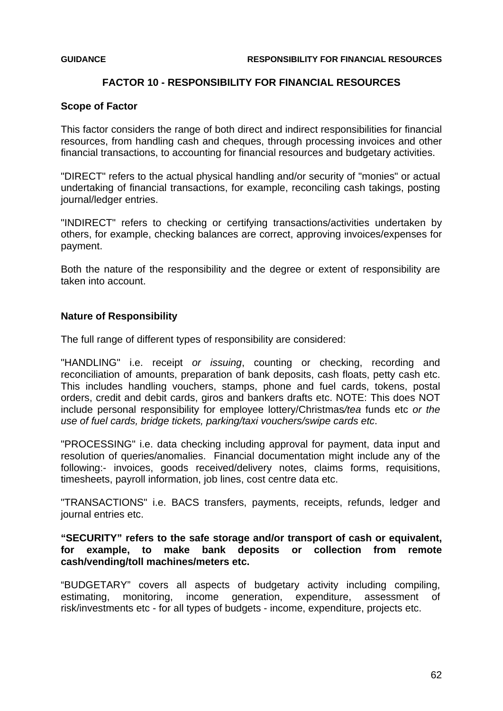# **FACTOR 10 - RESPONSIBILITY FOR FINANCIAL RESOURCES**

## **Scope of Factor**

This factor considers the range of both direct and indirect responsibilities for financial resources, from handling cash and cheques, through processing invoices and other financial transactions, to accounting for financial resources and budgetary activities.

"DIRECT" refers to the actual physical handling and/or security of "monies" or actual undertaking of financial transactions, for example, reconciling cash takings, posting journal/ledger entries.

"INDIRECT" refers to checking or certifying transactions/activities undertaken by others, for example, checking balances are correct, approving invoices/expenses for payment.

Both the nature of the responsibility and the degree or extent of responsibility are taken into account.

# **Nature of Responsibility**

The full range of different types of responsibility are considered:

"HANDLING" i.e. receipt *or issuing*, counting or checking, recording and reconciliation of amounts, preparation of bank deposits, cash floats, petty cash etc. This includes handling vouchers, stamps, phone and fuel cards, tokens, postal orders, credit and debit cards, giros and bankers drafts etc. NOTE: This does NOT include personal responsibility for employee lottery/Christmas*/tea* funds etc *or the use of fuel cards, bridge tickets, parking/taxi vouchers/swipe cards etc*.

"PROCESSING" i.e. data checking including approval for payment, data input and resolution of queries/anomalies. Financial documentation might include any of the following:- invoices, goods received/delivery notes, claims forms, requisitions, timesheets, payroll information, job lines, cost centre data etc.

"TRANSACTIONS" i.e. BACS transfers, payments, receipts, refunds, ledger and journal entries etc.

# **"SECURITY" refers to the safe storage and/or transport of cash or equivalent, for example, to make bank deposits or collection from remote cash/vending/toll machines/meters etc.**

"BUDGETARY" covers all aspects of budgetary activity including compiling, estimating, monitoring, income generation, expenditure, assessment of risk/investments etc - for all types of budgets - income, expenditure, projects etc.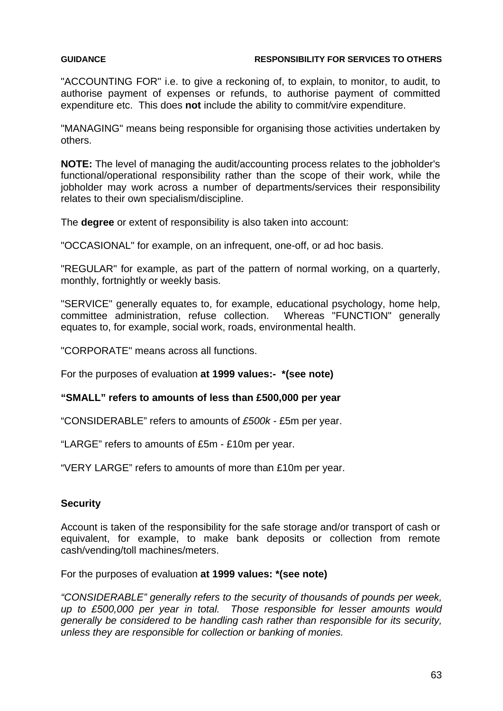### **GUIDANCE RESPONSIBILITY FOR SERVICES TO OTHERS**

"ACCOUNTING FOR" i.e. to give a reckoning of, to explain, to monitor, to audit, to authorise payment of expenses or refunds, to authorise payment of committed expenditure etc. This does **not** include the ability to commit/vire expenditure.

"MANAGING" means being responsible for organising those activities undertaken by others.

**NOTE:** The level of managing the audit/accounting process relates to the jobholder's functional/operational responsibility rather than the scope of their work, while the jobholder may work across a number of departments/services their responsibility relates to their own specialism/discipline.

The **degree** or extent of responsibility is also taken into account:

"OCCASIONAL" for example, on an infrequent, one-off, or ad hoc basis.

"REGULAR" for example, as part of the pattern of normal working, on a quarterly, monthly, fortnightly or weekly basis.

"SERVICE" generally equates to, for example, educational psychology, home help, committee administration, refuse collection. Whereas "FUNCTION" generally equates to, for example, social work, roads, environmental health.

"CORPORATE" means across all functions.

For the purposes of evaluation **at 1999 values:- \*(see note)**

## **"SMALL" refers to amounts of less than £500,000 per year**

"CONSIDERABLE" refers to amounts of *£500k -* £5m per year.

"LARGE" refers to amounts of £5m - £10m per year.

"VERY LARGE" refers to amounts of more than £10m per year.

## **Security**

Account is taken of the responsibility for the safe storage and/or transport of cash or equivalent, for example, to make bank deposits or collection from remote cash/vending/toll machines/meters.

For the purposes of evaluation **at 1999 values: \*(see note)**

*"CONSIDERABLE" generally refers to the security of thousands of pounds per week, up to £500,000 per year in total. Those responsible for lesser amounts would generally be considered to be handling cash rather than responsible for its security, unless they are responsible for collection or banking of monies.*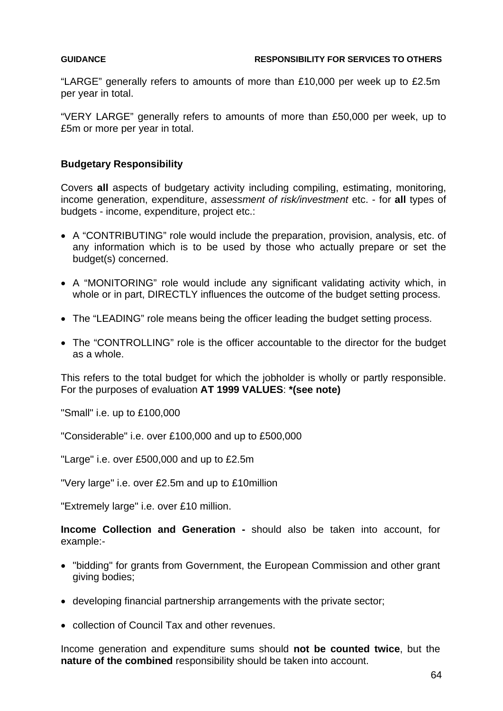"LARGE" generally refers to amounts of more than £10,000 per week up to £2.5m per year in total.

"VERY LARGE" generally refers to amounts of more than £50,000 per week, up to £5m or more per year in total.

### **Budgetary Responsibility**

Covers **all** aspects of budgetary activity including compiling, estimating, monitoring, income generation, expenditure, *assessment of risk/investment* etc. - for **all** types of budgets - income, expenditure, project etc.:

- A "CONTRIBUTING" role would include the preparation, provision, analysis, etc. of any information which is to be used by those who actually prepare or set the budget(s) concerned.
- A "MONITORING" role would include any significant validating activity which, in whole or in part, DIRECTLY influences the outcome of the budget setting process.
- The "LEADING" role means being the officer leading the budget setting process.
- The "CONTROLLING" role is the officer accountable to the director for the budget as a whole.

This refers to the total budget for which the jobholder is wholly or partly responsible. For the purposes of evaluation **AT 1999 VALUES**: **\*(see note)**

"Small" i.e. up to £100,000

"Considerable" i.e. over £100,000 and up to £500,000

"Large" i.e. over £500,000 and up to £2.5m

"Very large" i.e. over £2.5m and up to £10million

"Extremely large" i.e. over £10 million.

**Income Collection and Generation -** should also be taken into account, for example:-

- "bidding" for grants from Government, the European Commission and other grant giving bodies;
- developing financial partnership arrangements with the private sector;
- collection of Council Tax and other revenues.

Income generation and expenditure sums should **not be counted twice**, but the **nature of the combined** responsibility should be taken into account.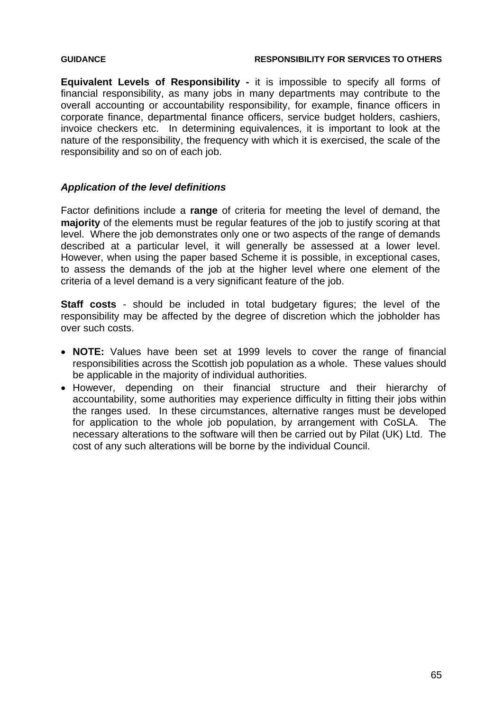### **GUIDANCE RESPONSIBILITY FOR SERVICES TO OTHERS**

**Equivalent Levels of Responsibility -** it is impossible to specify all forms of financial responsibility, as many jobs in many departments may contribute to the overall accounting or accountability responsibility, for example, finance officers in corporate finance, departmental finance officers, service budget holders, cashiers, invoice checkers etc. In determining equivalences, it is important to look at the nature of the responsibility, the frequency with which it is exercised, the scale of the responsibility and so on of each job.

# *Application of the level definitions*

Factor definitions include a **range** of criteria for meeting the level of demand, the **majority** of the elements must be regular features of the job to justify scoring at that level. Where the job demonstrates only one or two aspects of the range of demands described at a particular level, it will generally be assessed at a lower level. However, when using the paper based Scheme it is possible, in exceptional cases, to assess the demands of the job at the higher level where one element of the criteria of a level demand is a very significant feature of the job.

**Staff costs** - should be included in total budgetary figures; the level of the responsibility may be affected by the degree of discretion which the jobholder has over such costs.

- **NOTE:** Values have been set at 1999 levels to cover the range of financial responsibilities across the Scottish job population as a whole. These values should be applicable in the majority of individual authorities.
- However, depending on their financial structure and their hierarchy of accountability, some authorities may experience difficulty in fitting their jobs within the ranges used. In these circumstances, alternative ranges must be developed for application to the whole job population, by arrangement with CoSLA. The necessary alterations to the software will then be carried out by Pilat (UK) Ltd. The cost of any such alterations will be borne by the individual Council.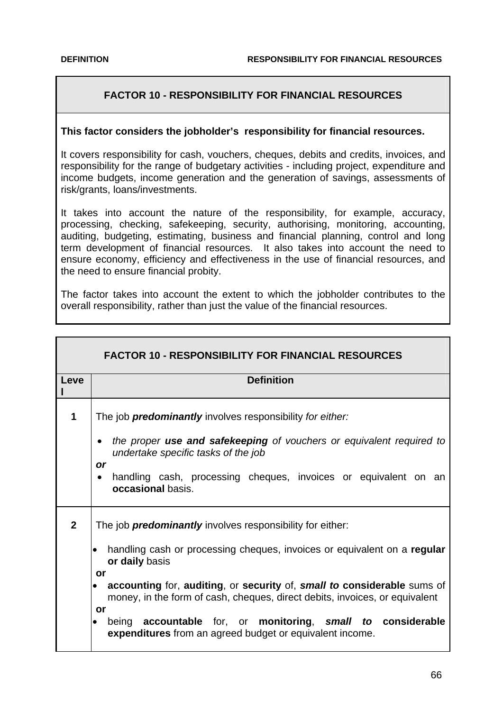# **FACTOR 10 - RESPONSIBILITY FOR FINANCIAL RESOURCES**

### **This factor considers the jobholder's responsibility for financial resources.**

It covers responsibility for cash, vouchers, cheques, debits and credits, invoices, and responsibility for the range of budgetary activities - including project, expenditure and income budgets, income generation and the generation of savings, assessments of risk/grants, loans/investments.

It takes into account the nature of the responsibility, for example, accuracy, processing, checking, safekeeping, security, authorising, monitoring, accounting, auditing, budgeting, estimating, business and financial planning, control and long term development of financial resources. It also takes into account the need to ensure economy, efficiency and effectiveness in the use of financial resources, and the need to ensure financial probity.

The factor takes into account the extent to which the jobholder contributes to the overall responsibility, rather than just the value of the financial resources.

| <b>FACTOR 10 - RESPONSIBILITY FOR FINANCIAL RESOURCES</b> |                                                                                                                                                                    |  |
|-----------------------------------------------------------|--------------------------------------------------------------------------------------------------------------------------------------------------------------------|--|
| Leve                                                      | <b>Definition</b>                                                                                                                                                  |  |
| 1                                                         | The job <b>predominantly</b> involves responsibility for either:                                                                                                   |  |
|                                                           | the proper use and safekeeping of vouchers or equivalent required to<br>$\bullet$<br>undertake specific tasks of the job<br><b>or</b>                              |  |
|                                                           | handling cash, processing cheques, invoices or equivalent on an<br>$\bullet$<br>occasional basis.                                                                  |  |
| $\overline{2}$                                            | The job <b>predominantly</b> involves responsibility for either:                                                                                                   |  |
|                                                           | handling cash or processing cheques, invoices or equivalent on a regular<br>or daily basis                                                                         |  |
|                                                           | or<br>accounting for, auditing, or security of, small to considerable sums of<br>money, in the form of cash, cheques, direct debits, invoices, or equivalent<br>or |  |
|                                                           | accountable for, or monitoring, small<br>to considerable<br>being<br>expenditures from an agreed budget or equivalent income.                                      |  |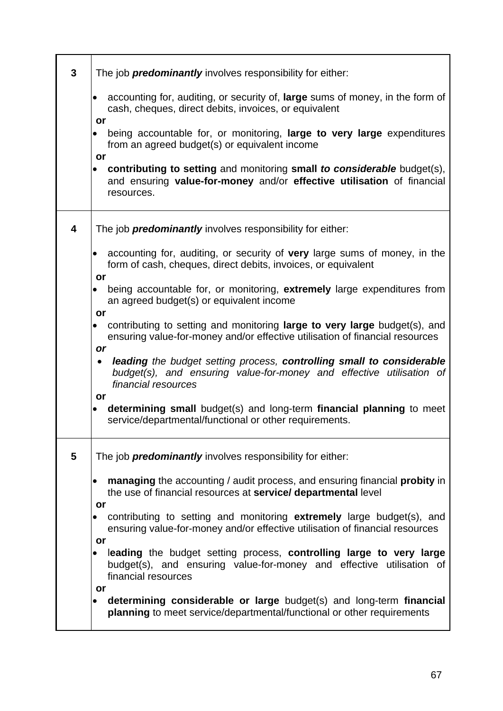| 3 | The job <b>predominantly</b> involves responsibility for either:                                                                                                                  |
|---|-----------------------------------------------------------------------------------------------------------------------------------------------------------------------------------|
|   | accounting for, auditing, or security of, large sums of money, in the form of<br>cash, cheques, direct debits, invoices, or equivalent<br>or                                      |
|   | being accountable for, or monitoring, large to very large expenditures<br>from an agreed budget(s) or equivalent income<br>or                                                     |
|   | contributing to setting and monitoring small to considerable budget(s),<br>$\bullet$<br>and ensuring value-for-money and/or effective utilisation of financial<br>resources.      |
| 4 | The job <b>predominantly</b> involves responsibility for either:                                                                                                                  |
|   | accounting for, auditing, or security of very large sums of money, in the<br>$\bullet$<br>form of cash, cheques, direct debits, invoices, or equivalent                           |
|   | or<br>being accountable for, or monitoring, extremely large expenditures from<br>an agreed budget(s) or equivalent income<br>or                                                   |
|   | contributing to setting and monitoring large to very large budget(s), and<br>ensuring value-for-money and/or effective utilisation of financial resources<br>or                   |
|   | leading the budget setting process, controlling small to considerable<br>$\bullet$<br>budget(s), and ensuring value-for-money and effective utilisation of<br>financial resources |
|   | or<br>determining small budget(s) and long-term financial planning to meet<br>service/departmental/functional or other requirements.                                              |
| 5 | The job <i>predominantly</i> involves responsibility for either:                                                                                                                  |
|   | managing the accounting / audit process, and ensuring financial probity in<br>the use of financial resources at service/ departmental level<br>or                                 |
|   | contributing to setting and monitoring extremely large budget(s), and<br>ensuring value-for-money and/or effective utilisation of financial resources                             |
|   | or<br>leading the budget setting process, controlling large to very large<br>budget(s), and ensuring value-for-money and effective utilisation of<br>financial resources          |
|   | or<br>determining considerable or large budget(s) and long-term financial<br>$\bullet$<br>planning to meet service/departmental/functional or other requirements                  |

l,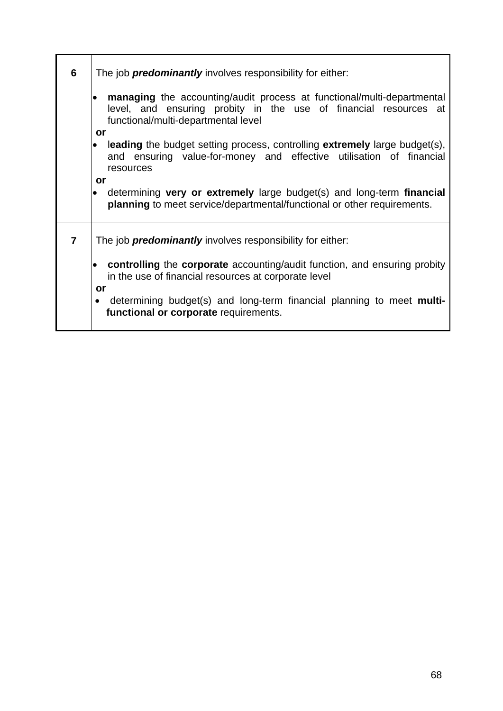| 6              | The job <b>predominantly</b> involves responsibility for either:                                                                                                                         |
|----------------|------------------------------------------------------------------------------------------------------------------------------------------------------------------------------------------|
|                | <b>managing</b> the accounting/audit process at functional/multi-departmental<br>level, and ensuring probity in the use of financial resources at<br>functional/multi-departmental level |
|                | or                                                                                                                                                                                       |
|                | leading the budget setting process, controlling extremely large budget(s),<br>and ensuring value-for-money and effective utilisation of financial<br>resources                           |
|                | or                                                                                                                                                                                       |
|                | determining very or extremely large budget(s) and long-term financial<br>planning to meet service/departmental/functional or other requirements.                                         |
| $\overline{7}$ | The job <b>predominantly</b> involves responsibility for either:                                                                                                                         |
|                | <b>controlling</b> the <b>corporate</b> accounting/audit function, and ensuring probity<br>in the use of financial resources at corporate level                                          |
|                | or<br>determining budget(s) and long-term financial planning to meet multi-<br>$\bullet$<br>functional or corporate requirements.                                                        |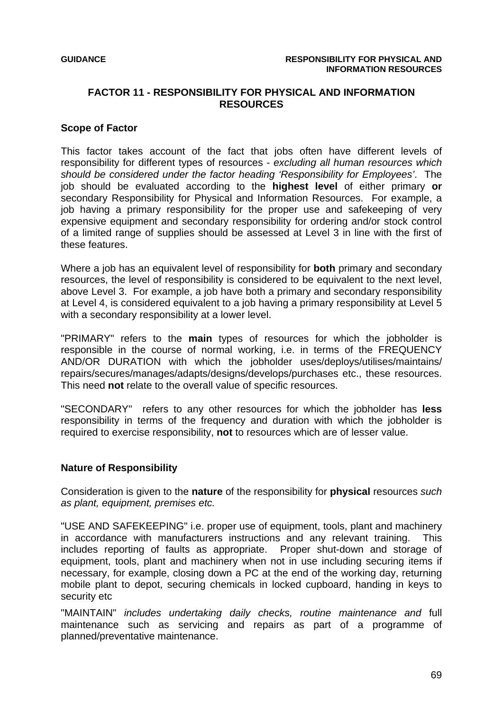## **FACTOR 11 - RESPONSIBILITY FOR PHYSICAL AND INFORMATION RESOURCES**

### **Scope of Factor**

This factor takes account of the fact that jobs often have different levels of responsibility for different types of resources - *excluding all human resources which should be considered under the factor heading 'Responsibility for Employees'*. The job should be evaluated according to the **highest level** of either primary **or** secondary Responsibility for Physical and Information Resources. For example, a job having a primary responsibility for the proper use and safekeeping of very expensive equipment and secondary responsibility for ordering and/or stock control of a limited range of supplies should be assessed at Level 3 in line with the first of these features.

Where a job has an equivalent level of responsibility for **both** primary and secondary resources, the level of responsibility is considered to be equivalent to the next level, above Level 3. For example, a job have both a primary and secondary responsibility at Level 4, is considered equivalent to a job having a primary responsibility at Level 5 with a secondary responsibility at a lower level.

"PRIMARY" refers to the **main** types of resources for which the jobholder is responsible in the course of normal working, i.e. in terms of the FREQUENCY AND/OR DURATION with which the jobholder uses/deploys/utilises/maintains/ repairs/secures/manages/adapts/designs/develops/purchases etc., these resources. This need **not** relate to the overall value of specific resources.

"SECONDARY" refers to any other resources for which the jobholder has **less** responsibility in terms of the frequency and duration with which the jobholder is required to exercise responsibility, **not** to resources which are of lesser value.

### **Nature of Responsibility**

Consideration is given to the **nature** of the responsibility for **physical** resources *such as plant, equipment, premises etc.* 

"USE AND SAFEKEEPING" i.e. proper use of equipment, tools, plant and machinery in accordance with manufacturers instructions and any relevant training. This includes reporting of faults as appropriate. Proper shut-down and storage of equipment, tools, plant and machinery when not in use including securing items if necessary, for example, closing down a PC at the end of the working day, returning mobile plant to depot, securing chemicals in locked cupboard, handing in keys to security etc

"MAINTAIN" *includes undertaking daily checks, routine maintenance and* full maintenance such as servicing and repairs as part of a programme of planned/preventative maintenance.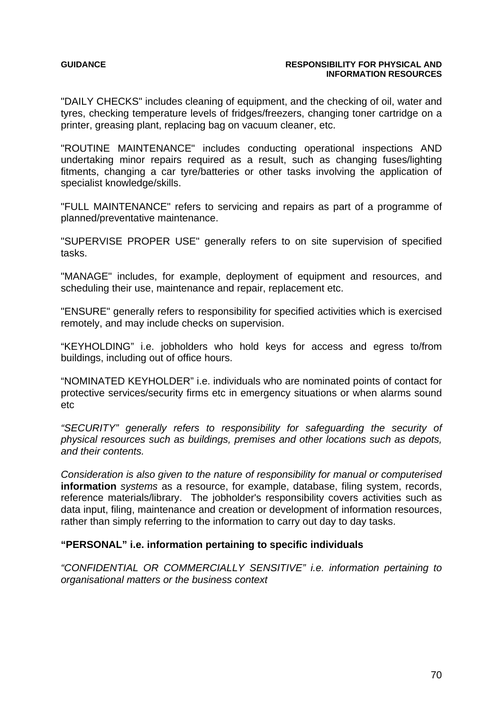### **GUIDANCE GUIDANCE RESPONSIBILITY FOR PHYSICAL AND INFORMATION RESOURCES**

"DAILY CHECKS" includes cleaning of equipment, and the checking of oil, water and tyres, checking temperature levels of fridges/freezers, changing toner cartridge on a printer, greasing plant, replacing bag on vacuum cleaner, etc.

"ROUTINE MAINTENANCE" includes conducting operational inspections AND undertaking minor repairs required as a result, such as changing fuses/lighting fitments, changing a car tyre/batteries or other tasks involving the application of specialist knowledge/skills.

"FULL MAINTENANCE" refers to servicing and repairs as part of a programme of planned/preventative maintenance.

"SUPERVISE PROPER USE" generally refers to on site supervision of specified tasks.

"MANAGE" includes, for example, deployment of equipment and resources, and scheduling their use, maintenance and repair, replacement etc.

"ENSURE" generally refers to responsibility for specified activities which is exercised remotely, and may include checks on supervision.

"KEYHOLDING" i.e. jobholders who hold keys for access and egress to/from buildings, including out of office hours.

"NOMINATED KEYHOLDER" i.e. individuals who are nominated points of contact for protective services/security firms etc in emergency situations or when alarms sound etc

*"SECURITY" generally refers to responsibility for safeguarding the security of physical resources such as buildings, premises and other locations such as depots, and their contents.* 

*Consideration is also given to the nature of responsibility for manual or computerised*  **information** *systems* as a resource, for example, database, filing system, records, reference materials/library. The jobholder's responsibility covers activities such as data input, filing, maintenance and creation or development of information resources, rather than simply referring to the information to carry out day to day tasks.

### **"PERSONAL" i.e. information pertaining to specific individuals**

*"CONFIDENTIAL OR COMMERCIALLY SENSITIVE" i.e. information pertaining to organisational matters or the business context*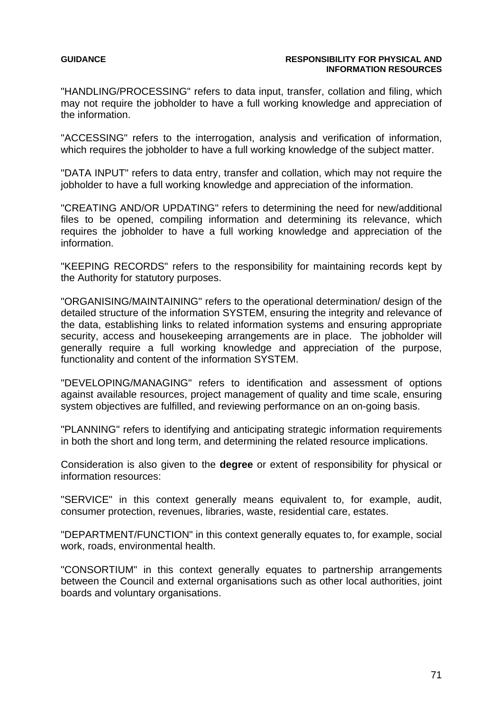### **GUIDANCE RESPONSIBILITY FOR PHYSICAL AND RESPONSIBILITY FOR PHYSICAL AND INFORMATION RESOURCES**

"HANDLING/PROCESSING" refers to data input, transfer, collation and filing, which may not require the jobholder to have a full working knowledge and appreciation of the information.

"ACCESSING" refers to the interrogation, analysis and verification of information, which requires the jobholder to have a full working knowledge of the subject matter.

"DATA INPUT" refers to data entry, transfer and collation, which may not require the jobholder to have a full working knowledge and appreciation of the information.

"CREATING AND/OR UPDATING" refers to determining the need for new/additional files to be opened, compiling information and determining its relevance, which requires the jobholder to have a full working knowledge and appreciation of the information.

"KEEPING RECORDS" refers to the responsibility for maintaining records kept by the Authority for statutory purposes.

"ORGANISING/MAINTAINING" refers to the operational determination/ design of the detailed structure of the information SYSTEM, ensuring the integrity and relevance of the data, establishing links to related information systems and ensuring appropriate security, access and housekeeping arrangements are in place. The jobholder will generally require a full working knowledge and appreciation of the purpose, functionality and content of the information SYSTEM.

"DEVELOPING/MANAGING" refers to identification and assessment of options against available resources, project management of quality and time scale, ensuring system objectives are fulfilled, and reviewing performance on an on-going basis.

"PLANNING" refers to identifying and anticipating strategic information requirements in both the short and long term, and determining the related resource implications.

Consideration is also given to the **degree** or extent of responsibility for physical or information resources:

"SERVICE" in this context generally means equivalent to, for example, audit, consumer protection, revenues, libraries, waste, residential care, estates.

"DEPARTMENT/FUNCTION" in this context generally equates to, for example, social work, roads, environmental health.

"CONSORTIUM" in this context generally equates to partnership arrangements between the Council and external organisations such as other local authorities, joint boards and voluntary organisations.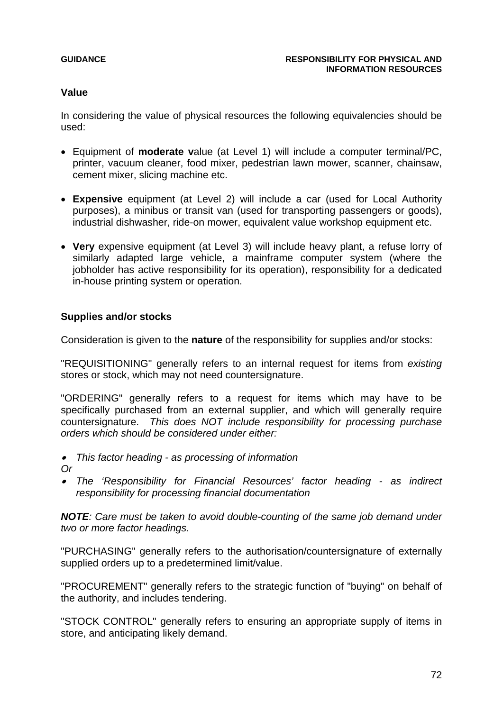### **Value**

In considering the value of physical resources the following equivalencies should be used:

- Equipment of **moderate v**alue (at Level 1) will include a computer terminal/PC, printer, vacuum cleaner, food mixer, pedestrian lawn mower, scanner, chainsaw, cement mixer, slicing machine etc.
- **Expensive** equipment (at Level 2) will include a car (used for Local Authority purposes), a minibus or transit van (used for transporting passengers or goods), industrial dishwasher, ride-on mower, equivalent value workshop equipment etc.
- **Very** expensive equipment (at Level 3) will include heavy plant, a refuse lorry of similarly adapted large vehicle, a mainframe computer system (where the jobholder has active responsibility for its operation), responsibility for a dedicated in-house printing system or operation.

## **Supplies and/or stocks**

Consideration is given to the **nature** of the responsibility for supplies and/or stocks:

"REQUISITIONING" generally refers to an internal request for items from *existing*  stores or stock, which may not need countersignature.

"ORDERING" generally refers to a request for items which may have to be specifically purchased from an external supplier, and which will generally require countersignature. *This does NOT include responsibility for processing purchase orders which should be considered under either:* 

- • *This factor heading as processing of information*
- *Or*
- • *The 'Responsibility for Financial Resources' factor heading as indirect responsibility for processing financial documentation*

*NOTE: Care must be taken to avoid double-counting of the same job demand under two or more factor headings.*

"PURCHASING" generally refers to the authorisation/countersignature of externally supplied orders up to a predetermined limit/value.

"PROCUREMENT" generally refers to the strategic function of "buying" on behalf of the authority, and includes tendering.

"STOCK CONTROL" generally refers to ensuring an appropriate supply of items in store, and anticipating likely demand.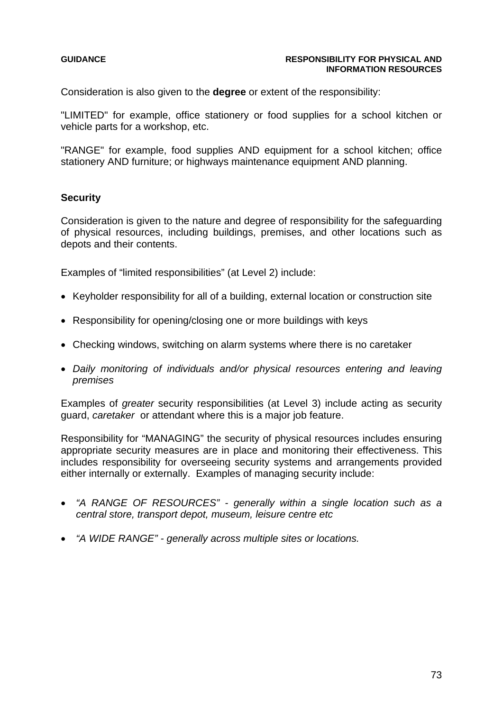#### **GUIDANCE RESPONSIBILITY FOR PHYSICAL AND INFORMATION RESOURCES**

Consideration is also given to the **degree** or extent of the responsibility:

"LIMITED" for example, office stationery or food supplies for a school kitchen or vehicle parts for a workshop, etc.

"RANGE" for example, food supplies AND equipment for a school kitchen; office stationery AND furniture; or highways maintenance equipment AND planning.

#### **Security**

Consideration is given to the nature and degree of responsibility for the safeguarding of physical resources, including buildings, premises, and other locations such as depots and their contents.

Examples of "limited responsibilities" (at Level 2) include:

- Keyholder responsibility for all of a building, external location or construction site
- Responsibility for opening/closing one or more buildings with keys
- Checking windows, switching on alarm systems where there is no caretaker
- *Daily monitoring of individuals and/or physical resources entering and leaving premises*

Examples of *greater* security responsibilities (at Level 3) include acting as security guard, *caretaker* or attendant where this is a major job feature.

Responsibility for "MANAGING" the security of physical resources includes ensuring appropriate security measures are in place and monitoring their effectiveness. This includes responsibility for overseeing security systems and arrangements provided either internally or externally. Examples of managing security include:

- *"A RANGE OF RESOURCES" generally within a single location such as a central store, transport depot, museum, leisure centre etc*
- *"A WIDE RANGE" generally across multiple sites or locations.*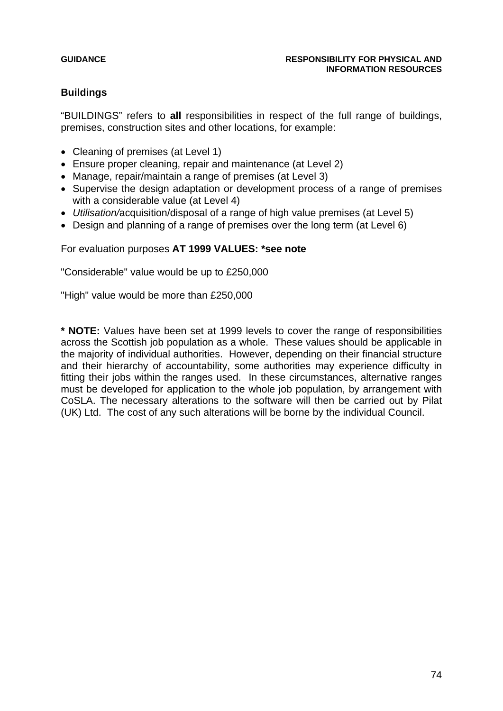# **Buildings**

"BUILDINGS" refers to **all** responsibilities in respect of the full range of buildings, premises, construction sites and other locations, for example:

- Cleaning of premises (at Level 1)
- Ensure proper cleaning, repair and maintenance (at Level 2)
- Manage, repair/maintain a range of premises (at Level 3)
- Supervise the design adaptation or development process of a range of premises with a considerable value (at Level 4)
- *Utilisation/*acquisition/disposal of a range of high value premises (at Level 5)
- Design and planning of a range of premises over the long term (at Level 6)

# For evaluation purposes **AT 1999 VALUES: \*see note**

"Considerable" value would be up to £250,000

"High" value would be more than £250,000

**\* NOTE:** Values have been set at 1999 levels to cover the range of responsibilities across the Scottish job population as a whole. These values should be applicable in the majority of individual authorities. However, depending on their financial structure and their hierarchy of accountability, some authorities may experience difficulty in fitting their jobs within the ranges used. In these circumstances, alternative ranges must be developed for application to the whole job population, by arrangement with CoSLA. The necessary alterations to the software will then be carried out by Pilat (UK) Ltd. The cost of any such alterations will be borne by the individual Council.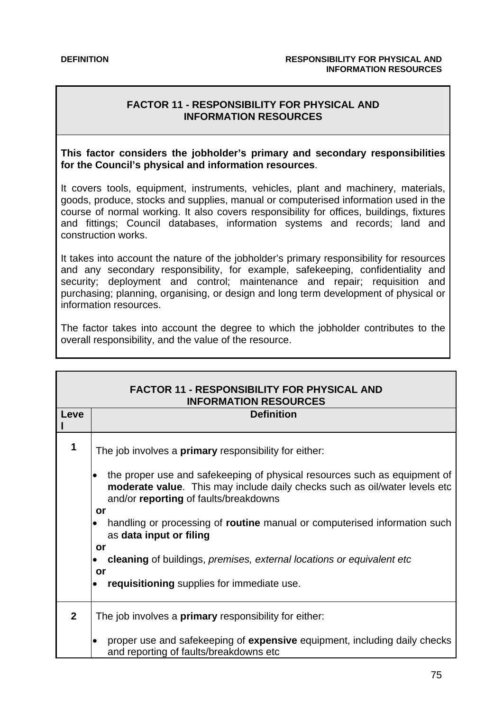# **FACTOR 11 - RESPONSIBILITY FOR PHYSICAL AND INFORMATION RESOURCES**

#### **This factor considers the jobholder's primary and secondary responsibilities for the Council's physical and information resources**.

It covers tools, equipment, instruments, vehicles, plant and machinery, materials, goods, produce, stocks and supplies, manual or computerised information used in the course of normal working. It also covers responsibility for offices, buildings, fixtures and fittings; Council databases, information systems and records; land and construction works.

It takes into account the nature of the jobholder's primary responsibility for resources and any secondary responsibility, for example, safekeeping, confidentiality and security; deployment and control; maintenance and repair; requisition and purchasing; planning, organising, or design and long term development of physical or information resources.

The factor takes into account the degree to which the jobholder contributes to the overall responsibility, and the value of the resource.

| <b>FACTOR 11 - RESPONSIBILITY FOR PHYSICAL AND</b><br><b>INFORMATION RESOURCES</b><br><b>Definition</b><br>Leve |                                                                                                                                                                                                        |
|-----------------------------------------------------------------------------------------------------------------|--------------------------------------------------------------------------------------------------------------------------------------------------------------------------------------------------------|
|                                                                                                                 |                                                                                                                                                                                                        |
| 1                                                                                                               | The job involves a primary responsibility for either:                                                                                                                                                  |
|                                                                                                                 | the proper use and safekeeping of physical resources such as equipment of<br>moderate value. This may include daily checks such as oil/water levels etc<br>and/or reporting of faults/breakdowns<br>or |
|                                                                                                                 | handling or processing of routine manual or computerised information such<br>as data input or filing<br>or                                                                                             |
|                                                                                                                 | cleaning of buildings, premises, external locations or equivalent etc<br>or                                                                                                                            |
|                                                                                                                 | requisitioning supplies for immediate use.                                                                                                                                                             |
| $\mathbf{2}$                                                                                                    | The job involves a <b>primary</b> responsibility for either:                                                                                                                                           |
|                                                                                                                 | proper use and safekeeping of expensive equipment, including daily checks<br>$\bullet$<br>and reporting of faults/breakdowns etc                                                                       |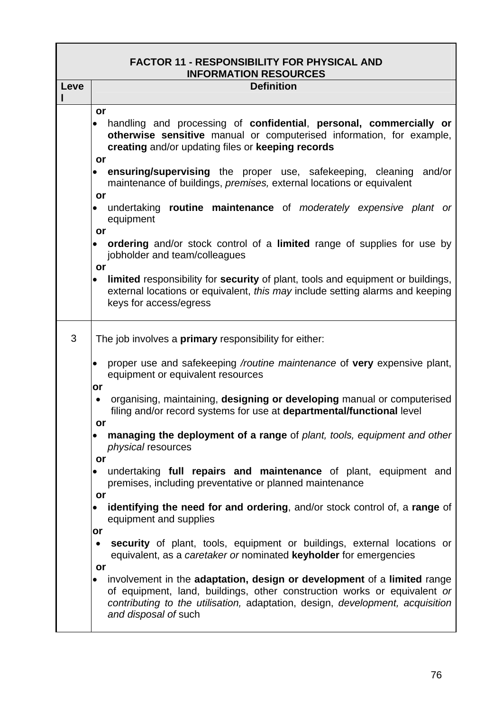|      | <b>FACTOR 11 - RESPONSIBILITY FOR PHYSICAL AND</b><br><b>INFORMATION RESOURCES</b>                                                                                                                                                                                      |  |
|------|-------------------------------------------------------------------------------------------------------------------------------------------------------------------------------------------------------------------------------------------------------------------------|--|
| Leve | <b>Definition</b>                                                                                                                                                                                                                                                       |  |
|      | or<br>handling and processing of confidential, personal, commercially or<br>otherwise sensitive manual or computerised information, for example,<br>creating and/or updating files or keeping records<br>or                                                             |  |
|      | ensuring/supervising the proper use, safekeeping, cleaning<br>and/or<br>maintenance of buildings, premises, external locations or equivalent<br>or                                                                                                                      |  |
|      | undertaking routine maintenance of moderately expensive plant or<br>equipment<br>or                                                                                                                                                                                     |  |
|      | ordering and/or stock control of a limited range of supplies for use by<br>jobholder and team/colleagues<br>or                                                                                                                                                          |  |
|      | limited responsibility for security of plant, tools and equipment or buildings,<br>$\bullet$<br>external locations or equivalent, this may include setting alarms and keeping<br>keys for access/egress                                                                 |  |
| 3    | The job involves a <b>primary</b> responsibility for either:                                                                                                                                                                                                            |  |
|      | proper use and safekeeping /routine maintenance of very expensive plant,<br>٠<br>equipment or equivalent resources<br>or                                                                                                                                                |  |
|      | organising, maintaining, designing or developing manual or computerised<br>٠<br>filing and/or record systems for use at departmental/functional level<br>or                                                                                                             |  |
|      | managing the deployment of a range of plant, tools, equipment and other<br>٠<br>physical resources<br>or                                                                                                                                                                |  |
|      | undertaking full repairs and maintenance of plant, equipment and<br>$\bullet$<br>premises, including preventative or planned maintenance                                                                                                                                |  |
|      | or<br>identifying the need for and ordering, and/or stock control of, a range of<br>٠<br>equipment and supplies                                                                                                                                                         |  |
|      | or<br>security of plant, tools, equipment or buildings, external locations or<br>٠<br>equivalent, as a caretaker or nominated keyholder for emergencies                                                                                                                 |  |
|      | or<br>involvement in the adaptation, design or development of a limited range<br>٠<br>of equipment, land, buildings, other construction works or equivalent or<br>contributing to the utilisation, adaptation, design, development, acquisition<br>and disposal of such |  |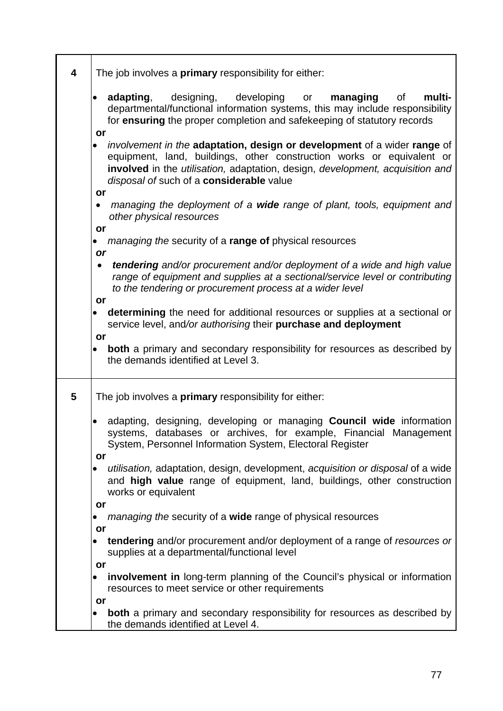| 4 | The job involves a <b>primary</b> responsibility for either:                                                                                                                                                                                                                                      |
|---|---------------------------------------------------------------------------------------------------------------------------------------------------------------------------------------------------------------------------------------------------------------------------------------------------|
|   | <b>adapting</b> , designing, developing<br>multi-<br>managing<br>οf<br>or<br>departmental/functional information systems, this may include responsibility<br>for ensuring the proper completion and safekeeping of statutory records                                                              |
|   | or<br>involvement in the adaptation, design or development of a wider range of<br>$\bullet$<br>equipment, land, buildings, other construction works or equivalent or<br>involved in the utilisation, adaptation, design, development, acquisition and<br>disposal of such of a considerable value |
|   | or<br>managing the deployment of a wide range of plant, tools, equipment and<br>٠<br>other physical resources<br>or                                                                                                                                                                               |
|   | managing the security of a range of physical resources<br>or                                                                                                                                                                                                                                      |
|   | tendering and/or procurement and/or deployment of a wide and high value<br>range of equipment and supplies at a sectional/service level or contributing<br>to the tendering or procurement process at a wider level                                                                               |
|   | or<br>determining the need for additional resources or supplies at a sectional or<br>$\bullet$<br>service level, and/or authorising their purchase and deployment                                                                                                                                 |
|   | or<br>both a primary and secondary responsibility for resources as described by<br>$\bullet$<br>the demands identified at Level 3.                                                                                                                                                                |
| 5 | The job involves a <b>primary</b> responsibility for either:                                                                                                                                                                                                                                      |
|   | adapting, designing, developing or managing <b>Council wide</b> information<br>systems, databases or archives, for example, Financial Management<br>System, Personnel Information System, Electoral Register                                                                                      |
|   | or<br>utilisation, adaptation, design, development, acquisition or disposal of a wide<br>and high value range of equipment, land, buildings, other construction<br>works or equivalent                                                                                                            |
|   | or<br><i>managing the security of a wide range of physical resources</i>                                                                                                                                                                                                                          |
|   | or<br>tendering and/or procurement and/or deployment of a range of resources or<br>supplies at a departmental/functional level<br>or                                                                                                                                                              |
|   | involvement in long-term planning of the Council's physical or information<br>resources to meet service or other requirements                                                                                                                                                                     |
|   | or<br>both a primary and secondary responsibility for resources as described by<br>$\bullet$<br>the demands identified at Level 4.                                                                                                                                                                |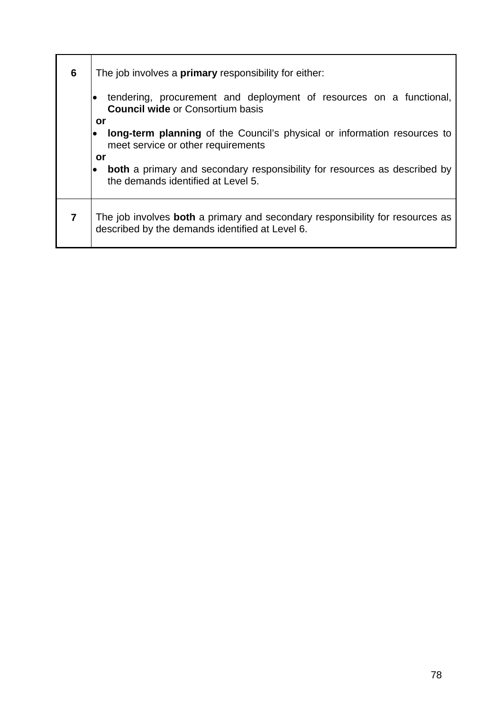| 6 | The job involves a <b>primary</b> responsibility for either:                                                                            |
|---|-----------------------------------------------------------------------------------------------------------------------------------------|
|   | tendering, procurement and deployment of resources on a functional,<br><b>Council wide or Consortium basis</b>                          |
|   | or<br>long-term planning of the Council's physical or information resources to<br>meet service or other requirements                    |
|   | or<br><b>both</b> a primary and secondary responsibility for resources as described by<br>the demands identified at Level 5.            |
|   | The job involves <b>both</b> a primary and secondary responsibility for resources as<br>described by the demands identified at Level 6. |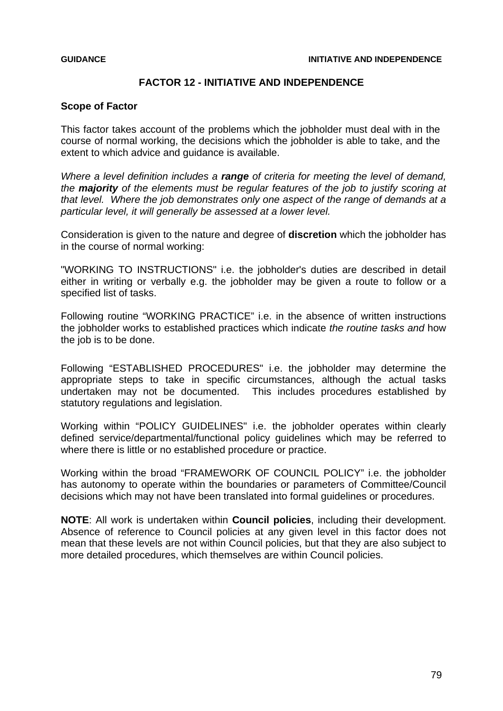## **FACTOR 12 - INITIATIVE AND INDEPENDENCE**

### **Scope of Factor**

This factor takes account of the problems which the jobholder must deal with in the course of normal working, the decisions which the jobholder is able to take, and the extent to which advice and guidance is available.

*Where a level definition includes a range of criteria for meeting the level of demand, the majority of the elements must be regular features of the job to justify scoring at that level. Where the job demonstrates only one aspect of the range of demands at a particular level, it will generally be assessed at a lower level.* 

Consideration is given to the nature and degree of **discretion** which the jobholder has in the course of normal working:

"WORKING TO INSTRUCTIONS" i.e. the jobholder's duties are described in detail either in writing or verbally e.g. the jobholder may be given a route to follow or a specified list of tasks.

Following routine "WORKING PRACTICE" i.e. in the absence of written instructions the jobholder works to established practices which indicate *the routine tasks and* how the job is to be done.

Following "ESTABLISHED PROCEDURES" i.e. the jobholder may determine the appropriate steps to take in specific circumstances, although the actual tasks undertaken may not be documented. This includes procedures established by statutory regulations and legislation.

Working within "POLICY GUIDELINES" i.e. the jobholder operates within clearly defined service/departmental/functional policy guidelines which may be referred to where there is little or no established procedure or practice.

Working within the broad "FRAMEWORK OF COUNCIL POLICY" i.e. the jobholder has autonomy to operate within the boundaries or parameters of Committee/Council decisions which may not have been translated into formal guidelines or procedures.

**NOTE**: All work is undertaken within **Council policies**, including their development. Absence of reference to Council policies at any given level in this factor does not mean that these levels are not within Council policies, but that they are also subject to more detailed procedures, which themselves are within Council policies.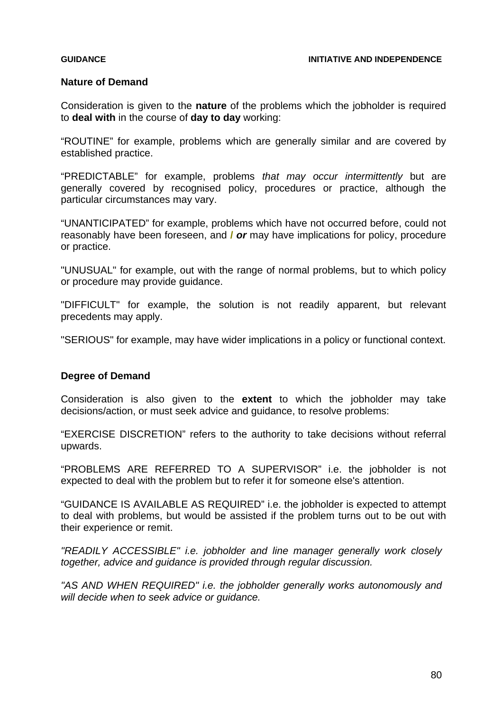## **Nature of Demand**

Consideration is given to the **nature** of the problems which the jobholder is required to **deal with** in the course of **day to day** working:

"ROUTINE" for example, problems which are generally similar and are covered by established practice.

"PREDICTABLE" for example, problems *that may occur intermittently* but are generally covered by recognised policy, procedures or practice, although the particular circumstances may vary.

"UNANTICIPATED" for example, problems which have not occurred before, could not reasonably have been foreseen, and **/** *or* may have implications for policy, procedure or practice.

"UNUSUAL" for example, out with the range of normal problems, but to which policy or procedure may provide guidance.

"DIFFICULT" for example, the solution is not readily apparent, but relevant precedents may apply.

"SERIOUS" for example, may have wider implications in a policy or functional context.

## **Degree of Demand**

Consideration is also given to the **extent** to which the jobholder may take decisions/action, or must seek advice and guidance, to resolve problems:

"EXERCISE DISCRETION" refers to the authority to take decisions without referral upwards.

"PROBLEMS ARE REFERRED TO A SUPERVISOR" i.e. the jobholder is not expected to deal with the problem but to refer it for someone else's attention.

"GUIDANCE IS AVAILABLE AS REQUIRED" i.e. the jobholder is expected to attempt to deal with problems, but would be assisted if the problem turns out to be out with their experience or remit.

*"READILY ACCESSIBLE" i.e. jobholder and line manager generally work closely together, advice and guidance is provided through regular discussion.* 

*"AS AND WHEN REQUIRED" i.e. the jobholder generally works autonomously and will decide when to seek advice or guidance.*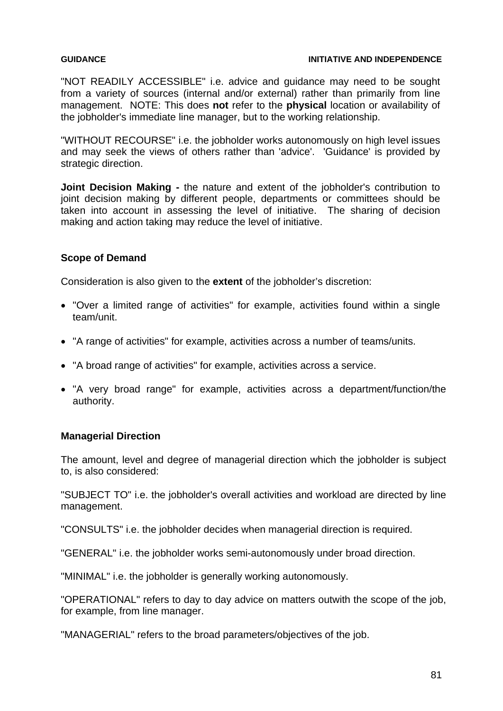#### **GUIDANCE INITIATIVE AND INDEPENDENCE**

"NOT READILY ACCESSIBLE" i.e. advice and guidance may need to be sought from a variety of sources (internal and/or external) rather than primarily from line management. NOTE: This does **not** refer to the **physical** location or availability of the jobholder's immediate line manager, but to the working relationship.

"WITHOUT RECOURSE" i.e. the jobholder works autonomously on high level issues and may seek the views of others rather than 'advice'. 'Guidance' is provided by strategic direction.

**Joint Decision Making -** the nature and extent of the jobholder's contribution to joint decision making by different people, departments or committees should be taken into account in assessing the level of initiative. The sharing of decision making and action taking may reduce the level of initiative.

### **Scope of Demand**

Consideration is also given to the **extent** of the jobholder's discretion:

- "Over a limited range of activities" for example, activities found within a single team/unit.
- "A range of activities" for example, activities across a number of teams/units.
- "A broad range of activities" for example, activities across a service.
- "A very broad range" for example, activities across a department/function/the authority.

## **Managerial Direction**

The amount, level and degree of managerial direction which the jobholder is subject to, is also considered:

"SUBJECT TO" i.e. the jobholder's overall activities and workload are directed by line management.

"CONSULTS" i.e. the jobholder decides when managerial direction is required.

"GENERAL" i.e. the jobholder works semi-autonomously under broad direction.

"MINIMAL" i.e. the jobholder is generally working autonomously.

"OPERATIONAL" refers to day to day advice on matters outwith the scope of the job, for example, from line manager.

"MANAGERIAL" refers to the broad parameters/objectives of the job.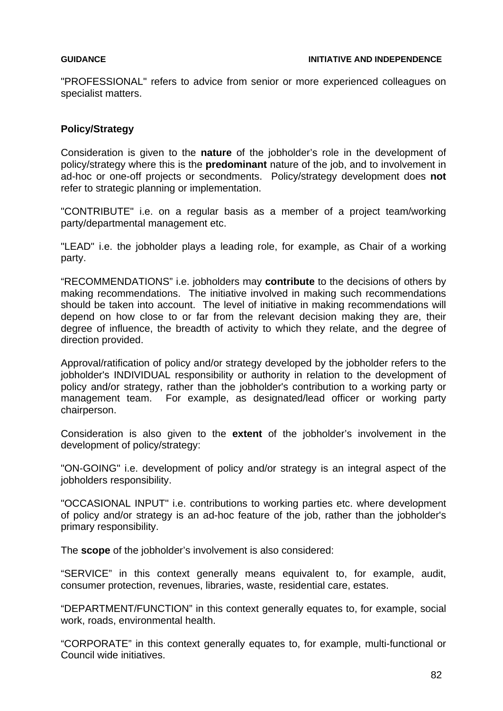"PROFESSIONAL" refers to advice from senior or more experienced colleagues on specialist matters.

### **Policy/Strategy**

Consideration is given to the **nature** of the jobholder's role in the development of policy/strategy where this is the **predominant** nature of the job, and to involvement in ad-hoc or one-off projects or secondments. Policy/strategy development does **not** refer to strategic planning or implementation.

"CONTRIBUTE" i.e. on a regular basis as a member of a project team/working party/departmental management etc.

"LEAD" i.e. the jobholder plays a leading role, for example, as Chair of a working party.

"RECOMMENDATIONS" i.e. jobholders may **contribute** to the decisions of others by making recommendations. The initiative involved in making such recommendations should be taken into account. The level of initiative in making recommendations will depend on how close to or far from the relevant decision making they are, their degree of influence, the breadth of activity to which they relate, and the degree of direction provided.

Approval/ratification of policy and/or strategy developed by the jobholder refers to the jobholder's INDIVIDUAL responsibility or authority in relation to the development of policy and/or strategy, rather than the jobholder's contribution to a working party or management team. For example, as designated/lead officer or working party chairperson.

Consideration is also given to the **extent** of the jobholder's involvement in the development of policy/strategy:

"ON-GOING" i.e. development of policy and/or strategy is an integral aspect of the jobholders responsibility.

"OCCASIONAL INPUT" i.e. contributions to working parties etc. where development of policy and/or strategy is an ad-hoc feature of the job, rather than the jobholder's primary responsibility.

The **scope** of the jobholder's involvement is also considered:

"SERVICE" in this context generally means equivalent to, for example, audit, consumer protection, revenues, libraries, waste, residential care, estates.

"DEPARTMENT/FUNCTION" in this context generally equates to, for example, social work, roads, environmental health.

"CORPORATE" in this context generally equates to, for example, multi-functional or Council wide initiatives.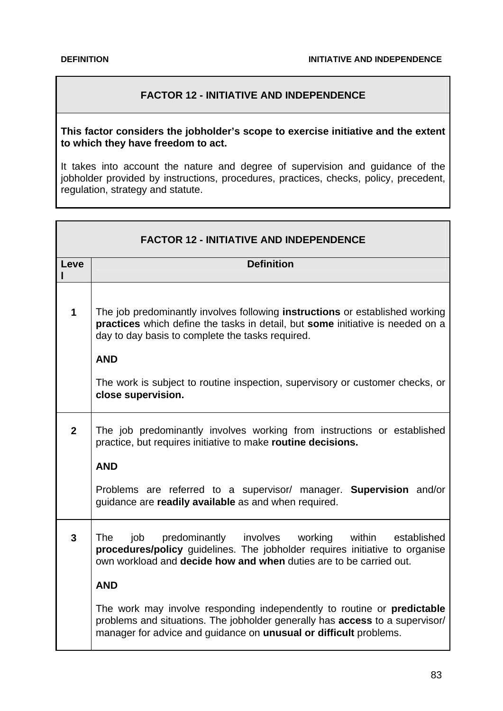# **FACTOR 12 - INITIATIVE AND INDEPENDENCE**

### **This factor considers the jobholder's scope to exercise initiative and the extent to which they have freedom to act.**

It takes into account the nature and degree of supervision and guidance of the jobholder provided by instructions, procedures, practices, checks, policy, precedent, regulation, strategy and statute.

| <b>FACTOR 12 - INITIATIVE AND INDEPENDENCE</b> |                                                                                                                                                                                                                                         |
|------------------------------------------------|-----------------------------------------------------------------------------------------------------------------------------------------------------------------------------------------------------------------------------------------|
| Leve                                           | <b>Definition</b>                                                                                                                                                                                                                       |
| $\overline{\mathbf{1}}$                        | The job predominantly involves following <b>instructions</b> or established working<br>practices which define the tasks in detail, but some initiative is needed on a<br>day to day basis to complete the tasks required.<br><b>AND</b> |
|                                                | The work is subject to routine inspection, supervisory or customer checks, or<br>close supervision.                                                                                                                                     |
| $\overline{2}$                                 | The job predominantly involves working from instructions or established<br>practice, but requires initiative to make routine decisions.                                                                                                 |
|                                                | <b>AND</b><br>Problems are referred to a supervisor/ manager. Supervision and/or<br>guidance are readily available as and when required.                                                                                                |
| $\overline{3}$                                 | The<br>job predominantly involves working within established<br>procedures/policy guidelines. The jobholder requires initiative to organise<br>own workload and <b>decide how and when</b> duties are to be carried out.                |
|                                                | <b>AND</b>                                                                                                                                                                                                                              |
|                                                | The work may involve responding independently to routine or <b>predictable</b><br>problems and situations. The jobholder generally has access to a supervisor/<br>manager for advice and guidance on unusual or difficult problems.     |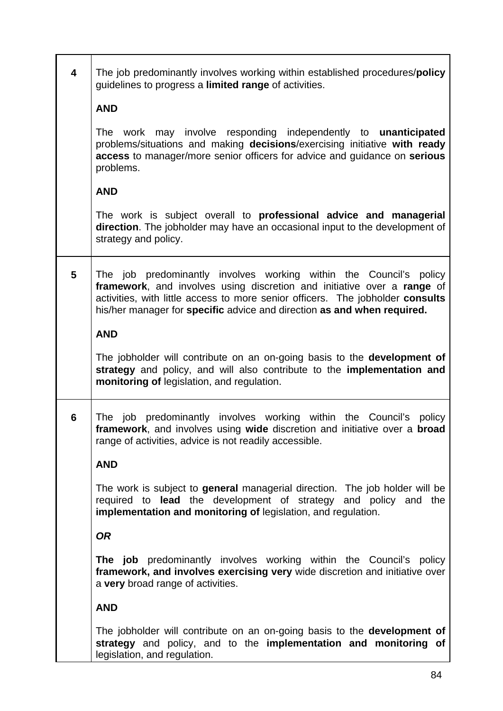| $\overline{\mathbf{4}}$ | The job predominantly involves working within established procedures/policy<br>guidelines to progress a limited range of activities.                                                                                                                                                                       |
|-------------------------|------------------------------------------------------------------------------------------------------------------------------------------------------------------------------------------------------------------------------------------------------------------------------------------------------------|
|                         | <b>AND</b>                                                                                                                                                                                                                                                                                                 |
|                         | The work may involve responding independently to <b>unanticipated</b><br>problems/situations and making decisions/exercising initiative with ready<br>access to manager/more senior officers for advice and guidance on serious<br>problems.                                                               |
|                         | <b>AND</b>                                                                                                                                                                                                                                                                                                 |
|                         | The work is subject overall to <b>professional advice and managerial</b><br>direction. The jobholder may have an occasional input to the development of<br>strategy and policy.                                                                                                                            |
| 5                       | The job predominantly involves working within the Council's policy<br>framework, and involves using discretion and initiative over a range of<br>activities, with little access to more senior officers. The jobholder consults<br>his/her manager for specific advice and direction as and when required. |
|                         | <b>AND</b>                                                                                                                                                                                                                                                                                                 |
|                         | The jobholder will contribute on an on-going basis to the <b>development of</b><br>strategy and policy, and will also contribute to the implementation and<br>monitoring of legislation, and regulation.                                                                                                   |
| 6                       | job predominantly involves working within the Council's policy<br>The<br>framework, and involves using wide discretion and initiative over a broad<br>range of activities, advice is not readily accessible.                                                                                               |
|                         | <b>AND</b>                                                                                                                                                                                                                                                                                                 |
|                         | The work is subject to general managerial direction. The job holder will be<br>required to lead the development of strategy and policy and the<br>implementation and monitoring of legislation, and regulation.                                                                                            |
|                         | <b>OR</b>                                                                                                                                                                                                                                                                                                  |
|                         | <b>The job</b> predominantly involves working within the Council's policy<br>framework, and involves exercising very wide discretion and initiative over<br>a very broad range of activities.                                                                                                              |
|                         | <b>AND</b>                                                                                                                                                                                                                                                                                                 |
|                         | The jobholder will contribute on an on-going basis to the <b>development of</b><br>strategy and policy, and to the implementation and monitoring of<br>legislation, and regulation.                                                                                                                        |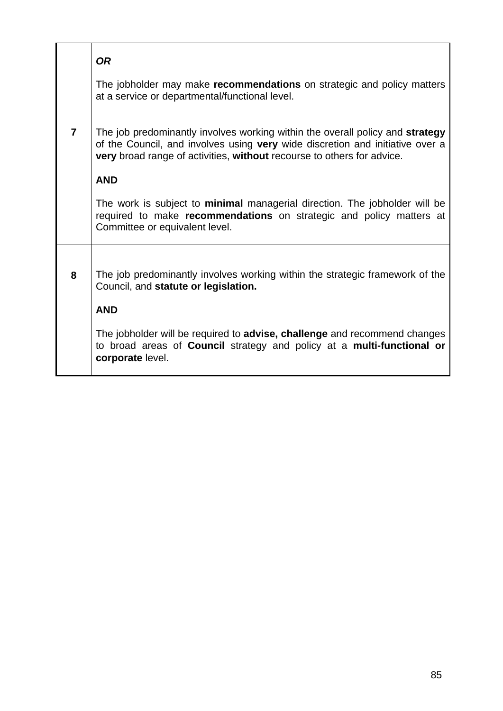|   | <b>OR</b><br>The jobholder may make recommendations on strategic and policy matters<br>at a service or departmental/functional level.                                                                                                                                                                                                                                                                       |
|---|-------------------------------------------------------------------------------------------------------------------------------------------------------------------------------------------------------------------------------------------------------------------------------------------------------------------------------------------------------------------------------------------------------------|
| 7 | The job predominantly involves working within the overall policy and strategy<br>of the Council, and involves using very wide discretion and initiative over a<br>very broad range of activities, without recourse to others for advice.<br><b>AND</b><br>The work is subject to minimal managerial direction. The jobholder will be<br>required to make recommendations on strategic and policy matters at |
|   | Committee or equivalent level.                                                                                                                                                                                                                                                                                                                                                                              |
| 8 | The job predominantly involves working within the strategic framework of the<br>Council, and statute or legislation.<br><b>AND</b>                                                                                                                                                                                                                                                                          |
|   | The jobholder will be required to advise, challenge and recommend changes<br>to broad areas of Council strategy and policy at a multi-functional or<br>corporate level.                                                                                                                                                                                                                                     |
|   |                                                                                                                                                                                                                                                                                                                                                                                                             |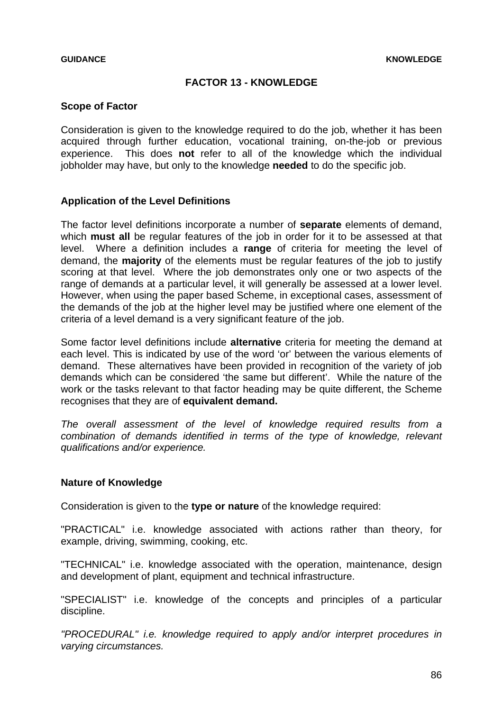# **FACTOR 13 - KNOWLEDGE**

### **Scope of Factor**

Consideration is given to the knowledge required to do the job, whether it has been acquired through further education, vocational training, on-the-job or previous experience. This does **not** refer to all of the knowledge which the individual jobholder may have, but only to the knowledge **needed** to do the specific job.

### **Application of the Level Definitions**

The factor level definitions incorporate a number of **separate** elements of demand, which **must all** be regular features of the job in order for it to be assessed at that level. Where a definition includes a **range** of criteria for meeting the level of demand, the **majority** of the elements must be regular features of the job to justify scoring at that level. Where the job demonstrates only one or two aspects of the range of demands at a particular level, it will generally be assessed at a lower level. However, when using the paper based Scheme, in exceptional cases, assessment of the demands of the job at the higher level may be justified where one element of the criteria of a level demand is a very significant feature of the job.

Some factor level definitions include **alternative** criteria for meeting the demand at each level. This is indicated by use of the word 'or' between the various elements of demand. These alternatives have been provided in recognition of the variety of job demands which can be considered 'the same but different'. While the nature of the work or the tasks relevant to that factor heading may be quite different, the Scheme recognises that they are of **equivalent demand.**

*The overall assessment of the level of knowledge required results from a combination of demands identified in terms of the type of knowledge, relevant qualifications and/or experience.* 

#### **Nature of Knowledge**

Consideration is given to the **type or nature** of the knowledge required:

"PRACTICAL" i.e. knowledge associated with actions rather than theory, for example, driving, swimming, cooking, etc.

"TECHNICAL" i.e. knowledge associated with the operation, maintenance, design and development of plant, equipment and technical infrastructure.

"SPECIALIST" i.e. knowledge of the concepts and principles of a particular discipline.

*"PROCEDURAL" i.e. knowledge required to apply and/or interpret procedures in varying circumstances.*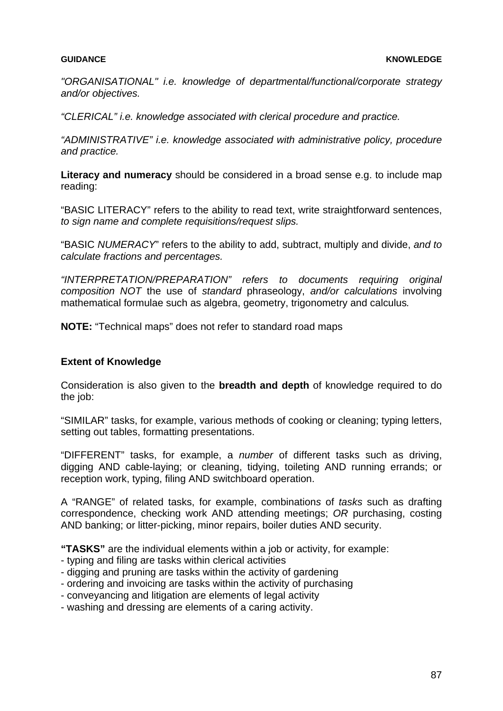*"ORGANISATIONAL" i.e. knowledge of departmental/functional/corporate strategy and/or objectives.* 

*"CLERICAL" i.e. knowledge associated with clerical procedure and practice.* 

*"ADMINISTRATIVE" i.e. knowledge associated with administrative policy, procedure and practice.* 

**Literacy and numeracy** should be considered in a broad sense e.g. to include map reading:

"BASIC LITERACY" refers to the ability to read text, write straightforward sentences, *to sign name and complete requisitions/request slips.*

"BASIC *NUMERACY*" refers to the ability to add, subtract, multiply and divide, *and to calculate fractions and percentages.*

*"INTERPRETATION/PREPARATION" refers to documents requiring original composition NOT* the use of *standard* phraseology, *and/or calculations* involving mathematical formulae such as algebra, geometry, trigonometry and calculus*.* 

**NOTE:** "Technical maps" does not refer to standard road maps

## **Extent of Knowledge**

Consideration is also given to the **breadth and depth** of knowledge required to do the job:

"SIMILAR" tasks, for example, various methods of cooking or cleaning; typing letters, setting out tables, formatting presentations.

"DIFFERENT" tasks, for example, a *number* of different tasks such as driving, digging AND cable-laying; or cleaning, tidying, toileting AND running errands; or reception work, typing, filing AND switchboard operation.

A "RANGE" of related tasks, for example, combination*s* of *tasks* such as drafting correspondence, checking work AND attending meetings; *OR* purchasing, costing AND banking; or litter-picking, minor repairs, boiler duties AND security.

**"TASKS"** are the individual elements within a job or activity, for example:

- typing and filing are tasks within clerical activities
- digging and pruning are tasks within the activity of gardening
- ordering and invoicing are tasks within the activity of purchasing
- conveyancing and litigation are elements of legal activity
- washing and dressing are elements of a caring activity.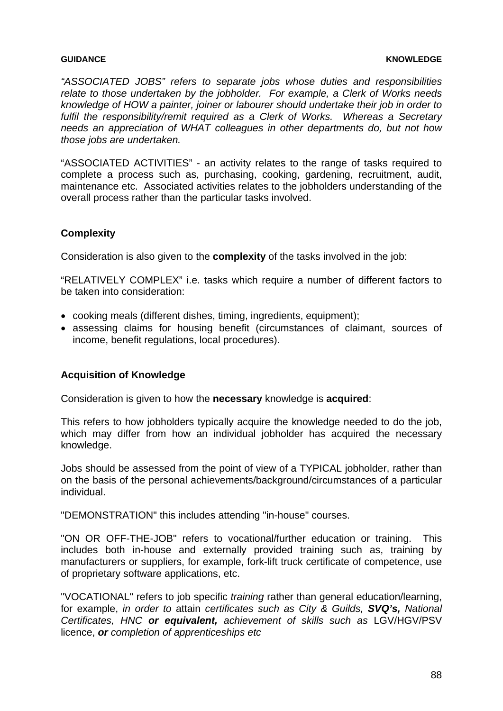#### **GUIDANCE KNOWLEDGE**

*"ASSOCIATED JOBS" refers to separate jobs whose duties and responsibilities relate to those undertaken by the jobholder. For example, a Clerk of Works needs knowledge of HOW a painter, joiner or labourer should undertake their job in order to fulfil the responsibility/remit required as a Clerk of Works. Whereas a Secretary needs an appreciation of WHAT colleagues in other departments do, but not how those jobs are undertaken.* 

"ASSOCIATED ACTIVITIES" - an activity relates to the range of tasks required to complete a process such as, purchasing, cooking, gardening, recruitment, audit, maintenance etc. Associated activities relates to the jobholders understanding of the overall process rather than the particular tasks involved.

## **Complexity**

Consideration is also given to the **complexity** of the tasks involved in the job:

"RELATIVELY COMPLEX" i.e. tasks which require a number of different factors to be taken into consideration:

- cooking meals (different dishes, timing, ingredients, equipment);
- assessing claims for housing benefit (circumstances of claimant, sources of income, benefit regulations, local procedures).

#### **Acquisition of Knowledge**

Consideration is given to how the **necessary** knowledge is **acquired**:

This refers to how jobholders typically acquire the knowledge needed to do the job, which may differ from how an individual jobholder has acquired the necessary knowledge.

Jobs should be assessed from the point of view of a TYPICAL jobholder, rather than on the basis of the personal achievements/background/circumstances of a particular individual.

"DEMONSTRATION" this includes attending "in-house" courses.

"ON OR OFF-THE-JOB" refers to vocational/further education or training. This includes both in-house and externally provided training such as, training by manufacturers or suppliers, for example, fork-lift truck certificate of competence, use of proprietary software applications, etc.

"VOCATIONAL" refers to job specific *training* rather than general education/learning, for example, *in order to* attain *certificates such as City & Guilds, SVQ's, National Certificates, HNC or equivalent, achievement of skills such as* LGV/HGV/PSV licence, *or completion of apprenticeships etc*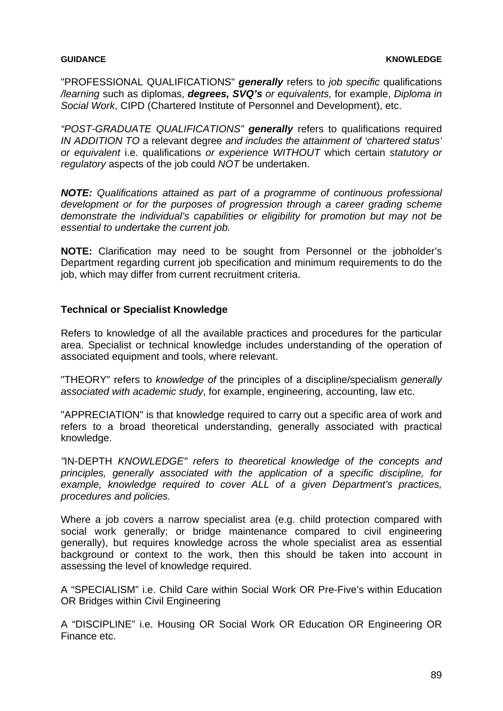"PROFESSIONAL QUALIFICATIONS" *generally* refers to *job specific* qualifications */learning* such as diplomas, *degrees, SVQ's or equivalents,* for example, *Diploma in Social Work*, CIPD (Chartered Institute of Personnel and Development), etc.

*"POST-GRADUATE QUALIFICATIONS" generally* refers to qualifications required *IN ADDITION TO* a relevant degree *and includes the attainment of 'chartered status' or equivalent* i.e. qualifications *or experience WITHOUT* which certain *statutory or regulatory* aspects of the job could *NOT* be undertaken.

*NOTE: Qualifications attained as part of a programme of continuous professional development or for the purposes of progression through a career grading scheme demonstrate the individual's capabilities or eligibility for promotion but may not be essential to undertake the current job.* 

**NOTE:** Clarification may need to be sought from Personnel or the jobholder's Department regarding current job specification and minimum requirements to do the job, which may differ from current recruitment criteria.

### **Technical or Specialist Knowledge**

Refers to knowledge of all the available practices and procedures for the particular area. Specialist or technical knowledge includes understanding of the operation of associated equipment and tools, where relevant.

"THEORY" refers to *knowledge of* the principles of a discipline/specialism *generally associated with academic study*, for example, engineering, accounting, law etc.

"APPRECIATION" is that knowledge required to carry out a specific area of work and refers to a broad theoretical understanding, generally associated with practical knowledge.

*"*IN-DEPTH *KNOWLEDGE" refers to theoretical knowledge of the concepts and principles, generally associated with the application of a specific discipline, for example, knowledge required to cover ALL of a given Department's practices, procedures and policies.* 

Where a job covers a narrow specialist area (e.g. child protection compared with social work generally; or bridge maintenance compared to civil engineering generally), but requires knowledge across the whole specialist area as essential background or context to the work, then this should be taken into account in assessing the level of knowledge required.

A "SPECIALISM" i.e. Child Care within Social Work OR Pre-Five's within Education OR Bridges within Civil Engineering

A "DISCIPLINE" i.e. Housing OR Social Work OR Education OR Engineering OR Finance etc.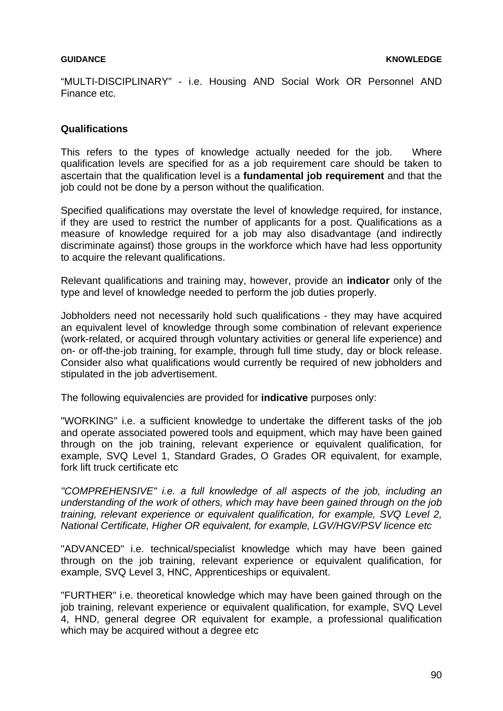"MULTI-DISCIPLINARY" - i.e. Housing AND Social Work OR Personnel AND Finance etc.

### **Qualifications**

This refers to the types of knowledge actually needed for the job. Where qualification levels are specified for as a job requirement care should be taken to ascertain that the qualification level is a **fundamental job requirement** and that the job could not be done by a person without the qualification.

Specified qualifications may overstate the level of knowledge required, for instance, if they are used to restrict the number of applicants for a post. Qualifications as a measure of knowledge required for a job may also disadvantage (and indirectly discriminate against) those groups in the workforce which have had less opportunity to acquire the relevant qualifications.

Relevant qualifications and training may, however, provide an **indicator** only of the type and level of knowledge needed to perform the job duties properly.

Jobholders need not necessarily hold such qualifications - they may have acquired an equivalent level of knowledge through some combination of relevant experience (work-related, or acquired through voluntary activities or general life experience) and on- or off-the-job training, for example, through full time study, day or block release. Consider also what qualifications would currently be required of new jobholders and stipulated in the job advertisement.

The following equivalencies are provided for **indicative** purposes only:

"WORKING" i.e. a sufficient knowledge to undertake the different tasks of the job and operate associated powered tools and equipment, which may have been gained through on the job training, relevant experience or equivalent qualification, for example, SVQ Level 1, Standard Grades, O Grades OR equivalent, for example, fork lift truck certificate etc

*"COMPREHENSIVE" i.e. a full knowledge of all aspects of the job, including an understanding of the work of others, which may have been gained through on the job training, relevant experience or equivalent qualification, for example, SVQ Level 2, National Certificate, Higher OR equivalent, for example, LGV/HGV/PSV licence etc* 

"ADVANCED" i.e. technical/specialist knowledge which may have been gained through on the job training, relevant experience or equivalent qualification, for example, SVQ Level 3, HNC, Apprenticeships or equivalent.

"FURTHER" i.e. theoretical knowledge which may have been gained through on the job training, relevant experience or equivalent qualification, for example, SVQ Level 4, HND, general degree OR equivalent for example, a professional qualification which may be acquired without a degree etc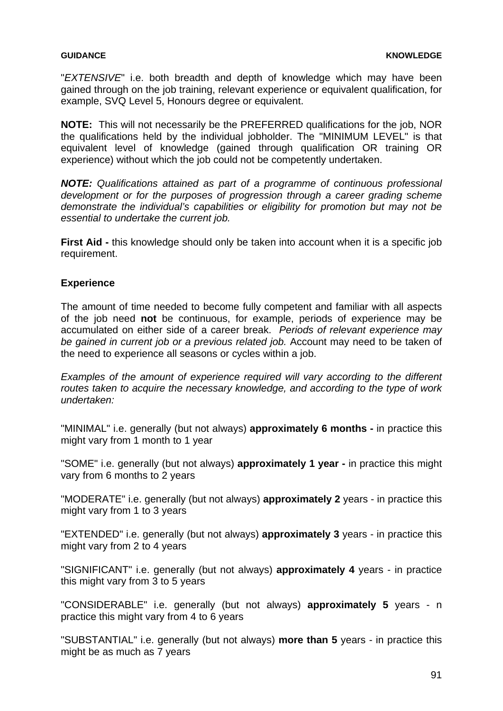"*EXTENSIVE*" i.e. both breadth and depth of knowledge which may have been gained through on the job training, relevant experience or equivalent qualification, for example, SVQ Level 5, Honours degree or equivalent.

**NOTE:** This will not necessarily be the PREFERRED qualifications for the job, NOR the qualifications held by the individual jobholder. The "MINIMUM LEVEL" is that equivalent level of knowledge (gained through qualification OR training OR experience) without which the job could not be competently undertaken.

*NOTE: Qualifications attained as part of a programme of continuous professional development or for the purposes of progression through a career grading scheme demonstrate the individual's capabilities or eligibility for promotion but may not be essential to undertake the current job.* 

**First Aid -** this knowledge should only be taken into account when it is a specific job requirement.

## **Experience**

The amount of time needed to become fully competent and familiar with all aspects of the job need **not** be continuous, for example, periods of experience may be accumulated on either side of a career break. *Periods of relevant experience may be gained in current job or a previous related job.* Account may need to be taken of the need to experience all seasons or cycles within a job.

*Examples of the amount of experience required will vary according to the different routes taken to acquire the necessary knowledge, and according to the type of work undertaken:*

"MINIMAL" i.e. generally (but not always) **approximately 6 months -** in practice this might vary from 1 month to 1 year

"SOME" i.e. generally (but not always) **approximately 1 year -** in practice this might vary from 6 months to 2 years

"MODERATE" i.e. generally (but not always) **approximately 2** years - in practice this might vary from 1 to 3 years

"EXTENDED" i.e. generally (but not always) **approximately 3** years - in practice this might vary from 2 to 4 years

"SIGNIFICANT" i.e. generally (but not always) **approximately 4** years - in practice this might vary from 3 to 5 years

"CONSIDERABLE" i.e. generally (but not always) **approximately 5** years - n practice this might vary from 4 to 6 years

"SUBSTANTIAL" i.e. generally (but not always) **more than 5** years - in practice this might be as much as 7 years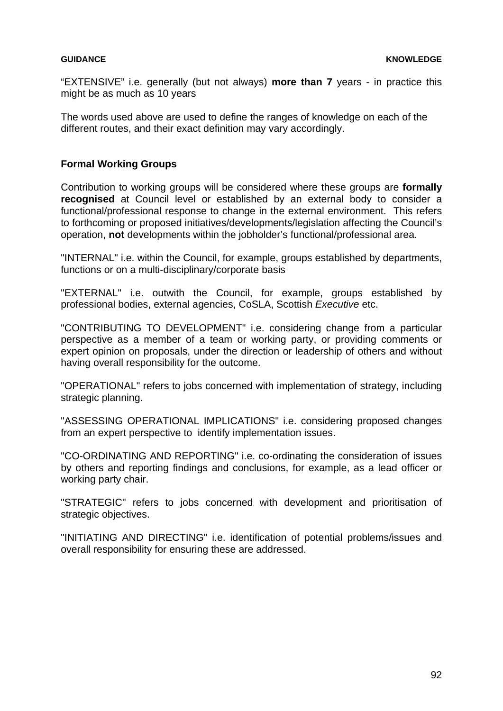"EXTENSIVE" i.e. generally (but not always) **more than 7** years - in practice this might be as much as 10 years

The words used above are used to define the ranges of knowledge on each of the different routes, and their exact definition may vary accordingly.

### **Formal Working Groups**

Contribution to working groups will be considered where these groups are **formally recognised** at Council level or established by an external body to consider a functional/professional response to change in the external environment. This refers to forthcoming or proposed initiatives/developments/legislation affecting the Council's operation, **not** developments within the jobholder's functional/professional area.

"INTERNAL" i.e. within the Council, for example, groups established by departments, functions or on a multi-disciplinary/corporate basis

"EXTERNAL" i.e. outwith the Council, for example, groups established by professional bodies, external agencies, CoSLA, Scottish *Executive* etc.

"CONTRIBUTING TO DEVELOPMENT" i.e. considering change from a particular perspective as a member of a team or working party, or providing comments or expert opinion on proposals, under the direction or leadership of others and without having overall responsibility for the outcome.

"OPERATIONAL" refers to jobs concerned with implementation of strategy, including strategic planning.

"ASSESSING OPERATIONAL IMPLICATIONS" i.e. considering proposed changes from an expert perspective to identify implementation issues.

"CO-ORDINATING AND REPORTING" i.e. co-ordinating the consideration of issues by others and reporting findings and conclusions, for example, as a lead officer or working party chair.

"STRATEGIC" refers to jobs concerned with development and prioritisation of strategic objectives.

"INITIATING AND DIRECTING" i.e. identification of potential problems/issues and overall responsibility for ensuring these are addressed.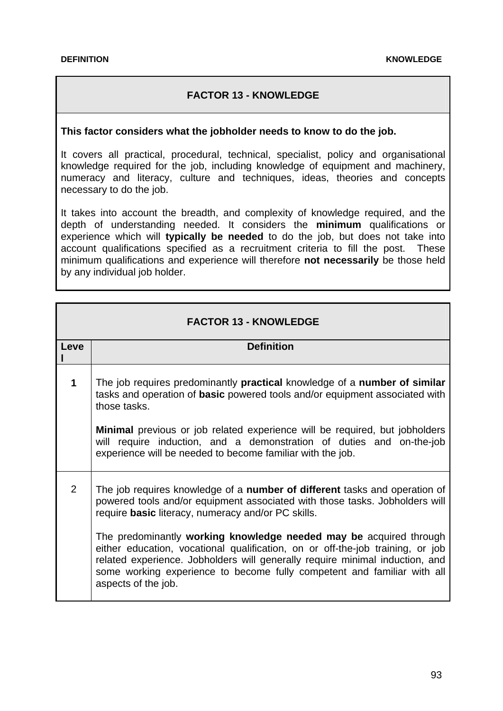# **FACTOR 13 - KNOWLEDGE**

#### **This factor considers what the jobholder needs to know to do the job.**

It covers all practical, procedural, technical, specialist, policy and organisational knowledge required for the job, including knowledge of equipment and machinery, numeracy and literacy, culture and techniques, ideas, theories and concepts necessary to do the job.

It takes into account the breadth, and complexity of knowledge required, and the depth of understanding needed. It considers the **minimum** qualifications or experience which will **typically be needed** to do the job, but does not take into account qualifications specified as a recruitment criteria to fill the post. These minimum qualifications and experience will therefore **not necessarily** be those held by any individual job holder.

| <b>FACTOR 13 - KNOWLEDGE</b> |                                                                                                                                                                                                                                                                                                                                        |
|------------------------------|----------------------------------------------------------------------------------------------------------------------------------------------------------------------------------------------------------------------------------------------------------------------------------------------------------------------------------------|
| Leve                         | <b>Definition</b>                                                                                                                                                                                                                                                                                                                      |
| 1                            | The job requires predominantly practical knowledge of a number of similar<br>tasks and operation of basic powered tools and/or equipment associated with<br>those tasks.                                                                                                                                                               |
|                              | <b>Minimal</b> previous or job related experience will be required, but jobholders<br>will require induction, and a demonstration of duties and on-the-job<br>experience will be needed to become familiar with the job.                                                                                                               |
| $\overline{2}$               | The job requires knowledge of a number of different tasks and operation of<br>powered tools and/or equipment associated with those tasks. Jobholders will<br>require basic literacy, numeracy and/or PC skills.                                                                                                                        |
|                              | The predominantly working knowledge needed may be acquired through<br>either education, vocational qualification, on or off-the-job training, or job<br>related experience. Jobholders will generally require minimal induction, and<br>some working experience to become fully competent and familiar with all<br>aspects of the job. |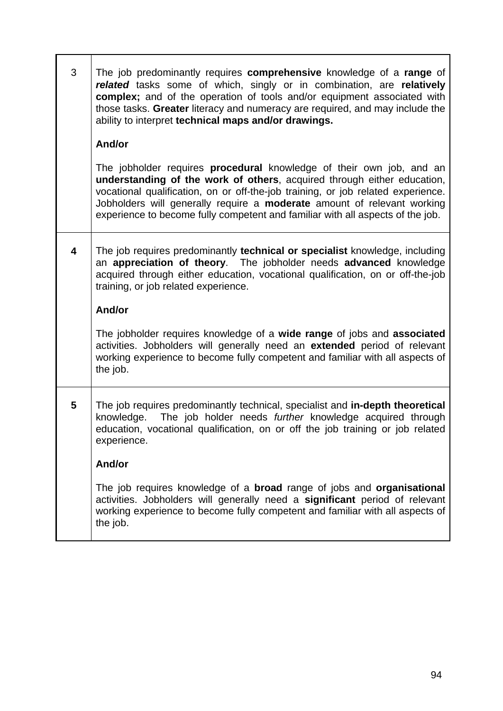| 3 | The job predominantly requires comprehensive knowledge of a range of<br>related tasks some of which, singly or in combination, are relatively<br>complex; and of the operation of tools and/or equipment associated with<br>those tasks. Greater literacy and numeracy are required, and may include the<br>ability to interpret technical maps and/or drawings.                                        |
|---|---------------------------------------------------------------------------------------------------------------------------------------------------------------------------------------------------------------------------------------------------------------------------------------------------------------------------------------------------------------------------------------------------------|
|   | And/or                                                                                                                                                                                                                                                                                                                                                                                                  |
|   | The jobholder requires <b>procedural</b> knowledge of their own job, and an<br>understanding of the work of others, acquired through either education,<br>vocational qualification, on or off-the-job training, or job related experience.<br>Jobholders will generally require a moderate amount of relevant working<br>experience to become fully competent and familiar with all aspects of the job. |
| 4 | The job requires predominantly technical or specialist knowledge, including<br>an appreciation of theory. The jobholder needs advanced knowledge<br>acquired through either education, vocational qualification, on or off-the-job<br>training, or job related experience.                                                                                                                              |
|   | And/or                                                                                                                                                                                                                                                                                                                                                                                                  |
|   | The jobholder requires knowledge of a wide range of jobs and associated<br>activities. Jobholders will generally need an extended period of relevant<br>working experience to become fully competent and familiar with all aspects of<br>the job.                                                                                                                                                       |
| 5 | The job requires predominantly technical, specialist and in-depth theoretical<br>knowledge. The job holder needs further knowledge acquired through<br>education, vocational qualification, on or off the job training or job related<br>experience.                                                                                                                                                    |
|   | And/or                                                                                                                                                                                                                                                                                                                                                                                                  |
|   | The job requires knowledge of a <b>broad</b> range of jobs and <b>organisational</b><br>activities. Jobholders will generally need a significant period of relevant<br>working experience to become fully competent and familiar with all aspects of<br>the job.                                                                                                                                        |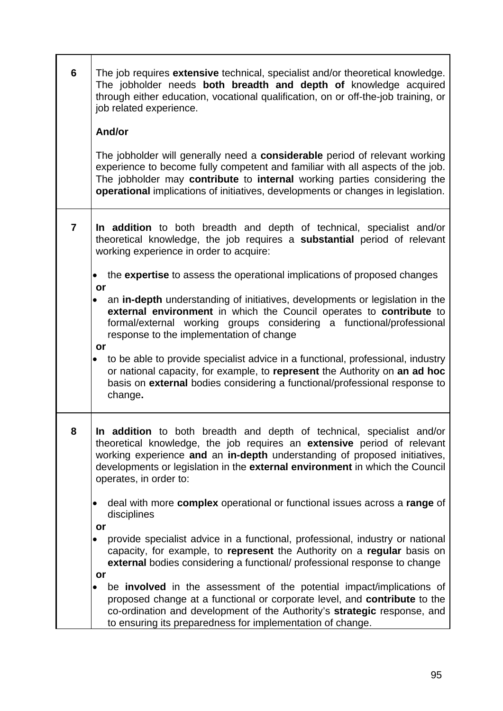| 6              | The job requires extensive technical, specialist and/or theoretical knowledge.<br>The jobholder needs both breadth and depth of knowledge acquired<br>through either education, vocational qualification, on or off-the-job training, or<br>job related experience.<br>And/or                                                           |
|----------------|-----------------------------------------------------------------------------------------------------------------------------------------------------------------------------------------------------------------------------------------------------------------------------------------------------------------------------------------|
|                | The jobholder will generally need a considerable period of relevant working                                                                                                                                                                                                                                                             |
|                | experience to become fully competent and familiar with all aspects of the job.<br>The jobholder may contribute to internal working parties considering the<br>operational implications of initiatives, developments or changes in legislation.                                                                                          |
| $\overline{7}$ | In addition to both breadth and depth of technical, specialist and/or<br>theoretical knowledge, the job requires a substantial period of relevant<br>working experience in order to acquire:                                                                                                                                            |
|                | the expertise to assess the operational implications of proposed changes<br>or                                                                                                                                                                                                                                                          |
|                | an in-depth understanding of initiatives, developments or legislation in the<br>$\bullet$<br>external environment in which the Council operates to contribute to<br>formal/external working groups considering a functional/professional<br>response to the implementation of change<br>or                                              |
|                | to be able to provide specialist advice in a functional, professional, industry<br>$\bullet$<br>or national capacity, for example, to represent the Authority on an ad hoc<br>basis on external bodies considering a functional/professional response to<br>change.                                                                     |
| 8              | In addition to both breadth and depth of technical, specialist and/or<br>theoretical knowledge, the job requires an extensive period of relevant<br>working experience and an in-depth understanding of proposed initiatives,<br>developments or legislation in the external environment in which the Council<br>operates, in order to: |
|                | deal with more complex operational or functional issues across a range of<br>disciplines<br>or                                                                                                                                                                                                                                          |
|                | provide specialist advice in a functional, professional, industry or national<br>capacity, for example, to represent the Authority on a regular basis on<br>external bodies considering a functional/ professional response to change                                                                                                   |
|                | or<br>be <b>involved</b> in the assessment of the potential impact/implications of<br>proposed change at a functional or corporate level, and contribute to the<br>co-ordination and development of the Authority's strategic response, and<br>to ensuring its preparedness for implementation of change.                               |